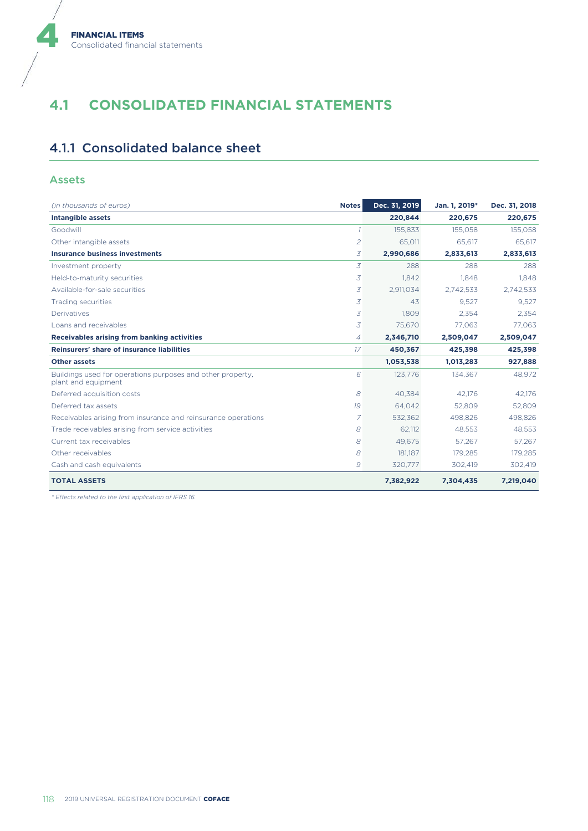# **4.1 CONSOLIDATED FINANCIAL STATEMENTS**

## 4.1.1 Consolidated balance sheet

#### Assets

4

| (in thousands of euros)                                                           | <b>Notes</b>   | Dec. 31, 2019 | Jan. 1, 2019* | Dec. 31, 2018 |
|-----------------------------------------------------------------------------------|----------------|---------------|---------------|---------------|
| <b>Intangible assets</b>                                                          |                | 220,844       | 220,675       | 220,675       |
| Goodwill                                                                          | $\overline{1}$ | 155.833       | 155.058       | 155.058       |
| Other intangible assets                                                           | $\overline{2}$ | 65.011        | 65.617        | 65.617        |
| <b>Insurance business investments</b>                                             | 3              | 2,990,686     | 2,833,613     | 2,833,613     |
| Investment property                                                               | 3              | 288           | 288           | 288           |
| Held-to-maturity securities                                                       | 3              | 1.842         | 1.848         | 1.848         |
| Available-for-sale securities                                                     | 3              | 2,911,034     | 2.742.533     | 2,742,533     |
| Trading securities                                                                | 3              | 43            | 9.527         | 9,527         |
| Derivatives                                                                       | 3              | 1.809         | 2.354         | 2.354         |
| Loans and receivables                                                             | 3              | 75,670        | 77,063        | 77,063        |
| Receivables arising from banking activities                                       | 4              | 2,346,710     | 2,509,047     | 2,509,047     |
| Reinsurers' share of insurance liabilities                                        | 17             | 450,367       | 425,398       | 425,398       |
| <b>Other assets</b>                                                               |                | 1,053,538     | 1,013,283     | 927,888       |
| Buildings used for operations purposes and other property.<br>plant and equipment | 6              | 123,776       | 134,367       | 48,972        |
| Deferred acquisition costs                                                        | 8              | 40.384        | 42.176        | 42.176        |
| Deferred tax assets                                                               | 19             | 64.042        | 52.809        | 52,809        |
| Receivables arising from insurance and reinsurance operations                     | $\overline{7}$ | 532.362       | 498.826       | 498.826       |
| Trade receivables arising from service activities                                 | 8              | 62.112        | 48.553        | 48.553        |
| Current tax receivables                                                           | 8              | 49,675        | 57.267        | 57,267        |
| Other receivables                                                                 | 8              | 181,187       | 179.285       | 179,285       |
| Cash and cash equivalents                                                         | 9              | 320,777       | 302,419       | 302,419       |
| <b>TOTAL ASSETS</b>                                                               |                | 7,382,922     | 7,304,435     | 7,219,040     |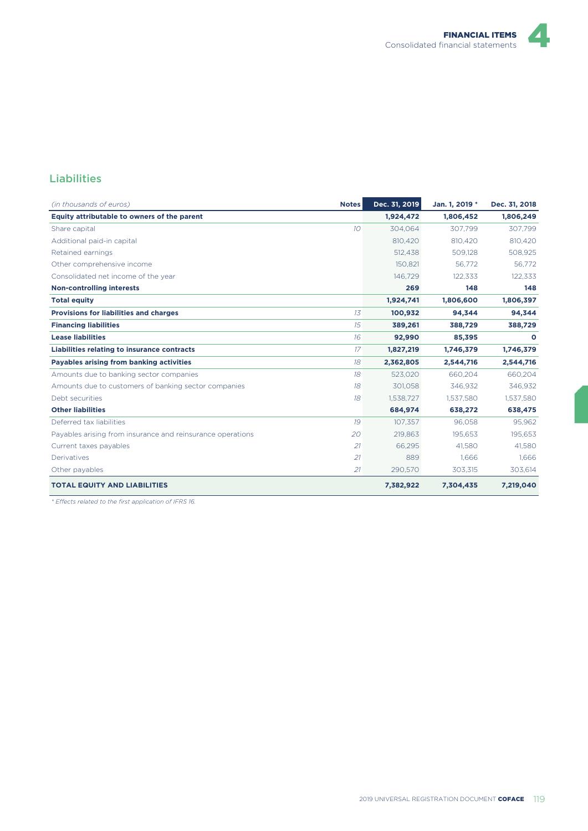

### Liabilities

| (in thousands of euros)                                    | <b>Notes</b>    | Dec. 31, 2019 | Jan. 1, 2019 * | Dec. 31, 2018 |
|------------------------------------------------------------|-----------------|---------------|----------------|---------------|
| Equity attributable to owners of the parent                |                 | 1,924,472     | 1,806,452      | 1,806,249     |
| Share capital                                              | 10 <sup>2</sup> | 304,064       | 307,799        | 307,799       |
| Additional paid-in capital                                 |                 | 810.420       | 810.420        | 810,420       |
| Retained earnings                                          |                 | 512.438       | 509,128        | 508,925       |
| Other comprehensive income                                 |                 | 150.821       | 56.772         | 56,772        |
| Consolidated net income of the year                        |                 | 146.729       | 122,333        | 122,333       |
| <b>Non-controlling interests</b>                           |                 | 269           | 148            | 148           |
| <b>Total equity</b>                                        |                 | 1,924,741     | 1,806,600      | 1,806,397     |
| <b>Provisions for liabilities and charges</b>              | 13              | 100,932       | 94,344         | 94,344        |
| <b>Financing liabilities</b>                               | 15              | 389,261       | 388,729        | 388,729       |
| <b>Lease liabilities</b>                                   | 16              | 92,990        | 85,395         | $\mathbf{o}$  |
| Liabilities relating to insurance contracts                | 17              | 1,827,219     | 1,746,379      | 1,746,379     |
| Payables arising from banking activities                   | 18              | 2,362,805     | 2,544,716      | 2,544,716     |
| Amounts due to banking sector companies                    | 18              | 523.020       | 660.204        | 660.204       |
| Amounts due to customers of banking sector companies       | 18              | 301.058       | 346.932        | 346,932       |
| Debt securities                                            | 18              | 1,538,727     | 1,537,580      | 1,537,580     |
| <b>Other liabilities</b>                                   |                 | 684,974       | 638,272        | 638,475       |
| Deferred tax liabilities                                   | 19              | 107.357       | 96.058         | 95,962        |
| Payables arising from insurance and reinsurance operations | 20              | 219,863       | 195.653        | 195,653       |
| Current taxes payables                                     | 21              | 66,295        | 41,580         | 41,580        |
| Derivatives                                                | 21              | 889           | 1,666          | 1,666         |
| Other payables                                             | 21              | 290,570       | 303,315        | 303,614       |
| <b>TOTAL EQUITY AND LIABILITIES</b>                        |                 | 7,382,922     | 7,304,435      | 7,219,040     |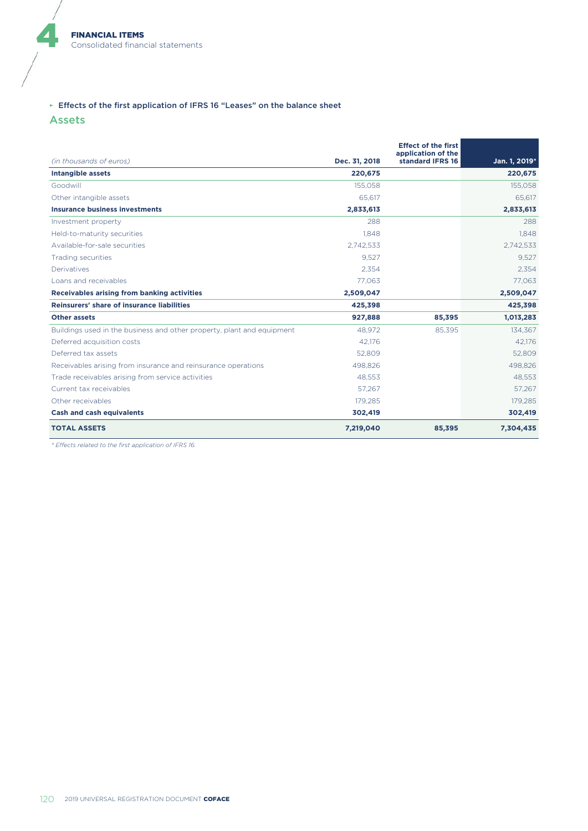#### ► Effects of the first application of IFRS 16 "Leases" on the balance sheet

Assets

4

|                                                                        |               | <b>Effect of the first</b><br>application of the |               |
|------------------------------------------------------------------------|---------------|--------------------------------------------------|---------------|
| (in thousands of euros)                                                | Dec. 31, 2018 | standard IFRS 16                                 | Jan. 1, 2019* |
| <b>Intangible assets</b>                                               | 220,675       |                                                  | 220,675       |
| Goodwill                                                               | 155,058       |                                                  | 155,058       |
| Other intangible assets                                                | 65.617        |                                                  | 65.617        |
| <b>Insurance business investments</b>                                  | 2,833,613     |                                                  | 2,833,613     |
| Investment property                                                    | 288           |                                                  | 288           |
| Held-to-maturity securities                                            | 1.848         |                                                  | 1.848         |
| Available-for-sale securities                                          | 2,742,533     |                                                  | 2,742,533     |
| Trading securities                                                     | 9,527         |                                                  | 9,527         |
| Derivatives                                                            | 2.354         |                                                  | 2,354         |
| Loans and receivables                                                  | 77.063        |                                                  | 77.063        |
| Receivables arising from banking activities                            | 2,509,047     |                                                  | 2,509,047     |
| Reinsurers' share of insurance liabilities                             | 425,398       |                                                  | 425,398       |
| <b>Other assets</b>                                                    | 927,888       | 85,395                                           | 1,013,283     |
| Buildings used in the business and other property, plant and equipment | 48,972        | 85,395                                           | 134,367       |
| Deferred acquisition costs                                             | 42,176        |                                                  | 42,176        |
| Deferred tax assets                                                    | 52,809        |                                                  | 52,809        |
| Receivables arising from insurance and reinsurance operations          | 498,826       |                                                  | 498,826       |
| Trade receivables arising from service activities                      | 48,553        |                                                  | 48,553        |
| Current tax receivables                                                | 57,267        |                                                  | 57,267        |
| Other receivables                                                      | 179.285       |                                                  | 179,285       |
| <b>Cash and cash equivalents</b>                                       | 302,419       |                                                  | 302,419       |
| <b>TOTAL ASSETS</b>                                                    | 7,219,040     | 85,395                                           | 7,304,435     |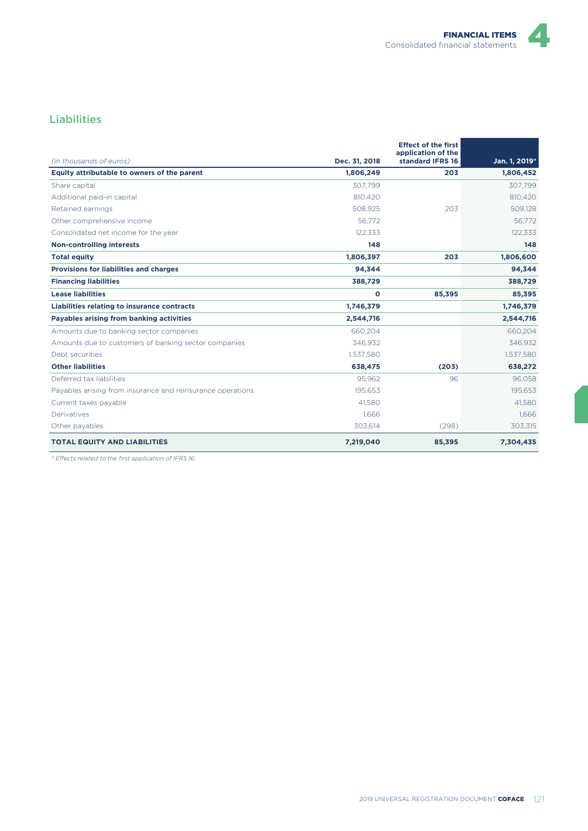### Liabilities

| (in thousands of euros)                                    | Dec. 31, 2018 | <b>Effect of the first</b><br>application of the<br>standard IFRS 16 | Jan. 1, 2019* |
|------------------------------------------------------------|---------------|----------------------------------------------------------------------|---------------|
| Equity attributable to owners of the parent                | 1,806,249     | 203                                                                  | 1,806,452     |
| Share capital                                              | 307,799       |                                                                      | 307,799       |
| Additional paid-in capital                                 | 810.420       |                                                                      | 810.420       |
| Retained earnings                                          | 508.925       | 203                                                                  | 509.128       |
| Other comprehensive income                                 | 56.772        |                                                                      | 56.772        |
| Consolidated net income for the year                       | 122,333       |                                                                      | 122,333       |
| <b>Non-controlling interests</b>                           | 148           |                                                                      | 148           |
| <b>Total equity</b>                                        | 1,806,397     | 203                                                                  | 1,806,600     |
| <b>Provisions for liabilities and charges</b>              | 94,344        |                                                                      | 94,344        |
| <b>Financing liabilities</b>                               | 388,729       |                                                                      | 388,729       |
| <b>Lease liabilities</b>                                   | O             | 85,395                                                               | 85,395        |
| Liabilities relating to insurance contracts                | 1,746,379     |                                                                      | 1,746,379     |
| Payables arising from banking activities                   | 2,544,716     |                                                                      | 2,544,716     |
| Amounts due to banking sector companies                    | 660,204       |                                                                      | 660,204       |
| Amounts due to customers of banking sector companies       | 346,932       |                                                                      | 346,932       |
| Debt securities                                            | 1.537.580     |                                                                      | 1,537,580     |
| <b>Other liabilities</b>                                   | 638,475       | (203)                                                                | 638,272       |
| Deferred tax liabilities                                   | 95.962        | 96                                                                   | 96.058        |
| Payables arising from insurance and reinsurance operations | 195.653       |                                                                      | 195.653       |
| Current taxes payable                                      | 41.580        |                                                                      | 41,580        |
| Derivatives                                                | 1.666         |                                                                      | 1.666         |
| Other payables                                             | 303,614       | (298)                                                                | 303,315       |
| <b>TOTAL EQUITY AND LIABILITIES</b>                        | 7,219,040     | 85,395                                                               | 7,304,435     |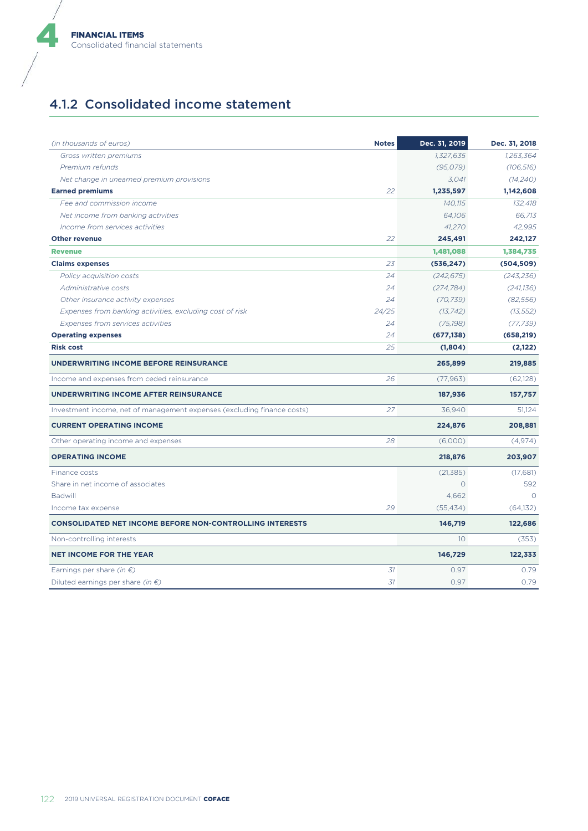## 4.1.2 Consolidated income statement

| (in thousands of euros)                                                 | <b>Notes</b> | Dec. 31, 2019   | Dec. 31, 2018 |
|-------------------------------------------------------------------------|--------------|-----------------|---------------|
| Gross written premiums                                                  |              | 1,327,635       | 1,263,364     |
| Premium refunds                                                         |              | (95, 079)       | (106, 516)    |
| Net change in unearned premium provisions                               |              | 3.041           | (14,240)      |
| <b>Earned premiums</b>                                                  | 22           | 1,235,597       | 1,142,608     |
| Fee and commission income                                               |              | 140,115         | 132.418       |
| Net income from banking activities                                      |              | 64.106          | 66.713        |
| Income from services activities                                         |              | 41,270          | 42,995        |
| <b>Other revenue</b>                                                    | 22           | 245,491         | 242,127       |
| <b>Revenue</b>                                                          |              | 1,481,088       | 1,384,735     |
| <b>Claims expenses</b>                                                  | 23           | (536, 247)      | (504, 509)    |
| Policy acquisition costs                                                | 24           | (242, 675)      | (243, 236)    |
| Administrative costs                                                    | 24           | (274, 784)      | (241, 136)    |
| Other insurance activity expenses                                       | 24           | (70, 739)       | (82, 556)     |
| Expenses from banking activities, excluding cost of risk                | 24/25        | (13, 742)       | (13, 552)     |
| Expenses from services activities                                       | 24           | (75, 198)       | (77, 739)     |
| <b>Operating expenses</b>                                               | 24           | (677, 138)      | (658, 219)    |
| <b>Risk cost</b>                                                        | 25           | (1,804)         | (2,122)       |
| UNDERWRITING INCOME BEFORE REINSURANCE                                  |              | 265,899         | 219,885       |
| Income and expenses from ceded reinsurance                              | 26           | (77, 963)       | (62, 128)     |
| UNDERWRITING INCOME AFTER REINSURANCE                                   |              | 187,936         | 157,757       |
| Investment income, net of management expenses (excluding finance costs) | 27           | 36,940          | 51,124        |
| <b>CURRENT OPERATING INCOME</b>                                         |              | 224,876         | 208,881       |
| Other operating income and expenses                                     | 28           | (6,000)         | (4,974)       |
| <b>OPERATING INCOME</b>                                                 |              | 218,876         | 203,907       |
| Finance costs                                                           |              | (21, 385)       | (17,681)      |
| Share in net income of associates                                       |              | $\circ$         | 592           |
| Badwill                                                                 |              | 4,662           | $\Omega$      |
| Income tax expense                                                      | 29           | (55, 434)       | (64, 132)     |
| <b>CONSOLIDATED NET INCOME BEFORE NON-CONTROLLING INTERESTS</b>         |              | 146,719         | 122,686       |
| Non-controlling interests                                               |              | 10 <sup>2</sup> | (353)         |
| <b>NET INCOME FOR THE YEAR</b>                                          |              | 146,729         | 122,333       |
| Earnings per share <i>(in <math>\epsilon</math>)</i>                    | 31           | 0.97            | 0.79          |
| Diluted earnings per share (in $\epsilon$ )                             | 31           | 0.97            | 0.79          |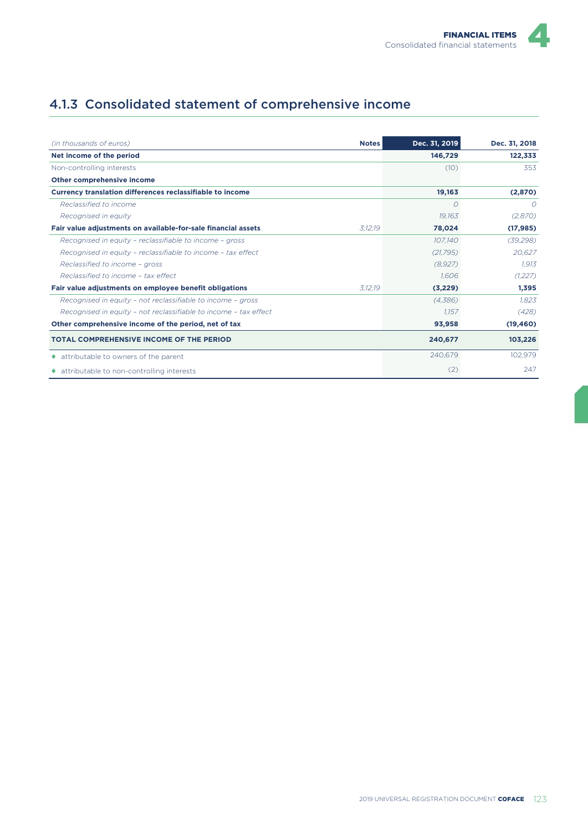## 4.1.3 Consolidated statement of comprehensive income

| (in thousands of euros)                                          | <b>Notes</b> | Dec. 31, 2019 | Dec. 31, 2018 |
|------------------------------------------------------------------|--------------|---------------|---------------|
| Net income of the period                                         |              | 146,729       | 122,333       |
| Non-controlling interests                                        |              | (10)          | 353           |
| Other comprehensive income                                       |              |               |               |
| <b>Currency translation differences reclassifiable to income</b> |              | 19,163        | (2,870)       |
| Reclassified to income                                           |              | O             | $\circ$       |
| Recognised in equity                                             |              | 19.163        | (2,870)       |
| Fair value adjustments on available-for-sale financial assets    | 3:12:19      | 78,024        | (17, 985)     |
| Recognised in equity - reclassifiable to income - gross          |              | 107,140       | (39, 298)     |
| Recognised in equity - reclassifiable to income - tax effect     |              | (21, 795)     | 20.627        |
| Reclassified to income - gross                                   |              | (8,927)       | 1.913         |
| Reclassified to income - tax effect                              |              | 1.606         | (1,227)       |
| Fair value adjustments on employee benefit obligations           | 3:12:19      | (3,229)       | 1,395         |
| Recognised in equity - not reclassifiable to income - gross      |              | (4,386)       | 1.823         |
| Recognised in equity - not reclassifiable to income - tax effect |              | 1,157         | (428)         |
| Other comprehensive income of the period, net of tax             |              | 93,958        | (19, 460)     |
| <b>TOTAL COMPREHENSIVE INCOME OF THE PERIOD</b>                  |              | 240,677       | 103,226       |
| ♦ attributable to owners of the parent                           |              | 240,679       | 102,979       |
| • attributable to non-controlling interests                      |              | (2)           | 247           |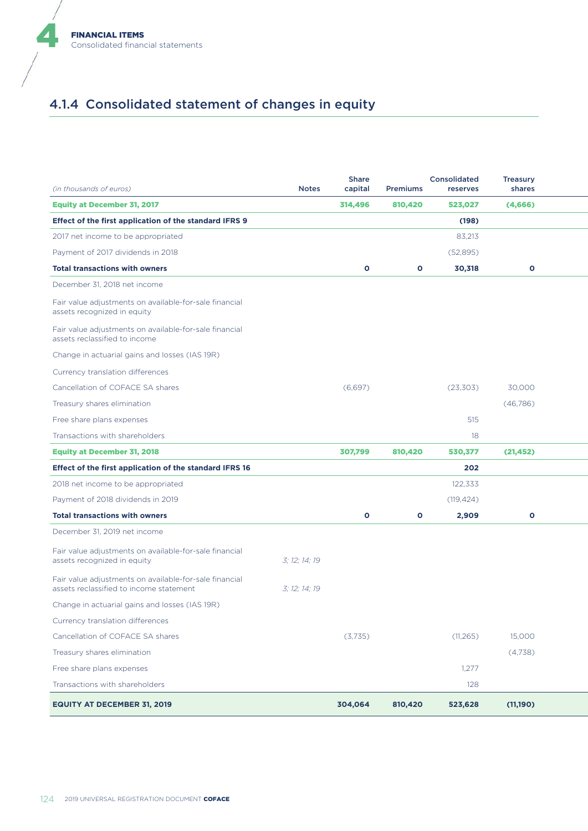

# 4.1.4 Consolidated statement of changes in equity

| (in thousands of euros)                                                                           | <b>Notes</b>  | <b>Share</b><br>capital | Premiums     | Consolidated<br>reserves | <b>Treasury</b><br>shares |  |
|---------------------------------------------------------------------------------------------------|---------------|-------------------------|--------------|--------------------------|---------------------------|--|
| <b>Equity at December 31, 2017</b>                                                                |               | 314,496                 | 810,420      | 523,027                  | (4,666)                   |  |
| Effect of the first application of the standard IFRS 9                                            |               |                         |              | (198)                    |                           |  |
| 2017 net income to be appropriated                                                                |               |                         |              | 83,213                   |                           |  |
| Payment of 2017 dividends in 2018                                                                 |               |                         |              | (52,895)                 |                           |  |
| <b>Total transactions with owners</b>                                                             |               | $\mathbf{o}$            | $\mathbf{o}$ | 30,318                   | $\mathbf{o}$              |  |
| December 31, 2018 net income                                                                      |               |                         |              |                          |                           |  |
| Fair value adjustments on available-for-sale financial<br>assets recognized in equity             |               |                         |              |                          |                           |  |
| Fair value adjustments on available-for-sale financial<br>assets reclassified to income           |               |                         |              |                          |                           |  |
| Change in actuarial gains and losses (IAS 19R)                                                    |               |                         |              |                          |                           |  |
| Currency translation differences                                                                  |               |                         |              |                          |                           |  |
| Cancellation of COFACE SA shares                                                                  |               | (6,697)                 |              | (23, 303)                | 30,000                    |  |
| Treasury shares elimination                                                                       |               |                         |              |                          | (46, 786)                 |  |
| Free share plans expenses                                                                         |               |                         |              | 515                      |                           |  |
| Transactions with shareholders                                                                    |               |                         |              | 18                       |                           |  |
| <b>Equity at December 31, 2018</b>                                                                |               | 307,799                 | 810,420      | 530,377                  | (21, 452)                 |  |
| Effect of the first application of the standard IFRS 16                                           |               |                         |              | 202                      |                           |  |
| 2018 net income to be appropriated                                                                |               |                         |              | 122,333                  |                           |  |
| Payment of 2018 dividends in 2019                                                                 |               |                         |              | (119, 424)               |                           |  |
| <b>Total transactions with owners</b>                                                             |               | $\mathbf{o}$            | $\mathbf{o}$ | 2,909                    | $\mathbf{o}$              |  |
| December 31, 2019 net income                                                                      |               |                         |              |                          |                           |  |
| Fair value adjustments on available-for-sale financial<br>assets recognized in equity             | 3; 12; 14; 19 |                         |              |                          |                           |  |
| Fair value adjustments on available-for-sale financial<br>assets reclassified to income statement | 3; 12; 14; 19 |                         |              |                          |                           |  |
| Change in actuarial gains and losses (IAS 19R)                                                    |               |                         |              |                          |                           |  |
| Currency translation differences                                                                  |               |                         |              |                          |                           |  |
| Cancellation of COFACE SA shares                                                                  |               | (3,735)                 |              | (11, 265)                | 15,000                    |  |
| Treasury shares elimination                                                                       |               |                         |              |                          | (4,738)                   |  |
| Free share plans expenses                                                                         |               |                         |              | 1,277                    |                           |  |
| Transactions with shareholders                                                                    |               |                         |              | 128                      |                           |  |
| <b>EQUITY AT DECEMBER 31, 2019</b>                                                                |               | 304,064                 | 810,420      | 523,628                  | (11,190)                  |  |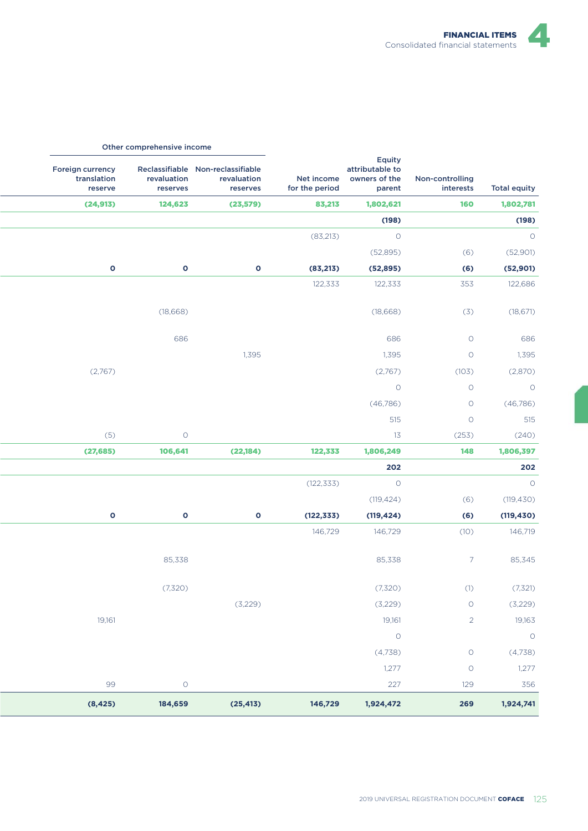

|                     |                              |                                                                 |                |                                                              | Other comprehensive income |                                            |
|---------------------|------------------------------|-----------------------------------------------------------------|----------------|--------------------------------------------------------------|----------------------------|--------------------------------------------|
| <b>Total equity</b> | Non-controlling<br>interests | Equity<br>attributable to<br>Net income owners of the<br>parent | for the period | Reclassifiable Non-reclassifiable<br>revaluation<br>reserves | revaluation<br>reserves    | Foreign currency<br>translation<br>reserve |
| 1,802,781           | <b>160</b>                   | 1,802,621                                                       | 83,213         | (23, 579)                                                    | 124,623                    | (24, 913)                                  |
| (198)               |                              | (198)                                                           |                |                                                              |                            |                                            |
| $\circ$             |                              | $\circ$                                                         | (83,213)       |                                                              |                            |                                            |
| (52,901)            | (6)                          | (52,895)                                                        |                |                                                              |                            |                                            |
| (52, 901)           | (6)                          | (52, 895)                                                       | (83,213)       | $\bullet$                                                    | $\mathbf{o}$               | $\mathbf{o}$                               |
| 122,686             | 353                          | 122,333                                                         | 122,333        |                                                              |                            |                                            |
| (18, 671)           | (3)                          | (18,668)                                                        |                |                                                              | (18,668)                   |                                            |
| 686                 | $\circ$                      | 686                                                             |                |                                                              | 686                        |                                            |
| 1,395               | $\circ$                      | 1,395                                                           |                | 1,395                                                        |                            |                                            |
| (2,870)             | (103)                        | (2,767)                                                         |                |                                                              |                            | (2,767)                                    |
| $\overline{O}$      | $\circ$                      | $\circ$                                                         |                |                                                              |                            |                                            |
| (46,786)            | $\circ$                      | (46, 786)                                                       |                |                                                              |                            |                                            |
| 515                 | $\circ$                      | 515                                                             |                |                                                              |                            |                                            |
| (240)               | (253)                        | 13                                                              |                |                                                              | $\circ$                    | (5)                                        |
| 1,806,397           | 148                          | 1,806,249                                                       | 122,333        | (22, 184)                                                    | 106,641                    | (27, 685)                                  |
| 202                 |                              | 202                                                             |                |                                                              |                            |                                            |
| $\circ$             |                              | $\circ$                                                         | (122, 333)     |                                                              |                            |                                            |
| (119, 430)          | (6)                          | (119, 424)                                                      |                |                                                              |                            |                                            |
| (119, 430)          | (6)                          | (119, 424)                                                      | (122, 333)     | $\mathbf{o}$                                                 | $\bullet$                  | $\bullet$                                  |
| 146,719             | (10)                         | 146,729                                                         | 146,729        |                                                              |                            |                                            |
| 85,345              | $7\overline{ }$              | 85,338                                                          |                |                                                              | 85,338                     |                                            |
| (7,321)             | (1)                          | (7,320)                                                         |                |                                                              | (7,320)                    |                                            |
| (3,229)             | $\circ$                      | (3,229)                                                         |                | (3,229)                                                      |                            |                                            |
| 19,163              | $2^{\circ}$                  | 19,161                                                          |                |                                                              |                            | 19,161                                     |
| $\circ$             |                              | $\circ$                                                         |                |                                                              |                            |                                            |
| (4,738)             | $\circ$                      | (4,738)                                                         |                |                                                              |                            |                                            |
| 1,277               | $\circ$                      | 1,277                                                           |                |                                                              |                            |                                            |
| 356                 | 129                          | 227                                                             |                |                                                              | $\circ$                    | 99                                         |
| 1,924,741           | 269                          | 1,924,472                                                       | 146,729        | (25, 413)                                                    | 184,659                    | (8, 425)                                   |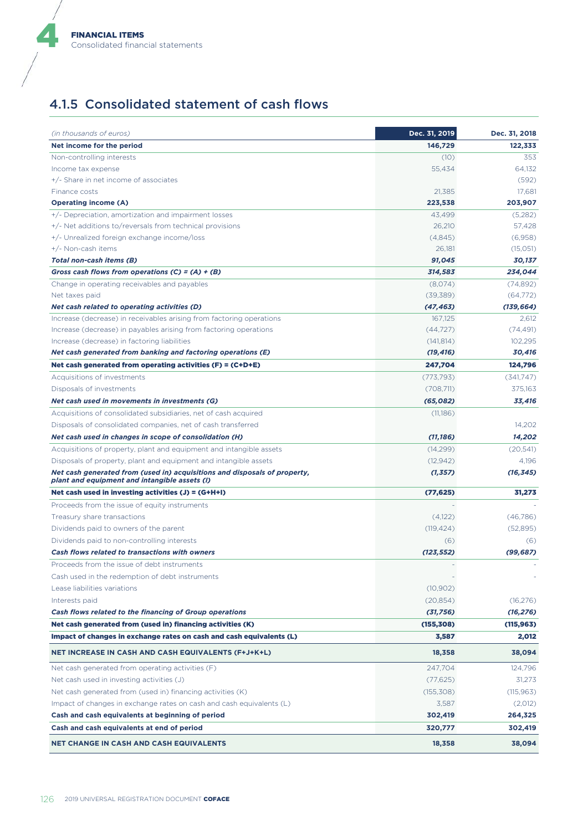## 4.1.5 Consolidated statement of cash flows

| (in thousands of euros)                                                                                                    | Dec. 31, 2019 | Dec. 31, 2018 |
|----------------------------------------------------------------------------------------------------------------------------|---------------|---------------|
| Net income for the period                                                                                                  | 146,729       | 122,333       |
| Non-controlling interests                                                                                                  | (10)          | 353           |
| Income tax expense                                                                                                         | 55,434        | 64,132        |
| +/- Share in net income of associates                                                                                      |               | (592)         |
| Finance costs                                                                                                              | 21,385        | 17,681        |
| <b>Operating income (A)</b>                                                                                                | 223,538       | 203,907       |
| +/- Depreciation, amortization and impairment losses                                                                       | 43,499        | (5,282)       |
| +/- Net additions to/reversals from technical provisions                                                                   | 26,210        | 57,428        |
| +/- Unrealized foreign exchange income/loss                                                                                | (4,845)       | (6,958)       |
| +/- Non-cash items                                                                                                         | 26,181        | (15,051)      |
| Total non-cash items (B)                                                                                                   | 91,045        | 30,137        |
| Gross cash flows from operations $(C) = (A) + (B)$                                                                         | 314,583       | 234,044       |
| Change in operating receivables and payables                                                                               | (8,074)       | (74, 892)     |
| Net taxes paid                                                                                                             | (39, 389)     | (64, 772)     |
| Net cash related to operating activities (D)                                                                               | (47, 463)     | (139, 664)    |
| Increase (decrease) in receivables arising from factoring operations                                                       | 167,125       | 2,612         |
| Increase (decrease) in payables arising from factoring operations                                                          | (44, 727)     | (74, 491)     |
| Increase (decrease) in factoring liabilities                                                                               | (141, 814)    | 102,295       |
| Net cash generated from banking and factoring operations (E)                                                               | (19, 416)     | 30,416        |
| Net cash generated from operating activities $(F) = (C+D+E)$                                                               | 247,704       | 124,796       |
| Acquisitions of investments                                                                                                | (773, 793)    | (341,747)     |
| Disposals of investments                                                                                                   | (708,711)     | 375,163       |
| Net cash used in movements in investments (G)                                                                              | (65,082)      | 33,416        |
| Acquisitions of consolidated subsidiaries, net of cash acquired                                                            | (11,186)      |               |
| Disposals of consolidated companies, net of cash transferred                                                               |               | 14,202        |
| Net cash used in changes in scope of consolidation (H)                                                                     | (11, 186)     | 14,202        |
| Acquisitions of property, plant and equipment and intangible assets                                                        | (14,299)      | (20,541)      |
| Disposals of property, plant and equipment and intangible assets                                                           | (12, 942)     | 4,196         |
| Net cash generated from (used in) acquisitions and disposals of property,<br>plant and equipment and intangible assets (I) | (1, 357)      | (16, 345)     |
| Net cash used in investing activities $(J) = (G+H+I)$                                                                      | (77, 625)     | 31,273        |
| Proceeds from the issue of equity instruments                                                                              |               |               |
| Treasury share transactions                                                                                                | (4,122)       | (46,786)      |
| Dividends paid to owners of the parent                                                                                     | (119, 424)    | (52,895)      |
| Dividends paid to non-controlling interests                                                                                | (6)           | (6)           |
| Cash flows related to transactions with owners                                                                             | (123, 552)    | (99, 687)     |
| Proceeds from the issue of debt instruments                                                                                |               |               |
| Cash used in the redemption of debt instruments                                                                            |               |               |
| Lease liabilities variations                                                                                               | (10, 902)     |               |
| Interests paid                                                                                                             | (20, 854)     | (16, 276)     |
| Cash flows related to the financing of Group operations                                                                    | (31, 756)     | (16, 276)     |
| Net cash generated from (used in) financing activities (K)                                                                 | (155, 308)    | (115,963)     |
| Impact of changes in exchange rates on cash and cash equivalents (L)                                                       | 3,587         | 2,012         |
| <b>NET INCREASE IN CASH AND CASH EQUIVALENTS (F+J+K+L)</b>                                                                 | 18,358        | 38,094        |
| Net cash generated from operating activities (F)                                                                           | 247,704       | 124,796       |
| Net cash used in investing activities (J)                                                                                  | (77, 625)     | 31,273        |
| Net cash generated from (used in) financing activities (K)                                                                 | (155, 308)    | (115, 963)    |
|                                                                                                                            | 3,587         |               |
| Impact of changes in exchange rates on cash and cash equivalents (L)                                                       |               | (2,012)       |
| Cash and cash equivalents at beginning of period                                                                           | 302,419       | 264,325       |
| Cash and cash equivalents at end of period                                                                                 | 320,777       | 302,419       |
| <b>NET CHANGE IN CASH AND CASH EQUIVALENTS</b>                                                                             | 18,358        | 38,094        |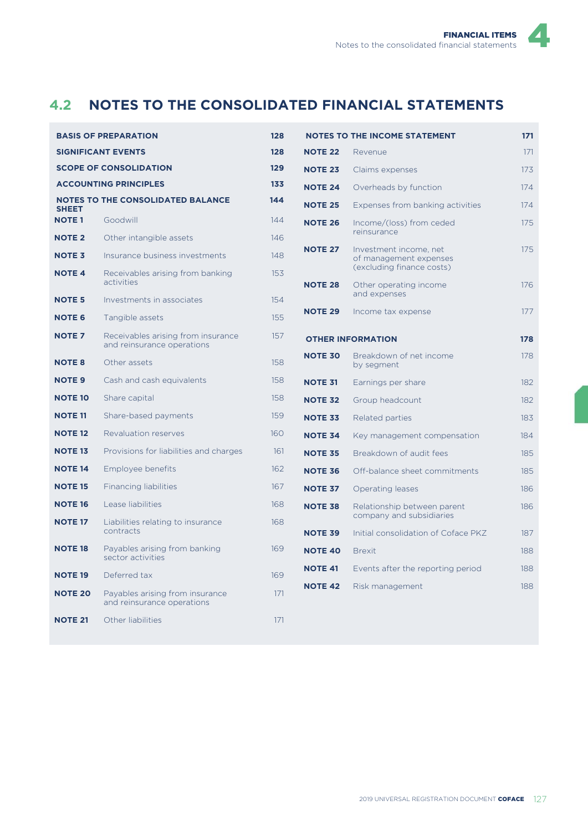# **4.2 NOTES TO THE CONSOLIDATED FINANCIAL STATEMENTS**

| <b>BASIS OF PREPARATION</b> |                                                                  |     |  |  |
|-----------------------------|------------------------------------------------------------------|-----|--|--|
|                             | <b>SIGNIFICANT EVENTS</b>                                        | 128 |  |  |
|                             | <b>SCOPE OF CONSOLIDATION</b>                                    | 129 |  |  |
|                             | <b>ACCOUNTING PRINCIPLES</b>                                     | 133 |  |  |
| <b>SHEET</b>                | <b>NOTES TO THE CONSOLIDATED BALANCE</b>                         | 144 |  |  |
| <b>NOTE1</b>                | Goodwill                                                         | 144 |  |  |
| <b>NOTE 2</b>               | Other intangible assets                                          | 146 |  |  |
| <b>NOTE 3</b>               | Insurance business investments                                   | 148 |  |  |
| <b>NOTE 4</b>               | Receivables arising from banking<br>activities                   | 153 |  |  |
| <b>NOTE 5</b>               | Investments in associates                                        | 154 |  |  |
| <b>NOTE 6</b>               | Tangible assets                                                  | 155 |  |  |
| <b>NOTE 7</b>               | Receivables arising from insurance<br>and reinsurance operations | 157 |  |  |
| <b>NOTE 8</b>               | Other assets                                                     | 158 |  |  |
| <b>NOTE 9</b>               | Cash and cash equivalents                                        | 158 |  |  |
| <b>NOTE 10</b>              | Share capital                                                    | 158 |  |  |
| <b>NOTE 11</b>              | Share-based payments                                             | 159 |  |  |
| <b>NOTE 12</b>              | Revaluation reserves                                             | 160 |  |  |
| <b>NOTE 13</b>              | Provisions for liabilities and charges                           | 161 |  |  |
| <b>NOTE 14</b>              | Employee benefits                                                | 162 |  |  |
| <b>NOTE 15</b>              | Financing liabilities                                            | 167 |  |  |
| <b>NOTE 16</b>              | Lease liabilities                                                | 168 |  |  |
| <b>NOTE 17</b>              | Liabilities relating to insurance<br>contracts                   | 168 |  |  |
| <b>NOTE 18</b>              | Payables arising from banking<br>sector activities               | 169 |  |  |
| <b>NOTE 19</b>              | Deferred tax                                                     | 169 |  |  |
| <b>NOTE 20</b>              | Payables arising from insurance<br>and reinsurance operations    | 171 |  |  |
| <b>NOTE 21</b>              | Other liabilities                                                | 171 |  |  |

|                | <b>NOTES TO THE INCOME STATEMENT</b>                                          | 171 |
|----------------|-------------------------------------------------------------------------------|-----|
| <b>NOTE 22</b> | Revenue                                                                       | 171 |
| <b>NOTE 23</b> | Claims expenses                                                               | 173 |
| <b>NOTE 24</b> | Overheads by function                                                         | 174 |
| <b>NOTE 25</b> | Expenses from banking activities                                              | 174 |
| <b>NOTE 26</b> | Income/(loss) from ceded<br>reinsurance                                       | 175 |
| <b>NOTE 27</b> | Investment income, net<br>of management expenses<br>(excluding finance costs) | 175 |
| <b>NOTE 28</b> | Other operating income<br>and expenses                                        | 176 |
| <b>NOTE 29</b> | Income tax expense                                                            | 177 |
|                | <b>OTHER INFORMATION</b>                                                      | 178 |
| <b>NOTE 30</b> | Breakdown of net income<br>by segment                                         | 178 |
| <b>NOTE 31</b> | Earnings per share                                                            | 182 |
| <b>NOTE 32</b> | Group headcount                                                               | 182 |
| <b>NOTE 33</b> | Related parties                                                               | 183 |
| <b>NOTE 34</b> | Key management compensation                                                   | 184 |
| <b>NOTE 35</b> | Breakdown of audit fees                                                       | 185 |
| <b>NOTE 36</b> | Off-balance sheet commitments                                                 | 185 |
| <b>NOTE 37</b> | Operating leases                                                              | 186 |
| <b>NOTE 38</b> | Relationship between parent<br>company and subsidiaries                       | 186 |
| <b>NOTE 39</b> | Initial consolidation of Coface PKZ                                           | 187 |
| <b>NOTE 40</b> | <b>Brexit</b>                                                                 | 188 |
| <b>NOTE 41</b> | Events after the reporting period                                             | 188 |
| <b>NOTE 42</b> | Risk management                                                               | 188 |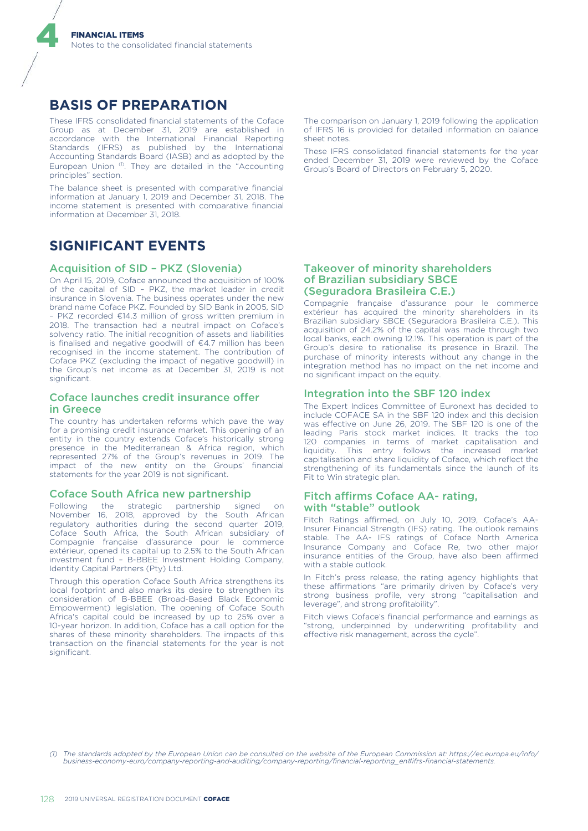### **BASIS OF PREPARATION**

4

These IFRS consolidated financial statements of the Coface Group as at December 31, 2019 are established in accordance with the International Financial Reporting Standards (IFRS) as published by the International Accounting Standards Board (IASB) and as adopted by the European Union<sup>(1)</sup>. They are detailed in the "Accounting principles" section.

The balance sheet is presented with comparative financial information at January 1, 2019 and December 31, 2018. The income statement is presented with comparative financial information at December 31, 2018.

### **SIGNIFICANT EVENTS**

#### Acquisition of SID – PKZ (Slovenia)

On April 15, 2019, Coface announced the acquisition of 100% of the capital of SID – PKZ, the market leader in credit insurance in Slovenia. The business operates under the new brand name Coface PKZ. Founded by SID Bank in 2005, SID – PKZ recorded €14.3 million of gross written premium in 2018. The transaction had a neutral impact on Coface's solvency ratio. The initial recognition of assets and liabilities is finalised and negative goodwill of €4.7 million has been recognised in the income statement. The contribution of Coface PKZ (excluding the impact of negative goodwill) in the Group's net income as at December 31, 2019 is not significant

#### Coface launches credit insurance offer in Greece

The country has undertaken reforms which pave the way for a promising credit insurance market. This opening of an entity in the country extends Coface's historically strong presence in the Mediterranean & Africa region, which represented 27% of the Group's revenues in 2019. The impact of the new entity on the Groups' financial statements for the year 2019 is not significant.

#### Coface South Africa new partnership

Following the strategic partnership signed on November 16, 2018, approved by the South African regulatory authorities during the second quarter 2019, Coface South Africa, the South African subsidiary of Compagnie française d'assurance pour le commerce extérieur, opened its capital up to 2.5% to the South African investment fund – B-BBEE Investment Holding Company, Identity Capital Partners (Pty) Ltd.

Through this operation Coface South Africa strengthens its local footprint and also marks its desire to strengthen its consideration of B-BBEE (Broad-Based Black Economic Empowerment) legislation. The opening of Coface South Africa's capital could be increased by up to 25% over a 10-year horizon. In addition, Coface has a call option for the shares of these minority shareholders. The impacts of this transaction on the financial statements for the year is not significant.

The comparison on January 1, 2019 following the application of IFRS 16 is provided for detailed information on balance sheet notes.

These IFRS consolidated financial statements for the year ended December 31, 2019 were reviewed by the Coface Group's Board of Directors on February 5, 2020.

#### Takeover of minority shareholders of Brazilian subsidiary SBCE (Seguradora Brasileira C.E.)

Compagnie française d'assurance pour le commerce extérieur has acquired the minority shareholders in its Brazilian subsidiary SBCE (Seguradora Brasileira C.E.). This acquisition of 24.2% of the capital was made through two local banks, each owning 12.1%. This operation is part of the Group's desire to rationalise its presence in Brazil. The purchase of minority interests without any change in the integration method has no impact on the net income and no significant impact on the equity.

#### Integration into the SBF 120 index

The Expert Indices Committee of Euronext has decided to include COFACE SA in the SBF 120 index and this decision was effective on June 26, 2019. The SBF 120 is one of the leading Paris stock market indices. It tracks the top 120 companies in terms of market capitalisation and liquidity. This entry follows the increased market capitalisation and share liquidity of Coface, which reflect the strengthening of its fundamentals since the launch of its Fit to Win strategic plan.

#### Fitch affirms Coface AA- rating, with "stable" outlook

Fitch Ratings affirmed, on July 10, 2019, Coface's AA-Insurer Financial Strength (IFS) rating. The outlook remains stable. The AA- IFS ratings of Coface North America Insurance Company and Coface Re, two other major insurance entities of the Group, have also been affirmed with a stable outlook.

In Fitch's press release, the rating agency highlights that these affirmations "are primarily driven by Coface's very strong business profile, very strong "capitalisation and leverage", and strong profitability".

Fitch views Coface's financial performance and earnings as "strong, underpinned by underwriting profitability and effective risk management, across the cycle".

*(1) The standards adopted by the European Union can be consulted on the website of the European Commission at: https://ec.europa.eu/info/ business-economy-euro/company-reporting-and-auditing/company-reporting/financial-reporting\_en#ifrs-financial-statements.*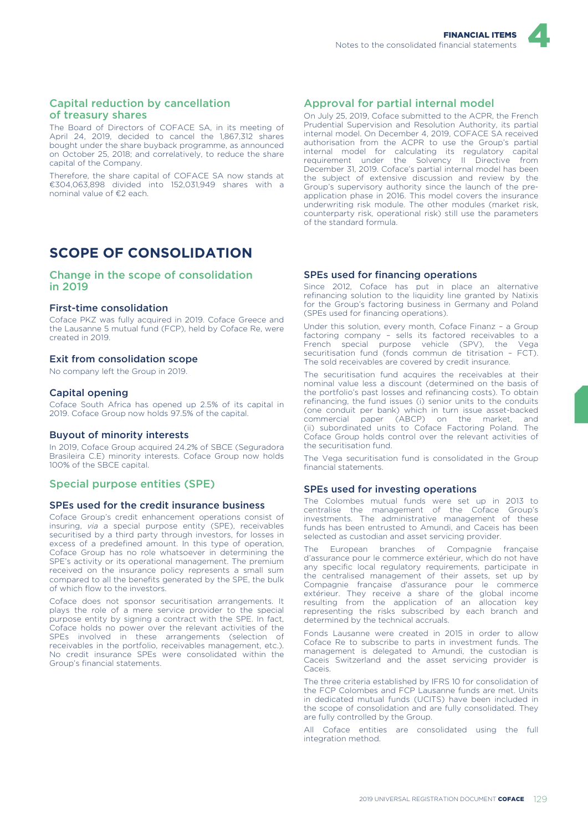

#### Capital reduction by cancellation of treasury shares

The Board of Directors of COFACE SA, in its meeting of April 24, 2019, decided to cancel the 1,867,312 shares bought under the share buyback programme, as announced on October 25, 2018; and correlatively, to reduce the share capital of the Company.

Therefore, the share capital of COFACE SA now stands at €304,063,898 divided into 152,031,949 shares with a nominal value of €2 each.

# **SCOPE OF CONSOLIDATION**

Change in the scope of consolidation in 2019

#### First-time consolidation

Coface PKZ was fully acquired in 2019. Coface Greece and the Lausanne 5 mutual fund (FCP), held by Coface Re, were created in 2019.

#### Exit from consolidation scope

No company left the Group in 2019.

#### Capital opening

Coface South Africa has opened up 2.5% of its capital in 2019. Coface Group now holds 97.5% of the capital.

#### Buyout of minority interests

In 2019, Coface Group acquired 24.2% of SBCE (Seguradora Brasileira C.E) minority interests. Coface Group now holds 100% of the SBCE capital.

#### Special purpose entities (SPE)

#### SPEs used for the credit insurance business

Coface Group's credit enhancement operations consist of insuring, *via* a special purpose entity (SPE), receivables securitised by a third party through investors, for losses in excess of a predefined amount. In this type of operation, Coface Group has no role whatsoever in determining the SPE's activity or its operational management. The premium received on the insurance policy represents a small sum compared to all the benefits generated by the SPE, the bulk of which flow to the investors.

Coface does not sponsor securitisation arrangements. It plays the role of a mere service provider to the special purpose entity by signing a contract with the SPE. In fact, Coface holds no power over the relevant activities of the SPEs involved in these arrangements (selection of receivables in the portfolio, receivables management, etc.). No credit insurance SPEs were consolidated within the Group's financial statements.

#### Approval for partial internal model

On July 25, 2019, Coface submitted to the ACPR, the French Prudential Supervision and Resolution Authority, its partial internal model. On December 4, 2019, COFACE SA received authorisation from the ACPR to use the Group's partial internal model for calculating its regulatory capital requirement under the Solvency II Directive from December 31, 2019. Coface's partial internal model has been the subject of extensive discussion and review by the Group's supervisory authority since the launch of the preapplication phase in 2016. This model covers the insurance underwriting risk module. The other modules (market risk, counterparty risk, operational risk) still use the parameters of the standard formula.

#### SPEs used for financing operations

Since 2012, Coface has put in place an alternative refinancing solution to the liquidity line granted by Natixis for the Group's factoring business in Germany and Poland (SPEs used for financing operations).

Under this solution, every month, Coface Finanz – a Group factoring company – sells its factored receivables to a French special purpose vehicle (SPV), the Vega securitisation fund (fonds commun de titrisation – FCT). The sold receivables are covered by credit insurance.

The securitisation fund acquires the receivables at their nominal value less a discount (determined on the basis of the portfolio's past losses and refinancing costs). To obtain refinancing, the fund issues (i) senior units to the conduits (one conduit per bank) which in turn issue asset-backed commercial paper (ABCP) on the market, and (ii) subordinated units to Coface Factoring Poland. The Coface Group holds control over the relevant activities of the securitisation fund.

The Vega securitisation fund is consolidated in the Group financial statements.

#### SPEs used for investing operations

The Colombes mutual funds were set up in 2013 to centralise the management of the Coface Group's investments. The administrative management of these funds has been entrusted to Amundi, and Caceis has been selected as custodian and asset servicing provider.

The European branches of Compagnie française d'assurance pour le commerce extérieur, which do not have any specific local regulatory requirements, participate in the centralised management of their assets, set up by Compagnie française d'assurance pour le commerce extérieur. They receive a share of the global income resulting from the application of an allocation key representing the risks subscribed by each branch and determined by the technical accruals.

Fonds Lausanne were created in 2015 in order to allow Coface Re to subscribe to parts in investment funds. The management is delegated to Amundi, the custodian is Caceis Switzerland and the asset servicing provider is Caceis.

The three criteria established by IFRS 10 for consolidation of the FCP Colombes and FCP Lausanne funds are met. Units in dedicated mutual funds (UCITS) have been included in the scope of consolidation and are fully consolidated. They are fully controlled by the Group.

All Coface entities are consolidated using the full integration method.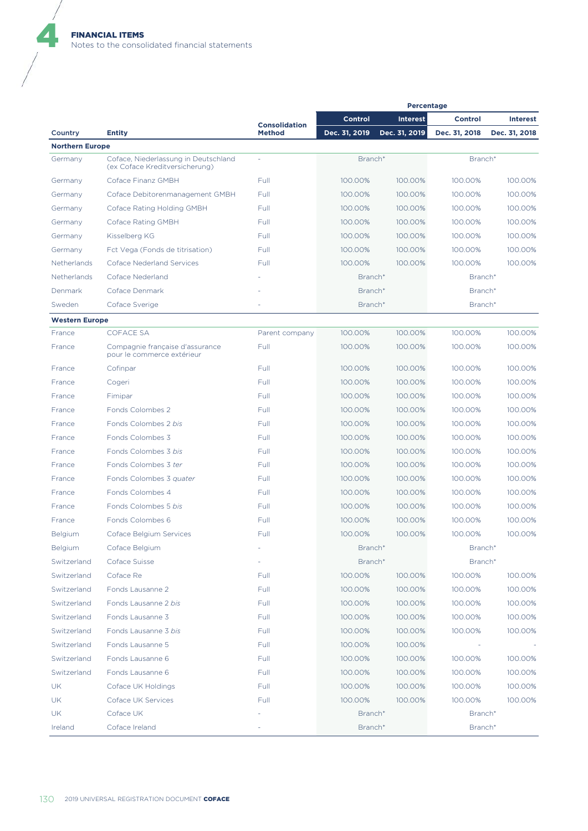$\blacklozenge$ 

|                        |                                                                        |                      | <b>Percentage</b> |                 |                |                 |  |
|------------------------|------------------------------------------------------------------------|----------------------|-------------------|-----------------|----------------|-----------------|--|
|                        |                                                                        | <b>Consolidation</b> | Control           | <b>Interest</b> | <b>Control</b> | <b>Interest</b> |  |
| Country                | <b>Entity</b>                                                          | <b>Method</b>        | Dec. 31, 2019     | Dec. 31, 2019   | Dec. 31, 2018  | Dec. 31, 2018   |  |
| <b>Northern Europe</b> |                                                                        |                      |                   |                 |                |                 |  |
| Germany                | Coface, Niederlassung in Deutschland<br>(ex Coface Kreditversicherung) |                      | Branch*           |                 | Branch*        |                 |  |
| Germany                | Coface Finanz GMBH                                                     | Full                 | 100.00%           | 100.00%         | 100.00%        | 100.00%         |  |
| Germany                | Coface Debitorenmanagement GMBH                                        | Full                 | 100.00%           | 100.00%         | 100.00%        | 100.00%         |  |
| Germany                | Coface Rating Holding GMBH                                             | Full                 | 100.00%           | 100.00%         | 100.00%        | 100.00%         |  |
| Germany                | Coface Rating GMBH                                                     | Full                 | 100.00%           | 100.00%         | 100.00%        | 100.00%         |  |
| Germany                | Kisselberg KG                                                          | Full                 | 100.00%           | 100.00%         | 100.00%        | 100.00%         |  |
| Germany                | Fct Vega (Fonds de titrisation)                                        | Full                 | 100.00%           | 100.00%         | 100.00%        | 100.00%         |  |
| Netherlands            | Coface Nederland Services                                              | Full                 | 100.00%           | 100.00%         | 100.00%        | 100.00%         |  |
| Netherlands            | Coface Nederland                                                       |                      | Branch*           |                 | Branch*        |                 |  |
| Denmark                | Coface Denmark                                                         |                      | Branch*           |                 | Branch*        |                 |  |
| Sweden                 | Coface Sverige                                                         |                      | Branch*           |                 | Branch*        |                 |  |
| <b>Western Europe</b>  |                                                                        |                      |                   |                 |                |                 |  |
| France                 | <b>COFACE SA</b>                                                       | Parent company       | 100.00%           | 100.00%         | 100.00%        | 100.00%         |  |
| France                 | Compagnie française d'assurance<br>pour le commerce extérieur          | Full                 | 100.00%           | 100.00%         | 100.00%        | 100.00%         |  |
| France                 | Cofinpar                                                               | Full                 | 100.00%           | 100.00%         | 100.00%        | 100.00%         |  |
| France                 | Cogeri                                                                 | Full                 | 100.00%           | 100.00%         | 100.00%        | 100.00%         |  |
| France                 | Fimipar                                                                | Full                 | 100.00%           | 100.00%         | 100.00%        | 100.00%         |  |
| France                 | Fonds Colombes 2                                                       | Full                 | 100.00%           | 100.00%         | 100.00%        | 100.00%         |  |
| France                 | Fonds Colombes 2 bis                                                   | Full                 | 100.00%           | 100.00%         | 100.00%        | 100.00%         |  |
| France                 | Fonds Colombes 3                                                       | Full                 | 100.00%           | 100.00%         | 100.00%        | 100.00%         |  |
| France                 | Fonds Colombes 3 bis                                                   | Full                 | 100.00%           | 100.00%         | 100.00%        | 100.00%         |  |
| France                 | Fonds Colombes 3 ter                                                   | Full                 | 100.00%           | 100.00%         | 100.00%        | 100.00%         |  |
| France                 | Fonds Colombes 3 quater                                                | Full                 | 100.00%           | 100.00%         | 100.00%        | 100.00%         |  |
| France                 | Fonds Colombes 4                                                       | Full                 | 100.00%           | 100.00%         | 100.00%        | 100.00%         |  |
| France                 | Fonds Colombes 5 bis                                                   | Full                 | 100.00%           | 100.00%         | 100.00%        | 100.00%         |  |
| France                 | Fonds Colombes 6                                                       | Full                 | 100.00%           | 100.00%         | 100.00%        | 100.00%         |  |
| Belgium                | Coface Belgium Services                                                | Full                 | 100.00%           | 100.00%         | 100.00%        | 100.00%         |  |
| <b>Belgium</b>         | Coface Belgium                                                         |                      | Branch*           |                 | Branch*        |                 |  |
| Switzerland            | Coface Suisse                                                          |                      | Branch*           |                 | Branch*        |                 |  |
| Switzerland            | Coface Re                                                              | Full                 | 100.00%           | 100.00%         | 100.00%        | 100.00%         |  |
| Switzerland            | Fonds Lausanne 2                                                       | Full                 | 100.00%           | 100.00%         | 100.00%        | 100.00%         |  |
| Switzerland            | Fonds Lausanne 2 bis                                                   | Full                 | 100.00%           | 100.00%         | 100.00%        | 100.00%         |  |
| Switzerland            | Fonds Lausanne 3                                                       | Full                 | 100.00%           | 100.00%         | 100.00%        | 100.00%         |  |
| Switzerland            | Fonds Lausanne 3 bis                                                   | Full                 | 100.00%           | 100.00%         | 100.00%        | 100.00%         |  |
| Switzerland            | Fonds Lausanne 5                                                       | Full                 | 100.00%           | 100.00%         |                |                 |  |
| Switzerland            | Fonds Lausanne 6                                                       | Full                 | 100.00%           | 100.00%         | 100.00%        | 100.00%         |  |
| Switzerland            | Fonds Lausanne 6                                                       | Full                 | 100.00%           | 100.00%         | 100.00%        | 100.00%         |  |
| UK                     | Coface UK Holdings                                                     | Full                 | 100.00%           | 100.00%         | 100.00%        | 100.00%         |  |
| <b>UK</b>              | Coface UK Services                                                     | Full                 | 100.00%           | 100.00%         | 100.00%        | 100.00%         |  |
| UK                     | Coface UK                                                              |                      | Branch*           |                 | Branch*        |                 |  |
| Ireland                | Coface Ireland                                                         |                      | Branch*           |                 | Branch*        |                 |  |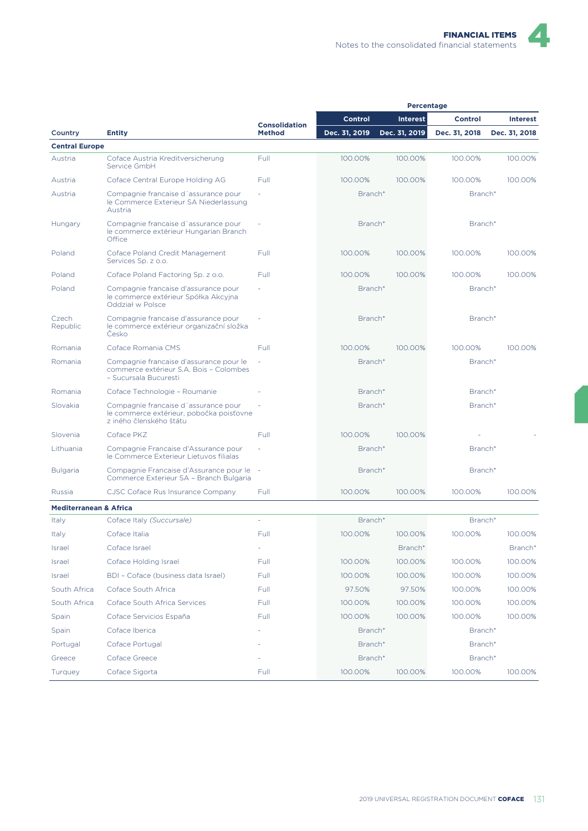| <b>Percentage</b>                 |                                                                                                             |                      |               |                 |                |                 |
|-----------------------------------|-------------------------------------------------------------------------------------------------------------|----------------------|---------------|-----------------|----------------|-----------------|
|                                   |                                                                                                             | <b>Consolidation</b> | Control       | <b>Interest</b> | <b>Control</b> | <b>Interest</b> |
| Country                           | <b>Entity</b>                                                                                               | <b>Method</b>        | Dec. 31, 2019 | Dec. 31, 2019   | Dec. 31, 2018  | Dec. 31, 2018   |
| <b>Central Europe</b>             |                                                                                                             |                      |               |                 |                |                 |
| Austria                           | Coface Austria Kreditversicherung<br>Service GmbH                                                           | Full                 | 100.00%       | 100.00%         | 100.00%        | 100.00%         |
| Austria                           | Coface Central Europe Holding AG                                                                            | Full                 | 100.00%       | 100.00%         | 100.00%        | 100.00%         |
| Austria                           | Compagnie francaise d'assurance pour<br>le Commerce Exterieur SA Niederlassung<br>Austria                   |                      | Branch*       |                 | Branch*        |                 |
| Hungary                           | Compagnie francaise d'assurance pour<br>le commerce extérieur Hungarian Branch<br>Office                    |                      | Branch*       |                 | Branch*        |                 |
| Poland                            | Coface Poland Credit Management<br>Services Sp. z o.o.                                                      | Full                 | 100.00%       | 100.00%         | 100.00%        | 100.00%         |
| Poland                            | Coface Poland Factoring Sp. z o.o.                                                                          | Full                 | 100.00%       | 100.00%         | 100.00%        | 100.00%         |
| Poland                            | Compagnie francaise d'assurance pour<br>le commerce extérieur Spółka Akcyjna<br>Oddział w Polsce            |                      | Branch*       |                 | Branch*        |                 |
| Czech<br>Republic                 | Compagnie francaise d'assurance pour<br>le commerce extérieur organizační složka<br>Česko                   |                      | Branch*       |                 | Branch*        |                 |
| Romania                           | Coface Romania CMS                                                                                          | Full                 | 100.00%       | 100.00%         | 100.00%        | 100.00%         |
| Romania                           | Compagnie francaise d'assurance pour le<br>commerce extérieur S.A. Bois - Colombes<br>- Sucursala Bucuresti |                      | Branch*       |                 | Branch*        |                 |
| Romania                           | Coface Technologie - Roumanie                                                                               |                      | Branch*       |                 | Branch*        |                 |
| Slovakia                          | Compagnie francaise d'assurance pour<br>le commerce extérieur, pobočka poisťovne<br>z iného členského štátu |                      | Branch*       |                 | Branch*        |                 |
| Slovenia                          | Coface PKZ                                                                                                  | Full                 | 100.00%       | 100.00%         |                |                 |
| Lithuania                         | Compagnie Francaise d'Assurance pour<br>le Commerce Exterieur Lietuvos filialas                             |                      | Branch*       |                 | Branch*        |                 |
| <b>Bulgaria</b>                   | Compagnie Francaise d'Assurance pour le -<br>Commerce Exterieur SA - Branch Bulgaria                        |                      | Branch*       |                 | Branch*        |                 |
| Russia                            | CJSC Coface Rus Insurance Company                                                                           | Full                 | 100.00%       | 100.00%         | 100.00%        | 100.00%         |
| <b>Mediterranean &amp; Africa</b> |                                                                                                             |                      |               |                 |                |                 |
| Italy                             | Coface Italy (Succursale)                                                                                   | ÷,                   | Branch*       |                 | Branch*        |                 |
| Italy                             | Coface Italia                                                                                               | Full                 | 100.00%       | 100.00%         | 100.00%        | 100.00%         |
| Israel                            | Coface Israel                                                                                               | ÷,                   |               | Branch*         |                | Branch*         |
| Israel                            | Coface Holding Israel                                                                                       | Full                 | 100.00%       | 100.00%         | 100.00%        | 100.00%         |
| Israel                            | BDI - Coface (business data Israel)                                                                         | Full                 | 100.00%       | 100.00%         | 100.00%        | 100.00%         |
| South Africa                      | Coface South Africa                                                                                         | Full                 | 97.50%        | 97.50%          | 100.00%        | 100.00%         |
| South Africa                      | Coface South Africa Services                                                                                | Full                 | 100.00%       | 100.00%         | 100.00%        | 100.00%         |
| Spain                             | Coface Servicios España                                                                                     | Full                 | 100.00%       | 100.00%         | 100.00%        | 100.00%         |
| Spain                             | Coface Iberica                                                                                              |                      | Branch*       |                 | Branch*        |                 |
| Portugal                          | Coface Portugal                                                                                             |                      | Branch*       |                 | Branch*        |                 |
| Greece                            | Coface Greece                                                                                               |                      | Branch*       |                 | Branch*        |                 |
| Turquey                           | Coface Sigorta                                                                                              | Full                 | 100.00%       | 100.00%         | 100.00%        | 100.00%         |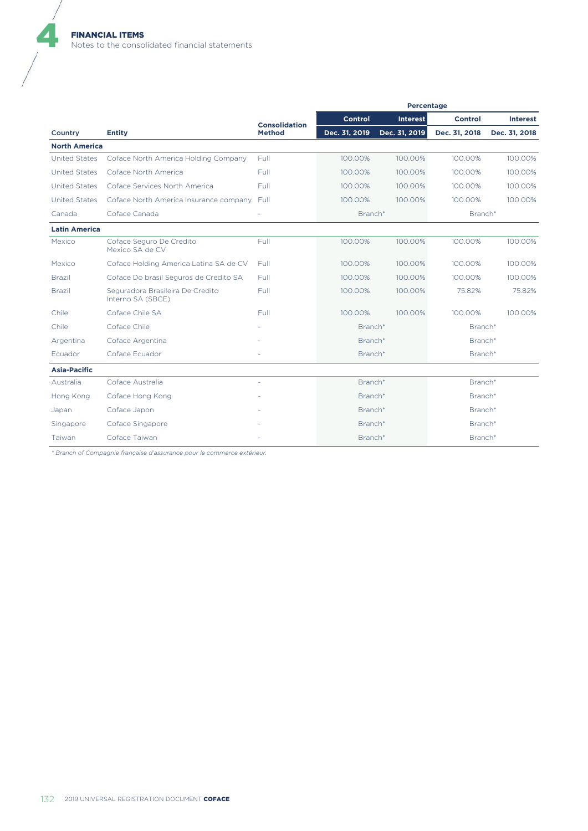$\blacklozenge$ 

|                      |                                                       |                      | Percentage    |                 |               |                 |
|----------------------|-------------------------------------------------------|----------------------|---------------|-----------------|---------------|-----------------|
|                      |                                                       | <b>Consolidation</b> | Control       | <b>Interest</b> | Control       | <b>Interest</b> |
| Country              | <b>Entity</b>                                         | <b>Method</b>        | Dec. 31, 2019 | Dec. 31, 2019   | Dec. 31, 2018 | Dec. 31, 2018   |
| <b>North America</b> |                                                       |                      |               |                 |               |                 |
| <b>United States</b> | Coface North America Holding Company                  | Full                 | 100.00%       | 100.00%         | 100.00%       | 100.00%         |
| <b>United States</b> | Coface North America                                  | Full                 | 100.00%       | 100.00%         | 100.00%       | 100.00%         |
| <b>United States</b> | Coface Services North America                         | Full                 | 100.00%       | 100.00%         | 100.00%       | 100.00%         |
| <b>United States</b> | Coface North America Insurance company                | Full                 | 100.00%       | 100.00%         | 100.00%       | 100.00%         |
| Canada               | Coface Canada                                         | ٠                    | Branch*       |                 | Branch*       |                 |
| <b>Latin America</b> |                                                       |                      |               |                 |               |                 |
| Mexico               | Coface Seguro De Credito<br>Mexico SA de CV           | Full                 | 100.00%       | 100.00%         | 100.00%       | 100.00%         |
| Mexico               | Coface Holding America Latina SA de CV                | Full                 | 100.00%       | 100.00%         | 100.00%       | 100.00%         |
| <b>Brazil</b>        | Coface Do brasil Seguros de Credito SA                | Full                 | 100.00%       | 100.00%         | 100.00%       | 100.00%         |
| <b>Brazil</b>        | Seguradora Brasileira De Credito<br>Interno SA (SBCE) | Full                 | 100.00%       | 100.00%         | 75.82%        | 75.82%          |
| Chile                | Coface Chile SA                                       | Full                 | 100.00%       | 100.00%         | 100.00%       | 100.00%         |
| Chile                | Coface Chile                                          |                      | Branch*       |                 | Branch*       |                 |
| Argentina            | Coface Argentina                                      |                      | Branch*       |                 | Branch*       |                 |
| Ecuador              | Coface Ecuador                                        |                      | Branch*       |                 | Branch*       |                 |
| <b>Asia-Pacific</b>  |                                                       |                      |               |                 |               |                 |
| Australia            | Coface Australia                                      |                      | Branch*       |                 | Branch*       |                 |
| Hong Kong            | Coface Hong Kong                                      |                      | Branch*       |                 | Branch*       |                 |
| Japan                | Coface Japon                                          |                      | Branch*       |                 | Branch*       |                 |
| Singapore            | Coface Singapore                                      |                      | Branch*       |                 | Branch*       |                 |
| Taiwan               | Coface Taiwan                                         |                      | Branch*       |                 | Branch*       |                 |

*\* Branch of Compagnie française d'assurance pour le commerce extérieur.*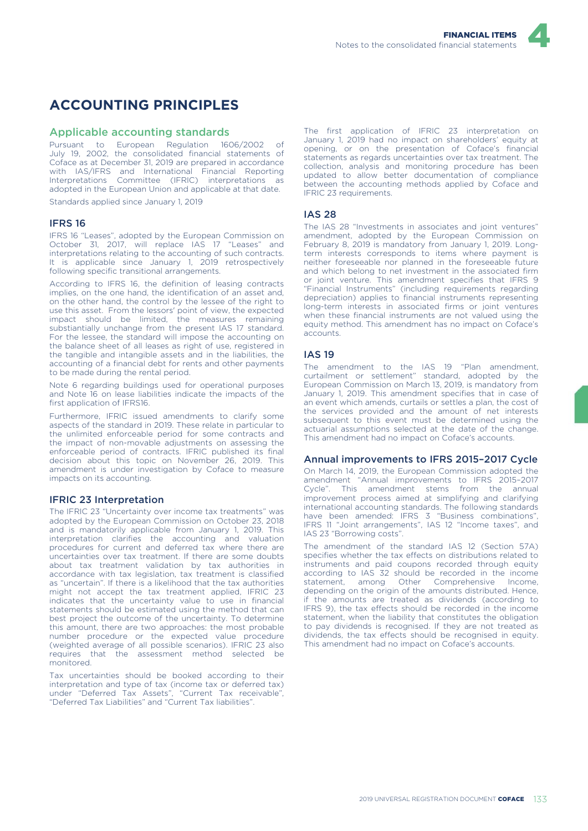

### **ACCOUNTING PRINCIPLES**

#### Applicable accounting standards

Pursuant to European Regulation 1606/2002 of July 19, 2002, the consolidated financial statements of Coface as at December 31, 2019 are prepared in accordance with IAS/IFRS and International Financial Reporting Interpretations Committee (IFRIC) interpretations as adopted in the European Union and applicable at that date.

Standards applied since January 1, 2019

#### IFRS 16

IFRS 16 "Leases", adopted by the European Commission on October 31, 2017, will replace IAS 17 "Leases" and interpretations relating to the accounting of such contracts. It is applicable since January 1, 2019 retrospectively following specific transitional arrangements.

According to IFRS 16, the definition of leasing contracts implies, on the one hand, the identification of an asset and on the other hand, the control by the lessee of the right to use this asset. From the lessors' point of view, the expected impact should be limited, the measures remaining substiantially unchange from the present IAS 17 standard. For the lessee, the standard will impose the accounting on the balance sheet of all leases as right of use, registered in the tangible and intangible assets and in the liabilities, the accounting of a financial debt for rents and other payments to be made during the rental period.

Note 6 regarding buildings used for operational purposes and Note 16 on lease liabilities indicate the impacts of the first application of IFRS16.

Furthermore, IFRIC issued amendments to clarify some aspects of the standard in 2019. These relate in particular to the unlimited enforceable period for some contracts and the impact of non-movable adjustments on assessing the enforceable period of contracts. IFRIC published its final decision about this topic on November 26, 2019. This amendment is under investigation by Coface to measure impacts on its accounting.

#### IFRIC 23 Interpretation

The IFRIC 23 "Uncertainty over income tax treatments" was adopted by the European Commission on October 23, 2018 and is mandatorily applicable from January 1, 2019. This interpretation clarifies the accounting and valuation procedures for current and deferred tax where there are uncertainties over tax treatment. If there are some doubts about tax treatment validation by tax authorities in accordance with tax legislation, tax treatment is classified as "uncertain". If there is a likelihood that the tax authorities might not accept the tax treatment applied, IFRIC 23 indicates that the uncertainty value to use in financial statements should be estimated using the method that can best project the outcome of the uncertainty. To determine this amount, there are two approaches: the most probable number procedure or the expected value procedure (weighted average of all possible scenarios). IFRIC 23 also requires that the assessment method selected be monitored.

Tax uncertainties should be booked according to their interpretation and type of tax (income tax or deferred tax) under "Deferred Tax Assets", "Current Tax receivable", "Deferred Tax Liabilities" and "Current Tax liabilities".

The first application of IFRIC 23 interpretation on January 1, 2019 had no impact on shareholders' equity at opening, or on the presentation of Coface's financial statements as regards uncertainties over tax treatment. The collection, analysis and monitoring procedure has been updated to allow better documentation of compliance between the accounting methods applied by Coface and IFRIC 23 requirements.

#### IAS 28

The IAS 28 "Investments in associates and joint ventures" amendment, adopted by the European Commission on February 8, 2019 is mandatory from January 1, 2019. Longterm interests corresponds to items where payment is neither foreseeable nor planned in the foreseeable future and which belong to net investment in the associated firm or joint venture. This amendment specifies that IFRS 9 "Financial Instruments" (including requirements regarding depreciation) applies to financial instruments representing long-term interests in associated firms or joint ventures when these financial instruments are not valued using the equity method. This amendment has no impact on Coface's accounts.

#### IAS 19

The amendment to the IAS 19 "Plan amendment, curtailment or settlement" standard, adopted by the European Commission on March 13, 2019, is mandatory from January 1, 2019. This amendment specifies that in case of an event which amends, curtails or settles a plan, the cost of the services provided and the amount of net interests subsequent to this event must be determined using the actuarial assumptions selected at the date of the change. This amendment had no impact on Coface's accounts.

#### Annual improvements to IFRS 2015–2017 Cycle

On March 14, 2019, the European Commission adopted the amendment "Annual improvements to IFRS 2015–2017 Cycle". This amendment stems from the annual improvement process aimed at simplifying and clarifying international accounting standards. The following standards have been amended: IFRS 3 "Business combinations", IFRS 11 "Joint arrangements", IAS 12 "Income taxes", and IAS 23 "Borrowing costs".

The amendment of the standard IAS 12 (Section 57A) specifies whether the tax effects on distributions related to instruments and paid coupons recorded through equity according to IAS 32 should be recorded in the income statement, among Other Comprehensive Income, Other Comprehensive Income, depending on the origin of the amounts distributed. Hence, if the amounts are treated as dividends (according to IFRS 9), the tax effects should be recorded in the income statement, when the liability that constitutes the obligation to pay dividends is recognised. If they are not treated as dividends, the tax effects should be recognised in equity. This amendment had no impact on Coface's accounts.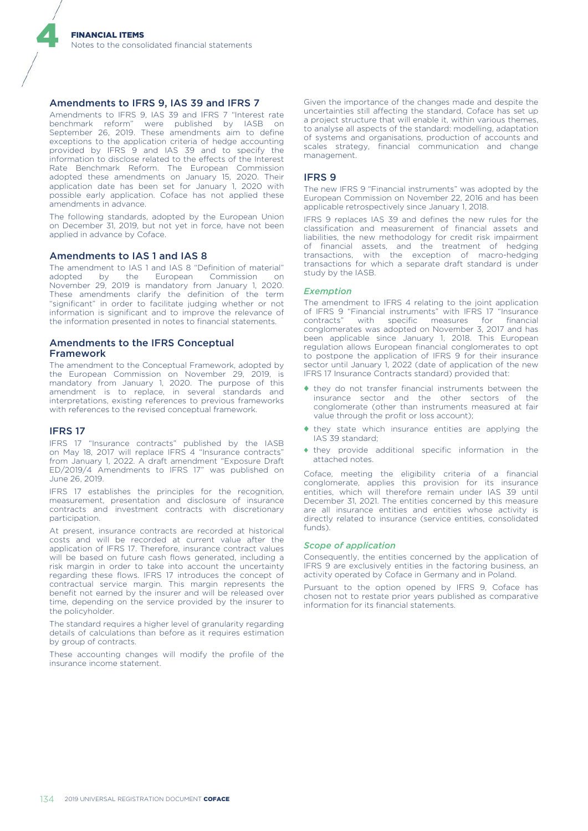#### Amendments to IFRS 9, IAS 39 and IFRS 7

Amendments to IFRS 9, IAS 39 and IFRS 7 "Interest rate benchmark reform" were published by IASB on September 26, 2019. These amendments aim to define exceptions to the application criteria of hedge accounting provided by IFRS 9 and IAS 39 and to specify the information to disclose related to the effects of the Interest Rate Benchmark Reform. The European Commission adopted these amendments on January 15, 2020. Their application date has been set for January 1, 2020 with possible early application. Coface has not applied these amendments in advance.

The following standards, adopted by the European Union on December 31, 2019, but not yet in force, have not been applied in advance by Coface.

#### Amendments to IAS 1 and IAS 8

The amendment to IAS 1 and IAS 8 "Definition of material" adopted by the European Commission on November 29, 2019 is mandatory from January 1, 2020. These amendments clarify the definition of the term "significant" in order to facilitate judging whether or not information is significant and to improve the relevance of the information presented in notes to financial statements.

#### Amendments to the IFRS Conceptual Framework

The amendment to the Conceptual Framework, adopted by the European Commission on November 29, 2019, is mandatory from January 1, 2020. The purpose of this amendment is to replace, in several standards and interpretations, existing references to previous frameworks with references to the revised conceptual framework.

#### IFRS 17

4

IFRS 17 "Insurance contracts" published by the IASB on May 18, 2017 will replace IFRS 4 "Insurance contracts" from January 1, 2022. A draft amendment "Exposure Draft ED/2019/4 Amendments to IFRS 17" was published on June 26, 2019.

IFRS 17 establishes the principles for the recognition, measurement, presentation and disclosure of insurance contracts and investment contracts with discretionary participation.

At present, insurance contracts are recorded at historical costs and will be recorded at current value after the application of IFRS 17. Therefore, insurance contract values will be based on future cash flows generated, including a risk margin in order to take into account the uncertainty regarding these flows. IFRS 17 introduces the concept of contractual service margin. This margin represents the benefit not earned by the insurer and will be released over time, depending on the service provided by the insurer to the policyholder.

The standard requires a higher level of granularity regarding details of calculations than before as it requires estimation by group of contracts.

These accounting changes will modify the profile of the insurance income statement.

Given the importance of the changes made and despite the uncertainties still affecting the standard, Coface has set up a project structure that will enable it, within various themes, to analyse all aspects of the standard: modelling, adaptation of systems and organisations, production of accounts and scales strategy, financial communication and change management.

#### IFRS 9

The new IFRS 9 "Financial instruments" was adopted by the European Commission on November 22, 2016 and has been applicable retrospectively since January 1, 2018.

IFRS 9 replaces IAS 39 and defines the new rules for the classification and measurement of financial assets and liabilities, the new methodology for credit risk impairment of financial assets, and the treatment of hedging transactions, with the exception of macro-hedging transactions for which a separate draft standard is under study by the IASB.

#### *Exemption*

The amendment to IFRS 4 relating to the joint application of IFRS 9 "Financial instruments" with IFRS 17 "Insurance contracts" with specific measures for financial conglomerates was adopted on November 3, 2017 and has been applicable since January 1, 2018. This European regulation allows European financial conglomerates to opt to postpone the application of IFRS 9 for their insurance sector until January 1, 2022 (date of application of the new IFRS 17 Insurance Contracts standard) provided that:

- ♦ they do not transfer financial instruments between the insurance sector and the other sectors of the conglomerate (other than instruments measured at fair value through the profit or loss account);
- ♦ they state which insurance entities are applying the IAS 39 standard;
- ♦ they provide additional specific information in the attached notes.

Coface, meeting the eligibility criteria of a financial conglomerate, applies this provision for its insurance entities, which will therefore remain under IAS 39 until December 31, 2021. The entities concerned by this measure are all insurance entities and entities whose activity is directly related to insurance (service entities, consolidated funds).

#### *Scope of application*

Consequently, the entities concerned by the application of IFRS 9 are exclusively entities in the factoring business, an activity operated by Coface in Germany and in Poland.

Pursuant to the option opened by IFRS 9, Coface has chosen not to restate prior years published as comparative information for its financial statements.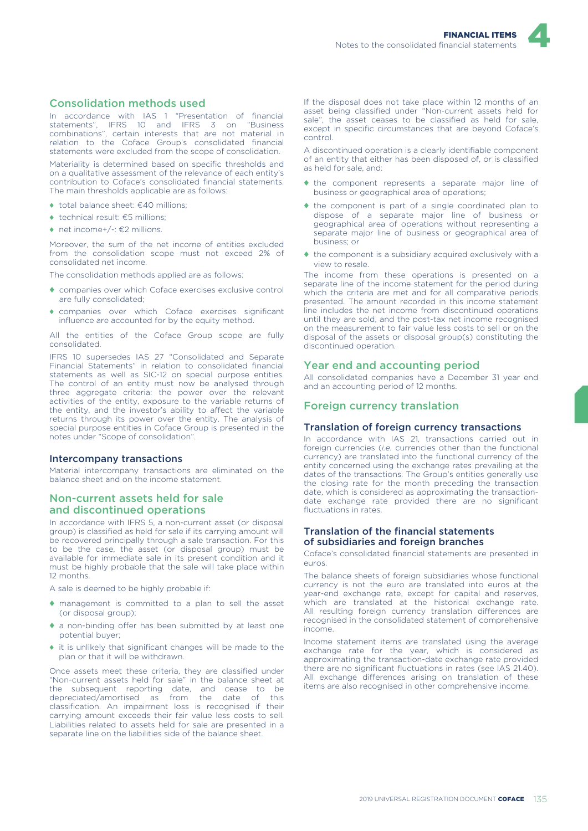

#### Consolidation methods used

In accordance with IAS 1 "Presentation of financial statements", IFRS 10 and IFRS 3 on "Business combinations", certain interests that are not material in relation to the Coface Group's consolidated financial statements were excluded from the scope of consolidation.

Materiality is determined based on specific thresholds and on a qualitative assessment of the relevance of each entity's contribution to Coface's consolidated financial statements. The main thresholds applicable are as follows:

- $\bullet$  total balance sheet:  $f(40)$  millions;
- ♦ technical result: €5 millions;
- ♦ net income+/-: €2 millions.

Moreover, the sum of the net income of entities excluded from the consolidation scope must not exceed 2% of consolidated net income.

The consolidation methods applied are as follows:

- ♦ companies over which Coface exercises exclusive control are fully consolidated;
- ♦ companies over which Coface exercises significant influence are accounted for by the equity method.

All the entities of the Coface Group scope are fully consolidated.

IFRS 10 supersedes IAS 27 "Consolidated and Separate Financial Statements" in relation to consolidated financial statements as well as SIC-12 on special purpose entities. The control of an entity must now be analysed through three aggregate criteria: the power over the relevant activities of the entity, exposure to the variable returns of the entity, and the investor's ability to affect the variable returns through its power over the entity. The analysis of special purpose entities in Coface Group is presented in the notes under "Scope of consolidation".

#### Intercompany transactions

Material intercompany transactions are eliminated on the balance sheet and on the income statement.

#### Non-current assets held for sale and discontinued operations

In accordance with IFRS 5, a non-current asset (or disposal group) is classified as held for sale if its carrying amount will be recovered principally through a sale transaction. For this to be the case, the asset (or disposal group) must be available for immediate sale in its present condition and it must be highly probable that the sale will take place within 12 months.

A sale is deemed to be highly probable if:

- ♦ management is committed to a plan to sell the asset (or disposal group);
- ♦ a non-binding offer has been submitted by at least one potential buyer;
- ♦ it is unlikely that significant changes will be made to the plan or that it will be withdrawn.

Once assets meet these criteria, they are classified under "Non-current assets held for sale" in the balance sheet at the subsequent reporting date, and cease to be depreciated/amortised as from the date of this classification. An impairment loss is recognised if their carrying amount exceeds their fair value less costs to sell. Liabilities related to assets held for sale are presented in a separate line on the liabilities side of the balance sheet.

If the disposal does not take place within 12 months of an asset being classified under "Non-current assets held for sale", the asset ceases to be classified as held for sale, except in specific circumstances that are beyond Coface's control.

A discontinued operation is a clearly identifiable component of an entity that either has been disposed of, or is classified as held for sale, and:

- ♦ the component represents a separate major line of business or geographical area of operations;
- ♦ the component is part of a single coordinated plan to dispose of a separate major line of business or geographical area of operations without representing a separate major line of business or geographical area of business; or
- ♦ the component is a subsidiary acquired exclusively with a view to resale.

The income from these operations is presented on a separate line of the income statement for the period during which the criteria are met and for all comparative periods presented. The amount recorded in this income statement line includes the net income from discontinued operations until they are sold, and the post-tax net income recognised on the measurement to fair value less costs to sell or on the disposal of the assets or disposal group(s) constituting the discontinued operation.

#### Year end and accounting period

All consolidated companies have a December 31 year end and an accounting period of 12 months.

#### Foreign currency translation

#### Translation of foreign currency transactions

In accordance with IAS 21, transactions carried out in foreign currencies (*i.e.* currencies other than the functional currency) are translated into the functional currency of the entity concerned using the exchange rates prevailing at the dates of the transactions. The Group's entities generally use the closing rate for the month preceding the transaction date, which is considered as approximating the transactiondate exchange rate provided there are no significant fluctuations in rates.

#### Translation of the financial statements of subsidiaries and foreign branches

Coface's consolidated financial statements are presented in euros.

The balance sheets of foreign subsidiaries whose functional currency is not the euro are translated into euros at the year-end exchange rate, except for capital and reserves, which are translated at the historical exchange rate. All resulting foreign currency translation differences are recognised in the consolidated statement of comprehensive income.

Income statement items are translated using the average exchange rate for the year, which is considered as approximating the transaction-date exchange rate provided there are no significant fluctuations in rates (see IAS 21.40). All exchange differences arising on translation of these items are also recognised in other comprehensive income.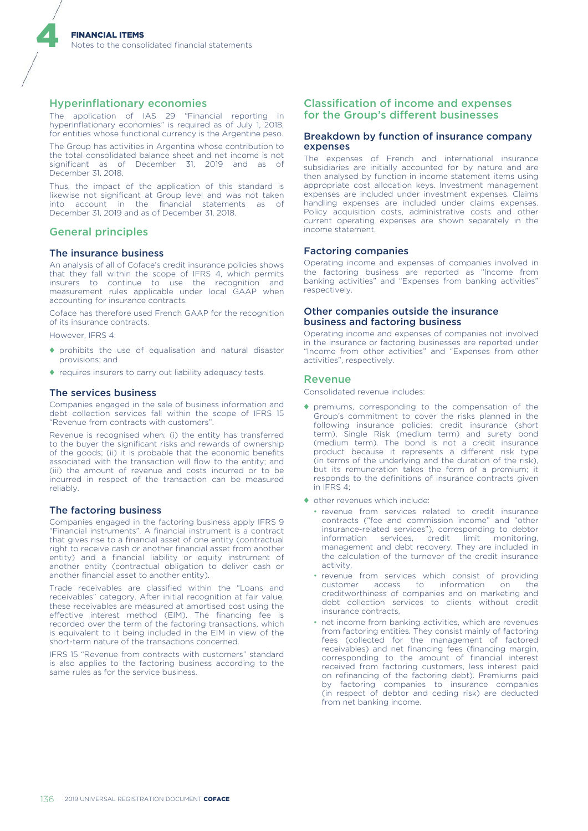#### Hyperinflationary economies

The application of IAS 29 "Financial reporting in hyperinflationary economies" is required as of July 1, 2018, for entities whose functional currency is the Argentine peso.

The Group has activities in Argentina whose contribution to the total consolidated balance sheet and net income is not significant as of December 31, 2019 and as of December 31, 2018.

Thus, the impact of the application of this standard is likewise not significant at Group level and was not taken into account in the financial statements as of December 31, 2019 and as of December 31, 2018.

#### General principles

4

#### The insurance business

An analysis of all of Coface's credit insurance policies shows that they fall within the scope of IFRS 4, which permits insurers to continue to use the recognition and measurement rules applicable under local GAAP when accounting for insurance contracts.

Coface has therefore used French GAAP for the recognition of its insurance contracts.

However, IFRS 4:

- ♦ prohibits the use of equalisation and natural disaster provisions; and
- ♦ requires insurers to carry out liability adequacy tests.

#### The services business

Companies engaged in the sale of business information and debt collection services fall within the scope of IFRS 15 "Revenue from contracts with customers".

Revenue is recognised when: (i) the entity has transferred to the buyer the significant risks and rewards of ownership of the goods; (ii) it is probable that the economic benefits associated with the transaction will flow to the entity; and (iii) the amount of revenue and costs incurred or to be incurred in respect of the transaction can be measured reliably.

#### The factoring business

Companies engaged in the factoring business apply IFRS 9 "Financial instruments". A financial instrument is a contract that gives rise to a financial asset of one entity (contractual right to receive cash or another financial asset from another entity) and a financial liability or equity instrument of another entity (contractual obligation to deliver cash or another financial asset to another entity).

Trade receivables are classified within the "Loans and receivables" category. After initial recognition at fair value, these receivables are measured at amortised cost using the effective interest method (EIM). The financing fee is recorded over the term of the factoring transactions, which is equivalent to it being included in the EIM in view of the short-term nature of the transactions concerned.

IFRS 15 "Revenue from contracts with customers" standard is also applies to the factoring business according to the same rules as for the service business.

#### Classification of income and expenses for the Group's different businesses

#### Breakdown by function of insurance company expenses

The expenses of French and international insurance subsidiaries are initially accounted for by nature and are then analysed by function in income statement items using appropriate cost allocation keys. Investment management expenses are included under investment expenses. Claims handling expenses are included under claims expenses. Policy acquisition costs, administrative costs and other current operating expenses are shown separately in the income statement.

#### Factoring companies

Operating income and expenses of companies involved in the factoring business are reported as "Income from banking activities" and "Expenses from banking activities" respectively.

#### Other companies outside the insurance business and factoring business

Operating income and expenses of companies not involved in the insurance or factoring businesses are reported under "Income from other activities" and "Expenses from other activities", respectively.

#### Revenue

Consolidated revenue includes:

- ♦ premiums, corresponding to the compensation of the Group's commitment to cover the risks planned in the following insurance policies: credit insurance (short term), Single Risk (medium term) and surety bond (medium term). The bond is not a credit insurance product because it represents a different risk type (in terms of the underlying and the duration of the risk), but its remuneration takes the form of a premium; it responds to the definitions of insurance contracts given in IFRS 4;
- ♦ other revenues which include:
	- revenue from services related to credit insurance contracts ("fee and commission income" and "other insurance-related services"), corresponding to debtor information services, credit limit monitoring, management and debt recovery. They are included in the calculation of the turnover of the credit insurance activity,
	- revenue from services which consist of providing<br>customer access to information on the access to information on the creditworthiness of companies and on marketing and debt collection services to clients without credit insurance contracts,
	- net income from banking activities, which are revenues from factoring entities. They consist mainly of factoring fees (collected for the management of factored receivables) and net financing fees (financing margin, corresponding to the amount of financial interest received from factoring customers, less interest paid on refinancing of the factoring debt). Premiums paid by factoring companies to insurance companies (in respect of debtor and ceding risk) are deducted from net banking income.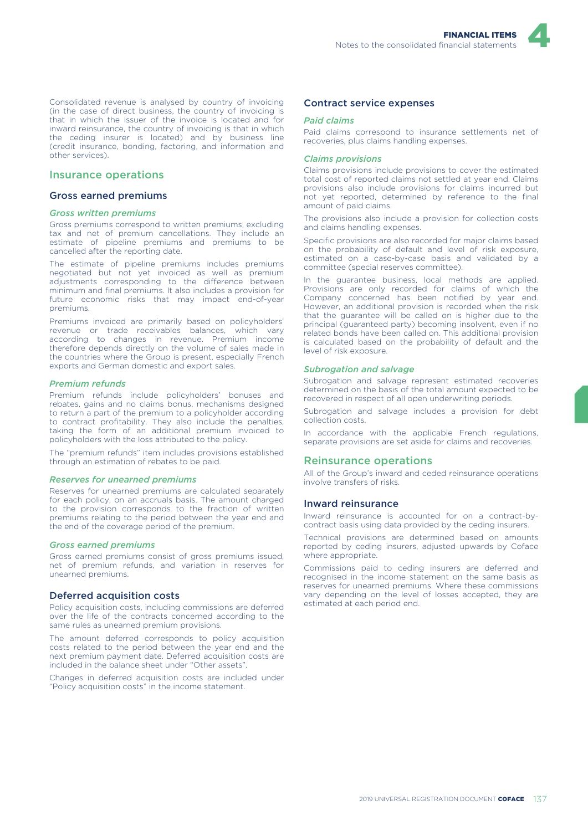

#### Insurance operations

#### Gross earned premiums

#### *Gross written premiums*

Gross premiums correspond to written premiums, excluding tax and net of premium cancellations. They include an estimate of pipeline premiums and premiums to be cancelled after the reporting date.

The estimate of pipeline premiums includes premiums negotiated but not yet invoiced as well as premium adjustments corresponding to the difference between minimum and final premiums. It also includes a provision for future economic risks that may impact end-of-year premiums.

Premiums invoiced are primarily based on policyholders' revenue or trade receivables balances, which vary according to changes in revenue. Premium income therefore depends directly on the volume of sales made in the countries where the Group is present, especially French exports and German domestic and export sales.

#### *Premium refunds*

Premium refunds include policyholders' bonuses and rebates, gains and no claims bonus, mechanisms designed to return a part of the premium to a policyholder according to contract profitability. They also include the penalties, taking the form of an additional premium invoiced to policyholders with the loss attributed to the policy.

The "premium refunds" item includes provisions established through an estimation of rebates to be paid.

#### *Reserves for unearned premiums*

Reserves for unearned premiums are calculated separately for each policy, on an accruals basis. The amount charged to the provision corresponds to the fraction of written premiums relating to the period between the year end and the end of the coverage period of the premium.

#### *Gross earned premiums*

Gross earned premiums consist of gross premiums issued, net of premium refunds, and variation in reserves for unearned premiums.

#### Deferred acquisition costs

Policy acquisition costs, including commissions are deferred over the life of the contracts concerned according to the same rules as unearned premium provisions.

The amount deferred corresponds to policy acquisition costs related to the period between the year end and the next premium payment date. Deferred acquisition costs are included in the balance sheet under "Other assets".

Changes in deferred acquisition costs are included under "Policy acquisition costs" in the income statement.

#### Contract service expenses

#### *Paid claims*

Paid claims correspond to insurance settlements net of recoveries, plus claims handling expenses.

#### *Claims provisions*

Claims provisions include provisions to cover the estimated total cost of reported claims not settled at year end. Claims provisions also include provisions for claims incurred but not yet reported, determined by reference to the final amount of paid claims.

The provisions also include a provision for collection costs and claims handling expenses.

Specific provisions are also recorded for major claims based on the probability of default and level of risk exposure, estimated on a case-by-case basis and validated by a committee (special reserves committee).

In the guarantee business, local methods are applied. Provisions are only recorded for claims of which the Company concerned has been notified by year end. However, an additional provision is recorded when the risk that the guarantee will be called on is higher due to the principal (guaranteed party) becoming insolvent, even if no related bonds have been called on. This additional provision is calculated based on the probability of default and the level of risk exposure.

#### *Subrogation and salvage*

Subrogation and salvage represent estimated recoveries determined on the basis of the total amount expected to be recovered in respect of all open underwriting periods.

Subrogation and salvage includes a provision for debt collection costs.

In accordance with the applicable French regulations, separate provisions are set aside for claims and recoveries.

#### Reinsurance operations

All of the Group's inward and ceded reinsurance operations involve transfers of risks.

#### Inward reinsurance

Inward reinsurance is accounted for on a contract-bycontract basis using data provided by the ceding insurers.

Technical provisions are determined based on amounts reported by ceding insurers, adjusted upwards by Coface where appropriate.

Commissions paid to ceding insurers are deferred and recognised in the income statement on the same basis as reserves for unearned premiums. Where these commissions vary depending on the level of losses accepted, they are estimated at each period end.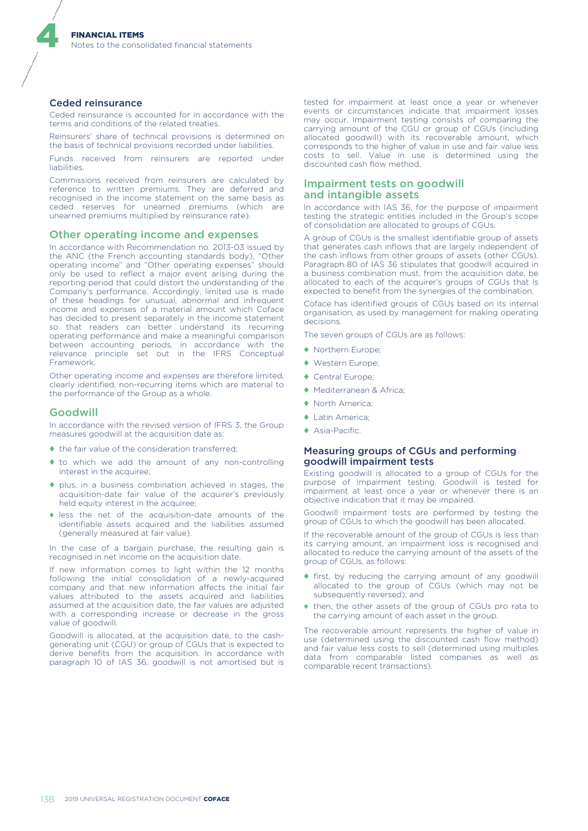#### Ceded reinsurance

4

Ceded reinsurance is accounted for in accordance with the terms and conditions of the related treaties.

Reinsurers' share of technical provisions is determined on the basis of technical provisions recorded under liabilities.

Funds received from reinsurers are reported under liabilities.

Commissions received from reinsurers are calculated by reference to written premiums. They are deferred and recognised in the income statement on the same basis as ceded reserves for unearned premiums (which are unearned premiums multiplied by reinsurance rate).

#### Other operating income and expenses

In accordance with Recommendation no. 2013-03 issued by the ANC (the French accounting standards body), "Other operating income" and "Other operating expenses" should only be used to reflect a major event arising during the reporting period that could distort the understanding of the Company's performance. Accordingly, limited use is made of these headings for unusual, abnormal and infrequent income and expenses of a material amount which Coface has decided to present separately in the income statement so that readers can better understand its recurring operating performance and make a meaningful comparison between accounting periods, in accordance with the relevance principle set out in the IFRS Conceptual Framework.

Other operating income and expenses are therefore limited, clearly identified, non-recurring items which are material to the performance of the Group as a whole.

#### Goodwill

In accordance with the revised version of IFRS 3, the Group measures goodwill at the acquisition date as:

- $\bullet$  the fair value of the consideration transferred;
- ♦ to which we add the amount of any non-controlling interest in the acquiree;
- ♦ plus, in a business combination achieved in stages, the acquisition-date fair value of the acquirer's previously held equity interest in the acquiree;
- ♦ less the net of the acquisition-date amounts of the identifiable assets acquired and the liabilities assumed (generally measured at fair value).

In the case of a bargain purchase, the resulting gain is recognised in net income on the acquisition date.

If new information comes to light within the 12 months following the initial consolidation of a newly-acquired company and that new information affects the initial fair values attributed to the assets acquired and liabilities assumed at the acquisition date, the fair values are adjusted with a corresponding increase or decrease in the gross value of goodwill.

Goodwill is allocated, at the acquisition date, to the cashgenerating unit (CGU) or group of CGUs that is expected to derive benefits from the acquisition. In accordance with paragraph 10 of IAS 36, goodwill is not amortised but is

tested for impairment at least once a year or whenever events or circumstances indicate that impairment losses may occur. Impairment testing consists of comparing the carrying amount of the CGU or group of CGUs (including allocated goodwill) with its recoverable amount, which corresponds to the higher of value in use and fair value less costs to sell. Value in use is determined using the discounted cash flow method.

#### Impairment tests on goodwill and intangible assets

In accordance with IAS 36, for the purpose of impairment testing the strategic entities included in the Group's scope of consolidation are allocated to groups of CGUs.

A group of CGUs is the smallest identifiable group of assets that generates cash inflows that are largely independent of the cash inflows from other groups of assets (other CGUs). Paragraph 80 of IAS 36 stipulates that goodwill acquired in a business combination must, from the acquisition date, be allocated to each of the acquirer's groups of CGUs that is expected to benefit from the synergies of the combination.

Coface has identified groups of CGUs based on its internal organisation, as used by management for making operating decisions.

The seven groups of CGUs are as follows:

- ♦ Northern Europe;
- ♦ Western Europe;
- ♦ Central Europe;
- ♦ Mediterranean & Africa;
- ♦ North America;
- ♦ Latin America;
- ♦ Asia-Pacific.

#### Measuring groups of CGUs and performing goodwill impairment tests

Existing goodwill is allocated to a group of CGUs for the purpose of impairment testing. Goodwill is tested for impairment at least once a year or whenever there is an objective indication that it may be impaired.

Goodwill impairment tests are performed by testing the group of CGUs to which the goodwill has been allocated.

If the recoverable amount of the group of CGUs is less than its carrying amount, an impairment loss is recognised and allocated to reduce the carrying amount of the assets of the group of CGUs, as follows:

- ♦ first, by reducing the carrying amount of any goodwill allocated to the group of CGUs (which may not be subsequently reversed); and
- ♦ then, the other assets of the group of CGUs pro rata to the carrying amount of each asset in the group.

The recoverable amount represents the higher of value in use (determined using the discounted cash flow method) and fair value less costs to sell (determined using multiples data from comparable listed companies as well as comparable recent transactions).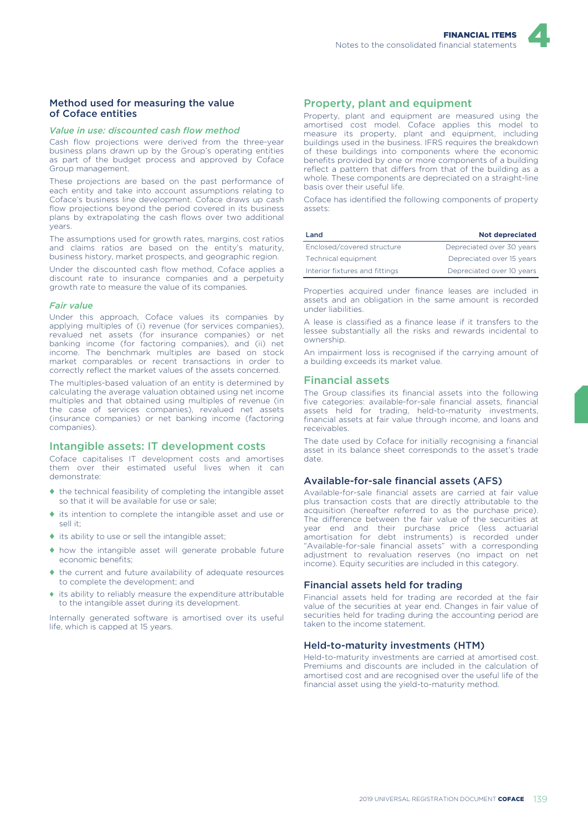

#### Method used for measuring the value of Coface entities

#### *Value in use: discounted cash flow method*

Cash flow projections were derived from the three-year business plans drawn up by the Group's operating entities as part of the budget process and approved by Coface Group management.

These projections are based on the past performance of each entity and take into account assumptions relating to Coface's business line development. Coface draws up cash flow projections beyond the period covered in its business plans by extrapolating the cash flows over two additional years.

The assumptions used for growth rates, margins, cost ratios and claims ratios are based on the entity's maturity, business history, market prospects, and geographic region.

Under the discounted cash flow method, Coface applies a discount rate to insurance companies and a perpetuity growth rate to measure the value of its companies.

#### *Fair value*

Under this approach, Coface values its companies by applying multiples of (i) revenue (for services companies), revalued net assets (for insurance companies) or net banking income (for factoring companies), and (ii) net income. The benchmark multiples are based on stock market comparables or recent transactions in order to correctly reflect the market values of the assets concerned.

The multiples-based valuation of an entity is determined by calculating the average valuation obtained using net income multiples and that obtained using multiples of revenue (in the case of services companies), revalued net assets (insurance companies) or net banking income (factoring companies).

#### Intangible assets: IT development costs

Coface capitalises IT development costs and amortises them over their estimated useful lives when it can demonstrate:

- ♦ the technical feasibility of completing the intangible asset so that it will be available for use or sale;
- ♦ its intention to complete the intangible asset and use or sell it;
- ♦ its ability to use or sell the intangible asset;
- ♦ how the intangible asset will generate probable future economic benefits;
- ♦ the current and future availability of adequate resources to complete the development; and
- ♦ its ability to reliably measure the expenditure attributable to the intangible asset during its development.

Internally generated software is amortised over its useful life, which is capped at 15 years.

#### Property, plant and equipment

Property, plant and equipment are measured using the amortised cost model. Coface applies this model to measure its property, plant and equipment, including buildings used in the business. IFRS requires the breakdown of these buildings into components where the economic benefits provided by one or more components of a building reflect a pattern that differs from that of the building as a whole. These components are depreciated on a straight-line basis over their useful life.

Coface has identified the following components of property assets:

| Land                           | <b>Not depreciated</b>    |
|--------------------------------|---------------------------|
| Enclosed/covered structure     | Depreciated over 30 years |
| Technical equipment            | Depreciated over 15 years |
| Interior fixtures and fittings | Depreciated over 10 years |

Properties acquired under finance leases are included in assets and an obligation in the same amount is recorded under liabilities.

A lease is classified as a finance lease if it transfers to the lessee substantially all the risks and rewards incidental to ownership.

An impairment loss is recognised if the carrying amount of a building exceeds its market value.

#### Financial assets

The Group classifies its financial assets into the following five categories: available-for-sale financial assets, financial assets held for trading, held-to-maturity investments, financial assets at fair value through income, and loans and receivables.

The date used by Coface for initially recognising a financial asset in its balance sheet corresponds to the asset's trade date.

#### Available-for-sale financial assets (AFS)

Available-for-sale financial assets are carried at fair value plus transaction costs that are directly attributable to the acquisition (hereafter referred to as the purchase price). The difference between the fair value of the securities at year end and their purchase price (less actuarial amortisation for debt instruments) is recorded under "Available-for-sale financial assets" with a corresponding adjustment to revaluation reserves (no impact on net income). Equity securities are included in this category.

#### Financial assets held for trading

Financial assets held for trading are recorded at the fair value of the securities at year end. Changes in fair value of securities held for trading during the accounting period are taken to the income statement.

#### Held-to-maturity investments (HTM)

Held-to-maturity investments are carried at amortised cost. Premiums and discounts are included in the calculation of amortised cost and are recognised over the useful life of the financial asset using the yield-to-maturity method.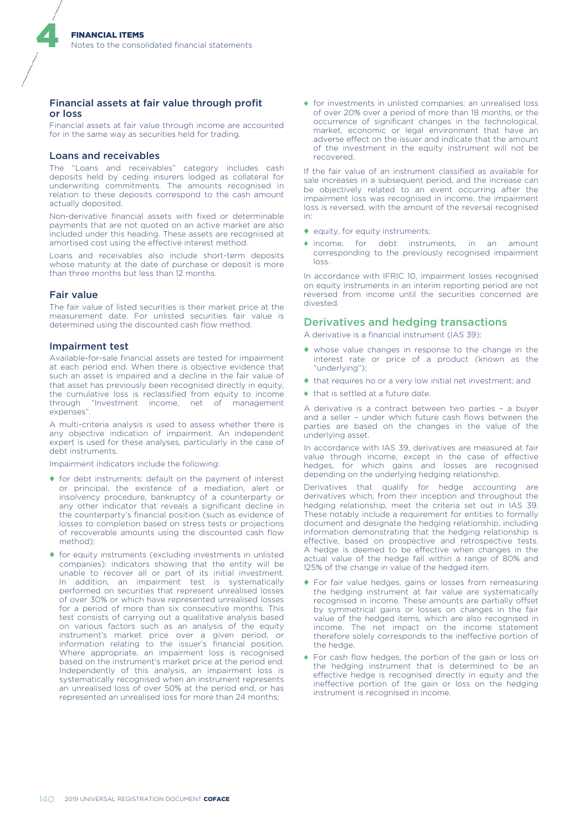#### Financial assets at fair value through profit or loss

Financial assets at fair value through income are accounted for in the same way as securities held for trading.

#### Loans and receivables

The "Loans and receivables" category includes cash deposits held by ceding insurers lodged as collateral for underwriting commitments. The amounts recognised in relation to these deposits correspond to the cash amount actually deposited.

Non-derivative financial assets with fixed or determinable payments that are not quoted on an active market are also included under this heading. These assets are recognised at amortised cost using the effective interest method.

Loans and receivables also include short-term deposits whose maturity at the date of purchase or deposit is more than three months but less than 12 months.

#### Fair value

4

The fair value of listed securities is their market price at the measurement date. For unlisted securities fair value is determined using the discounted cash flow method.

#### Impairment test

Available-for-sale financial assets are tested for impairment at each period end. When there is objective evidence that such an asset is impaired and a decline in the fair value of that asset has previously been recognised directly in equity, the cumulative loss is reclassified from equity to income through "Investment income, net of management expenses".

A multi-criteria analysis is used to assess whether there is any objective indication of impairment. An independent expert is used for these analyses, particularly in the case of debt instruments.

Impairment indicators include the following:

- ♦ for debt instruments: default on the payment of interest or principal, the existence of a mediation, alert or insolvency procedure, bankruptcy of a counterparty or any other indicator that reveals a significant decline in the counterparty's financial position (such as evidence of losses to completion based on stress tests or projections of recoverable amounts using the discounted cash flow method);
- ♦ for equity instruments (excluding investments in unlisted companies): indicators showing that the entity will be unable to recover all or part of its initial investment. In addition, an impairment test is systematically performed on securities that represent unrealised losses of over 30% or which have represented unrealised losses for a period of more than six consecutive months. This test consists of carrying out a qualitative analysis based on various factors such as an analysis of the equity instrument's market price over a given period, or information relating to the issuer's financial position. Where appropriate, an impairment loss is recognised based on the instrument's market price at the period end. Independently of this analysis, an impairment loss is systematically recognised when an instrument represents an unrealised loss of over 50% at the period end, or has represented an unrealised loss for more than 24 months;

♦ for investments in unlisted companies: an unrealised loss of over 20% over a period of more than 18 months, or the occurrence of significant changes in the technological, market, economic or legal environment that have an adverse effect on the issuer and indicate that the amount of the investment in the equity instrument will not be recovered.

If the fair value of an instrument classified as available for sale increases in a subsequent period, and the increase can be objectively related to an event occurring after the impairment loss was recognised in income, the impairment loss is reversed, with the amount of the reversal recognised in:

- ♦ equity, for equity instruments;
- ♦ income, for debt instruments, in an amount corresponding to the previously recognised impairment loss.

In accordance with IFRIC 10, impairment losses recognised on equity instruments in an interim reporting period are not reversed from income until the securities concerned are divested.

#### Derivatives and hedging transactions

A derivative is a financial instrument (IAS 39):

- ♦ whose value changes in response to the change in the interest rate or price of a product (known as the "underlying");
- ♦ that requires no or a very low initial net investment; and
- $\bullet$  that is settled at a future date.

A derivative is a contract between two parties – a buyer and a seller - under which future cash flows between the parties are based on the changes in the value of the underlying asset.

In accordance with IAS 39, derivatives are measured at fair value through income, except in the case of effective hedges, for which gains and losses are recognised depending on the underlying hedging relationship.

Derivatives that qualify for hedge accounting are derivatives which, from their inception and throughout the hedging relationship, meet the criteria set out in IAS 39. These notably include a requirement for entities to formally document and designate the hedging relationship, including information demonstrating that the hedging relationship is effective, based on prospective and retrospective tests. A hedge is deemed to be effective when changes in the actual value of the hedge fall within a range of 80% and 125% of the change in value of the hedged item.

- ♦ For fair value hedges, gains or losses from remeasuring the hedging instrument at fair value are systematically recognised in income. These amounts are partially offset by symmetrical gains or losses on changes in the fair value of the hedged items, which are also recognised in income. The net impact on the income statement therefore solely corresponds to the ineffective portion of the hedge.
- ♦ For cash flow hedges, the portion of the gain or loss on the hedging instrument that is determined to be an effective hedge is recognised directly in equity and the ineffective portion of the gain or loss on the hedging instrument is recognised in income.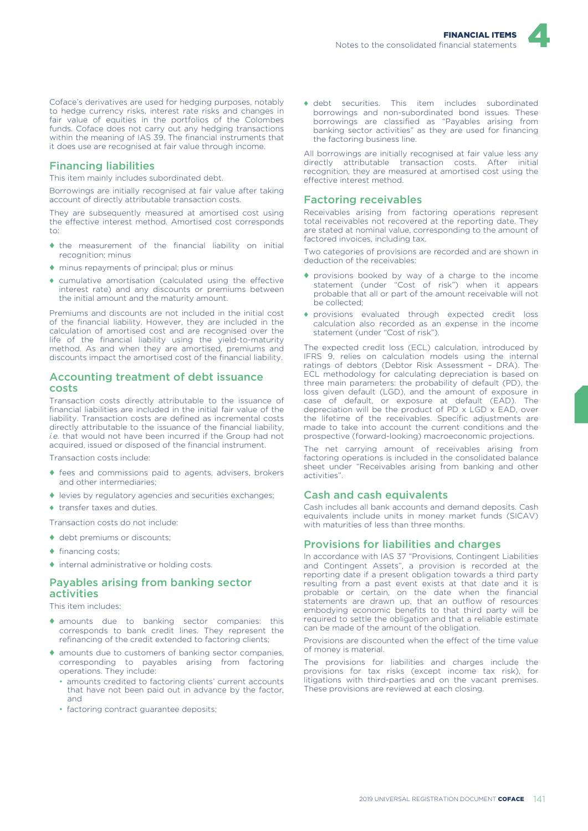

Coface's derivatives are used for hedging purposes, notably to hedge currency risks, interest rate risks and changes in fair value of equities in the portfolios of the Colombes funds. Coface does not carry out any hedging transactions within the meaning of IAS 39. The financial instruments that it does use are recognised at fair value through income.

#### Financing liabilities

This item mainly includes subordinated debt.

Borrowings are initially recognised at fair value after taking account of directly attributable transaction costs.

They are subsequently measured at amortised cost using the effective interest method. Amortised cost corresponds  $t^{\circ}$ 

- ♦ the measurement of the financial liability on initial recognition; minus
- ♦ minus repayments of principal; plus or minus
- ♦ cumulative amortisation (calculated using the effective interest rate) and any discounts or premiums between the initial amount and the maturity amount.

Premiums and discounts are not included in the initial cost of the financial liability. However, they are included in the calculation of amortised cost and are recognised over the life of the financial liability using the yield-to-maturity method. As and when they are amortised, premiums and discounts impact the amortised cost of the financial liability.

#### Accounting treatment of debt issuance costs

Transaction costs directly attributable to the issuance of financial liabilities are included in the initial fair value of the liability. Transaction costs are defined as incremental costs directly attributable to the issuance of the financial liability, *i.e.* that would not have been incurred if the Group had not acquired, issued or disposed of the financial instrument.

Transaction costs include:

- ♦ fees and commissions paid to agents, advisers, brokers and other intermediaries;
- ♦ levies by regulatory agencies and securities exchanges;
- ♦ transfer taxes and duties.

Transaction costs do not include:

- $\triangleleft$  debt premiums or discounts:
- ♦ financing costs;
- ♦ internal administrative or holding costs.

#### Payables arising from banking sector activities

This item includes:

- ♦ amounts due to banking sector companies: this corresponds to bank credit lines. They represent the refinancing of the credit extended to factoring clients;
- ♦ amounts due to customers of banking sector companies, corresponding to payables arising from factoring operations. They include:
	- amounts credited to factoring clients' current accounts that have not been paid out in advance by the factor, and
	- factoring contract guarantee deposits;

♦ debt securities. This item includes subordinated borrowings and non-subordinated bond issues. These borrowings are classified as "Payables arising from banking sector activities" as they are used for financing the factoring business line.

All borrowings are initially recognised at fair value less any directly attributable transaction costs. After initial recognition, they are measured at amortised cost using the effective interest method.

#### Factoring receivables

Receivables arising from factoring operations represent total receivables not recovered at the reporting date. They are stated at nominal value, corresponding to the amount of factored invoices, including tax.

Two categories of provisions are recorded and are shown in deduction of the receivables:

- ♦ provisions booked by way of a charge to the income statement (under "Cost of risk") when it appears probable that all or part of the amount receivable will not be collected;
- ♦ provisions evaluated through expected credit loss calculation also recorded as an expense in the income statement (under "Cost of risk").

The expected credit loss (ECL) calculation, introduced by IFRS 9, relies on calculation models using the internal ratings of debtors (Debtor Risk Assessment – DRA). The ECL methodology for calculating depreciation is based on three main parameters: the probability of default (PD), the loss given default (LGD), and the amount of exposure in case of default, or exposure at default (EAD). The depreciation will be the product of PD x LGD x EAD, over the lifetime of the receivables. Specific adjustments are made to take into account the current conditions and the prospective (forward-looking) macroeconomic projections.

The net carrying amount of receivables arising from factoring operations is included in the consolidated balance sheet under "Receivables arising from banking and other activities".

#### Cash and cash equivalents

Cash includes all bank accounts and demand deposits. Cash equivalents include units in money market funds (SICAV) with maturities of less than three months.

#### Provisions for liabilities and charges

In accordance with IAS 37 "Provisions, Contingent Liabilities and Contingent Assets", a provision is recorded at the reporting date if a present obligation towards a third party resulting from a past event exists at that date and it is probable or certain, on the date when the financial statements are drawn up, that an outflow of resources embodying economic benefits to that third party will be required to settle the obligation and that a reliable estimate can be made of the amount of the obligation.

Provisions are discounted when the effect of the time value of money is material.

The provisions for liabilities and charges include the provisions for tax risks (except income tax risk), for litigations with third-parties and on the vacant premises. These provisions are reviewed at each closing.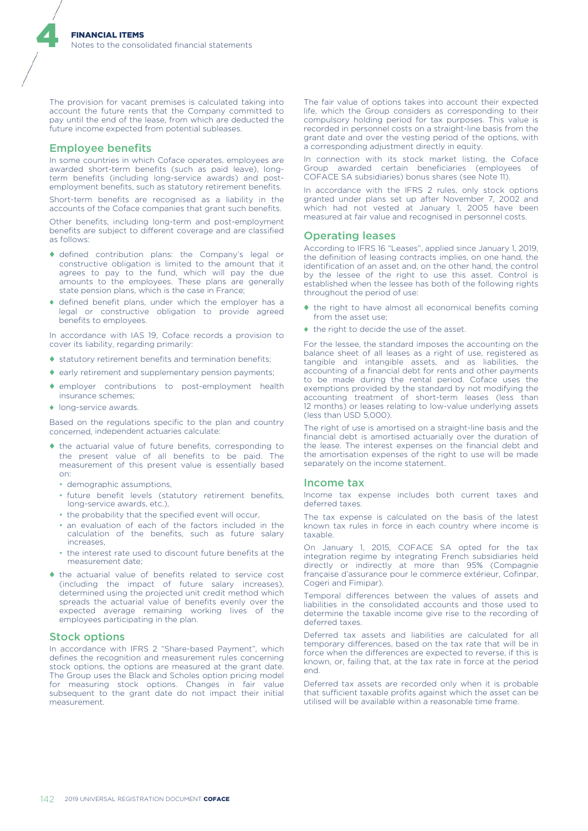The provision for vacant premises is calculated taking into account the future rents that the Company committed to pay until the end of the lease, from which are deducted the future income expected from potential subleases.

#### Employee benefits

4

In some countries in which Coface operates, employees are awarded short-term benefits (such as paid leave), longterm benefits (including long-service awards) and postemployment benefits, such as statutory retirement benefits.

Short-term benefits are recognised as a liability in the accounts of the Coface companies that grant such benefits.

Other benefits, including long-term and post-employment benefits are subject to different coverage and are classified as follows:

- ♦ defined contribution plans: the Company's legal or constructive obligation is limited to the amount that it agrees to pay to the fund, which will pay the due amounts to the employees. These plans are generally state pension plans, which is the case in France;
- ♦ defined benefit plans, under which the employer has a legal or constructive obligation to provide agreed benefits to employees.

In accordance with IAS 19, Coface records a provision to cover its liability, regarding primarily:

- ♦ statutory retirement benefits and termination benefits;
- ♦ early retirement and supplementary pension payments;
- ♦ employer contributions to post-employment health insurance schemes;
- ♦ long-service awards.

Based on the regulations specific to the plan and country concerned, independent actuaries calculate:

- ♦ the actuarial value of future benefits, corresponding to the present value of all benefits to be paid. The measurement of this present value is essentially based on:
	- demographic assumptions,
	- future benefit levels (statutory retirement benefits, long-service awards, etc.),
	- the probability that the specified event will occur,
	- an evaluation of each of the factors included in the calculation of the benefits, such as future salary increases,
	- the interest rate used to discount future benefits at the measurement date;
- ♦ the actuarial value of benefits related to service cost (including the impact of future salary increases), determined using the projected unit credit method which spreads the actuarial value of benefits evenly over the expected average remaining working lives of the employees participating in the plan.

#### Stock options

In accordance with IFRS 2 "Share-based Payment", which defines the recognition and measurement rules concerning stock options, the options are measured at the grant date. The Group uses the Black and Scholes option pricing model for measuring stock options. Changes in fair value subsequent to the grant date do not impact their initial measurement.

The fair value of options takes into account their expected life, which the Group considers as corresponding to their compulsory holding period for tax purposes. This value is recorded in personnel costs on a straight-line basis from the grant date and over the vesting period of the options, with a corresponding adjustment directly in equity.

In connection with its stock market listing, the Coface Group awarded certain beneficiaries (employees of COFACE SA subsidiaries) bonus shares (see Note 11).

In accordance with the IFRS 2 rules, only stock options granted under plans set up after November 7, 2002 and which had not vested at January 1, 2005 have been measured at fair value and recognised in personnel costs.

#### Operating leases

According to IFRS 16 "Leases", applied since January 1, 2019, the definition of leasing contracts implies, on one hand, the identification of an asset and, on the other hand, the control by the lessee of the right to use this asset. Control is established when the lessee has both of the following rights throughout the period of use:

- ♦ the right to have almost all economical benefits coming from the asset use;
- ♦ the right to decide the use of the asset.

For the lessee, the standard imposes the accounting on the balance sheet of all leases as a right of use, registered as tangible and intangible assets, and as liabilities, the accounting of a financial debt for rents and other payments to be made during the rental period. Coface uses the exemptions provided by the standard by not modifying the accounting treatment of short-term leases (less than 12 months) or leases relating to low-value underlying assets (less than USD 5,000).

The right of use is amortised on a straight-line basis and the financial debt is amortised actuarially over the duration of the lease. The interest expenses on the financial debt and the amortisation expenses of the right to use will be made separately on the income statement.

#### Income tax

Income tax expense includes both current taxes and deferred taxes.

The tax expense is calculated on the basis of the latest known tax rules in force in each country where income is taxable.

On January 1, 2015, COFACE SA opted for the tax integration regime by integrating French subsidiaries held directly or indirectly at more than 95% (Compagnie française d'assurance pour le commerce extérieur, Cofinpar, Cogeri and Fimipar).

Temporal differences between the values of assets and liabilities in the consolidated accounts and those used to determine the taxable income give rise to the recording of deferred taxes.

Deferred tax assets and liabilities are calculated for all temporary differences, based on the tax rate that will be in force when the differences are expected to reverse, if this is known, or, failing that, at the tax rate in force at the period end.

Deferred tax assets are recorded only when it is probable that sufficient taxable profits against which the asset can be utilised will be available within a reasonable time frame.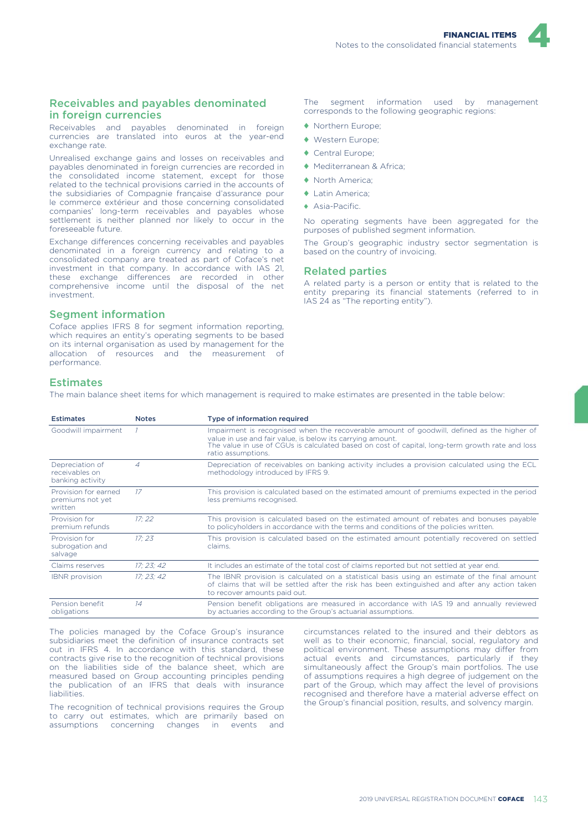#### Receivables and payables denominated in foreign currencies

Receivables and payables denominated in foreign currencies are translated into euros at the year-end exchange rate.

Unrealised exchange gains and losses on receivables and payables denominated in foreign currencies are recorded in the consolidated income statement, except for those related to the technical provisions carried in the accounts of the subsidiaries of Compagnie française d'assurance pour le commerce extérieur and those concerning consolidated companies' long-term receivables and payables whose settlement is neither planned nor likely to occur in the foreseeable future.

Exchange differences concerning receivables and payables denominated in a foreign currency and relating to a consolidated company are treated as part of Coface's net investment in that company. In accordance with IAS 21, these exchange differences are recorded in other comprehensive income until the disposal of the net investment.

#### Segment information

Coface applies IFRS 8 for segment information reporting, which requires an entity's operating segments to be based on its internal organisation as used by management for the allocation of resources and the measurement of performance.

The segment information used by management corresponds to the following geographic regions:

- ♦ Northern Europe;
- ♦ Western Europe;
- ♦ Central Europe;
- ♦ Mediterranean & Africa;
- ♦ North America;
- ♦ Latin America;
- ♦ Asia-Pacific.

No operating segments have been aggregated for the purposes of published segment information.

The Group's geographic industry sector segmentation is based on the country of invoicing.

#### Related parties

A related party is a person or entity that is related to the entity preparing its financial statements (referred to in IAS 24 as "The reporting entity").

#### **Estimates**

The main balance sheet items for which management is required to make estimates are presented in the table below:

| <b>Estimates</b>                                      | <b>Notes</b> | Type of information required                                                                                                                                                                                                                                                      |
|-------------------------------------------------------|--------------|-----------------------------------------------------------------------------------------------------------------------------------------------------------------------------------------------------------------------------------------------------------------------------------|
| Goodwill impairment                                   |              | Impairment is recognised when the recoverable amount of goodwill, defined as the higher of<br>value in use and fair value, is below its carrying amount.<br>The value in use of CGUs is calculated based on cost of capital, long-term growth rate and loss<br>ratio assumptions. |
| Depreciation of<br>receivables on<br>banking activity | 4            | Depreciation of receivables on banking activity includes a provision calculated using the ECL<br>methodology introduced by IFRS 9.                                                                                                                                                |
| Provision for earned<br>premiums not yet<br>written   | 17           | This provision is calculated based on the estimated amount of premiums expected in the period<br>less premiums recognised.                                                                                                                                                        |
| Provision for<br>premium refunds                      | 17:22        | This provision is calculated based on the estimated amount of rebates and bonuses payable<br>to policyholders in accordance with the terms and conditions of the policies written.                                                                                                |
| Provision for<br>subrogation and<br>salvage           | 17:23        | This provision is calculated based on the estimated amount potentially recovered on settled<br>claims.                                                                                                                                                                            |
| Claims reserves                                       | 17:23:42     | It includes an estimate of the total cost of claims reported but not settled at year end.                                                                                                                                                                                         |
| <b>IBNR</b> provision                                 | 17:23:42     | The IBNR provision is calculated on a statistical basis using an estimate of the final amount<br>of claims that will be settled after the risk has been extinguished and after any action taken<br>to recover amounts paid out.                                                   |
| Pension benefit<br>obligations                        | 14           | Pension benefit obligations are measured in accordance with IAS 19 and annually reviewed<br>by actuaries according to the Group's actuarial assumptions.                                                                                                                          |

The policies managed by the Coface Group's insurance subsidiaries meet the definition of insurance contracts set out in IFRS 4. In accordance with this standard, these contracts give rise to the recognition of technical provisions on the liabilities side of the balance sheet, which are measured based on Group accounting principles pending the publication of an IFRS that deals with insurance liabilities.

The recognition of technical provisions requires the Group to carry out estimates, which are primarily based on assumptions concerning changes in events and

circumstances related to the insured and their debtors as well as to their economic, financial, social, regulatory and political environment. These assumptions may differ from actual events and circumstances, particularly if they simultaneously affect the Group's main portfolios. The use of assumptions requires a high degree of judgement on the part of the Group, which may affect the level of provisions recognised and therefore have a material adverse effect on the Group's financial position, results, and solvency margin.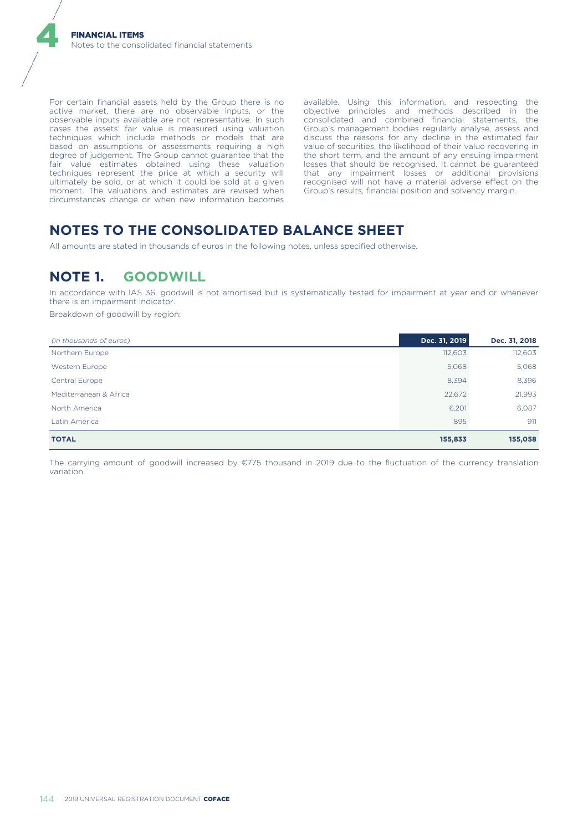For certain financial assets held by the Group there is no active market, there are no observable inputs, or the observable inputs available are not representative. In such cases the assets' fair value is measured using valuation techniques which include methods or models that are based on assumptions or assessments requiring a high degree of judgement. The Group cannot guarantee that the fair value estimates obtained using these valuation techniques represent the price at which a security will ultimately be sold, or at which it could be sold at a given moment. The valuations and estimates are revised when circumstances change or when new information becomes

available. Using this information, and respecting the objective principles and methods described in the consolidated and combined financial statements, the Group's management bodies regularly analyse, assess and discuss the reasons for any decline in the estimated fair value of securities, the likelihood of their value recovering in the short term, and the amount of any ensuing impairment losses that should be recognised. It cannot be guaranteed that any impairment losses or additional provisions recognised will not have a material adverse effect on the Group's results, financial position and solvency margin.

## **NOTES TO THE CONSOLIDATED BALANCE SHEET**

All amounts are stated in thousands of euros in the following notes, unless specified otherwise.

## **NOTE 1. GOODWILL**

In accordance with IAS 36, goodwill is not amortised but is systematically tested for impairment at year end or whenever there is an impairment indicator.

Breakdown of goodwill by region:

| (in thousands of euros) | Dec. 31, 2019 | Dec. 31, 2018 |
|-------------------------|---------------|---------------|
| Northern Europe         | 112,603       | 112,603       |
| Western Europe          | 5,068         | 5,068         |
| Central Europe          | 8,394         | 8,396         |
| Mediterranean & Africa  | 22,672        | 21,993        |
| North America           | 6,201         | 6,087         |
| Latin America           | 895           | 911           |
| <b>TOTAL</b>            | 155,833       | 155,058       |

The carrying amount of goodwill increased by €775 thousand in 2019 due to the fluctuation of the currency translation variation.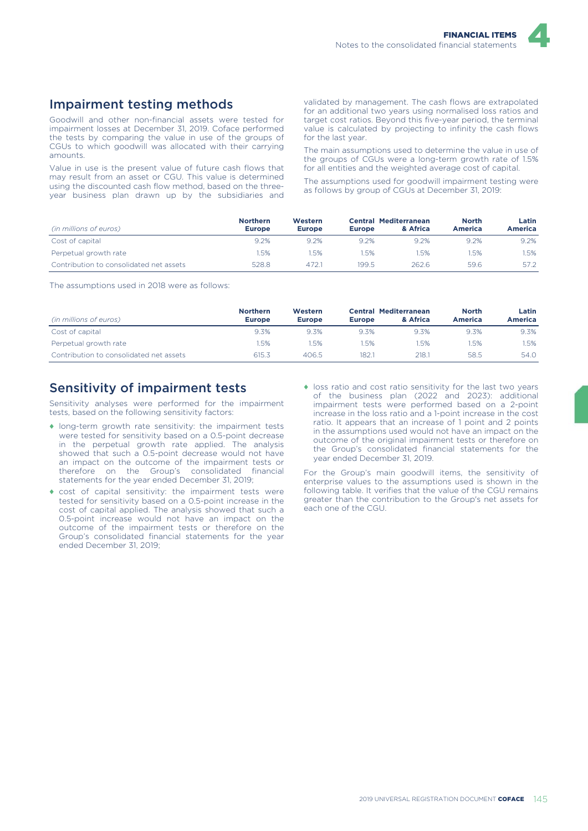

### Impairment testing methods

Goodwill and other non-financial assets were tested for impairment losses at December 31, 2019. Coface performed the tests by comparing the value in use of the groups of CGUs to which goodwill was allocated with their carrying amounts.

Value in use is the present value of future cash flows that may result from an asset or CGU. This value is determined using the discounted cash flow method, based on the threeyear business plan drawn up by the subsidiaries and

validated by management. The cash flows are extrapolated for an additional two years using normalised loss ratios and target cost ratios. Beyond this five-year period, the terminal value is calculated by projecting to infinity the cash flows for the last year.

The main assumptions used to determine the value in use of the groups of CGUs were a long-term growth rate of 1.5% for all entities and the weighted average cost of capital.

The assumptions used for goodwill impairment testing were as follows by group of CGUs at December 31, 2019:

| (in millions of euros)                  | <b>Northern</b><br><b>Europe</b> | Western<br><b>Europe</b> | <b>Europe</b> | <b>Central Mediterranean</b><br>& Africa | <b>North</b><br>America | Latin<br>America |
|-----------------------------------------|----------------------------------|--------------------------|---------------|------------------------------------------|-------------------------|------------------|
| Cost of capital                         | 9.2%                             | 9.2%                     | 9.2%          | 9.2%                                     | 9.2%                    | $9.2\%$          |
| Perpetual growth rate                   | .5%                              | 1.5%                     | .5%           | .5%                                      | .5%                     | .5%              |
| Contribution to consolidated net assets | 528.8                            | 472.1                    | 199.5         | 262.6                                    | 59.6                    | 57.2             |

The assumptions used in 2018 were as follows:

| (in millions of euros)                  | <b>Northern</b><br><b>Europe</b> | Western<br><b>Europe</b> | <b>Europe</b> | <b>Central Mediterranean</b><br>& Africa | <b>North</b><br>America | Latin<br><b>America</b> |
|-----------------------------------------|----------------------------------|--------------------------|---------------|------------------------------------------|-------------------------|-------------------------|
| Cost of capital                         | 9.3%                             | 9.3%                     | 9.3%          | 9.3%                                     | 9.3%                    | 9.3%                    |
| Perpetual growth rate                   | 1.5%                             | 1.5%                     | .5%           | .5%                                      | .5%                     | .5%                     |
| Contribution to consolidated net assets | 615.3                            | 406.5                    | 182.1         | 218.1                                    | 58.5                    | 54.0                    |

### Sensitivity of impairment tests

Sensitivity analyses were performed for the impairment tests, based on the following sensitivity factors:

- ♦ long-term growth rate sensitivity: the impairment tests were tested for sensitivity based on a 0.5-point decrease in the perpetual growth rate applied. The analysis showed that such a 0.5-point decrease would not have an impact on the outcome of the impairment tests or<br>therefore on the Group's consolidated financial therefore on the Group's consolidated statements for the year ended December 31, 2019;
- ♦ cost of capital sensitivity: the impairment tests were tested for sensitivity based on a 0.5-point increase in the cost of capital applied. The analysis showed that such a 0.5-point increase would not have an impact on the outcome of the impairment tests or therefore on the Group's consolidated financial statements for the year ended December 31, 2019;
- ♦ loss ratio and cost ratio sensitivity for the last two years of the business plan (2022 and 2023): additional impairment tests were performed based on a 2-point increase in the loss ratio and a 1-point increase in the cost ratio. It appears that an increase of 1 point and 2 points in the assumptions used would not have an impact on the outcome of the original impairment tests or therefore on the Group's consolidated financial statements for the year ended December 31, 2019.

For the Group's main goodwill items, the sensitivity of enterprise values to the assumptions used is shown in the following table. It verifies that the value of the CGU remains greater than the contribution to the Group's net assets for each one of the CGU.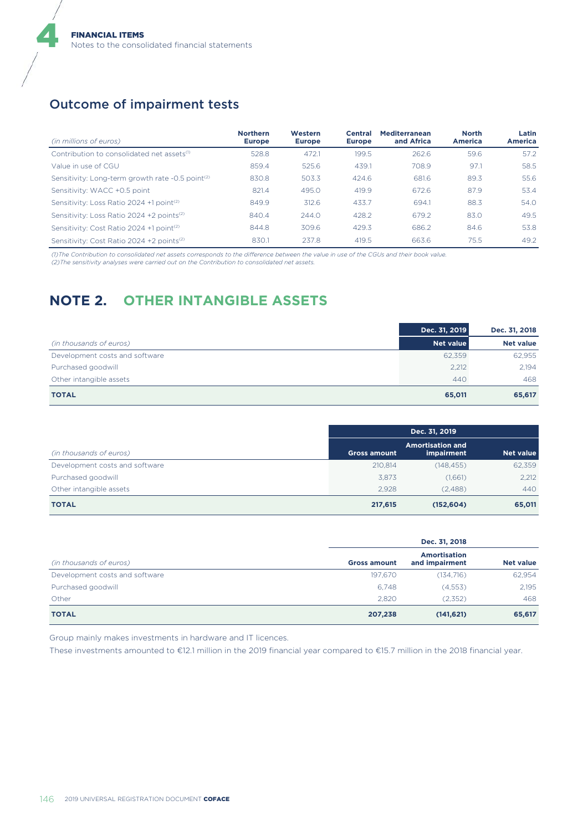### Outcome of impairment tests

4

| (in millions of euros)                                       | <b>Northern</b><br><b>Europe</b> | Western<br><b>Europe</b> | <b>Central</b><br><b>Europe</b> | <b>Mediterranean</b><br>and Africa | <b>North</b><br><b>America</b> | Latin<br><b>America</b> |
|--------------------------------------------------------------|----------------------------------|--------------------------|---------------------------------|------------------------------------|--------------------------------|-------------------------|
| Contribution to consolidated net assets <sup>(1)</sup>       | 528.8                            | 472.1                    | 199.5                           | 262.6                              | 59.6                           | 57.2                    |
| Value in use of CGU                                          | 859.4                            | 525.6                    | 439.1                           | 708.9                              | 97.1                           | 58.5                    |
| Sensitivity: Long-term growth rate -0.5 point <sup>(2)</sup> | 830.8                            | 503.3                    | 424.6                           | 681.6                              | 89.3                           | 55.6                    |
| Sensitivity: WACC +0.5 point                                 | 821.4                            | 495.0                    | 419.9                           | 672.6                              | 87.9                           | 53.4                    |
| Sensitivity: Loss Ratio 2024 +1 point <sup>(2)</sup>         | 849.9                            | 312.6                    | 433.7                           | 694.1                              | 88.3                           | 54.0                    |
| Sensitivity: Loss Ratio 2024 +2 points <sup>(2)</sup>        | 840.4                            | 244.0                    | 428.2                           | 679.2                              | 83.0                           | 49.5                    |
| Sensitivity: Cost Ratio 2024 +1 point <sup>(2)</sup>         | 844.8                            | 309.6                    | 429.3                           | 686.2                              | 84.6                           | 53.8                    |
| Sensitivity: Cost Ratio 2024 +2 points <sup>(2)</sup>        | 830.1                            | 237.8                    | 419.5                           | 663.6                              | 75.5                           | 49.2                    |

*(1)The Contribution to consolidated net assets corresponds to the difference between the value in use of the CGUs and their book value.*

*(2)The sensitivity analyses were carried out on the Contribution to consolidated net assets.*

# **NOTE 2. OTHER INTANGIBLE ASSETS**

|                                | Dec. 31, 2019    | Dec. 31, 2018    |
|--------------------------------|------------------|------------------|
| (in thousands of euros)        | <b>Net value</b> | <b>Net value</b> |
| Development costs and software | 62,359           | 62,955           |
| Purchased goodwill             | 2.212            | 2.194            |
| Other intangible assets        | 440              | 468              |
| <b>TOTAL</b>                   | 65,011           | 65,617           |

|                                |                     | Dec. 31, 2019                         |                  |
|--------------------------------|---------------------|---------------------------------------|------------------|
| (in thousands of euros)        | <b>Gross amount</b> | <b>Amortisation and</b><br>impairment | <b>Net value</b> |
| Development costs and software | 210,814             | (148, 455)                            | 62,359           |
| Purchased goodwill             | 3.873               | (1,661)                               | 2.212            |
| Other intangible assets        | 2.928               | (2.488)                               | 440              |
| <b>TOTAL</b>                   | 217,615             | (152, 604)                            | 65,011           |

|                                | Dec. 31, 2018       |                                       |                  |  |  |
|--------------------------------|---------------------|---------------------------------------|------------------|--|--|
| (in thousands of euros)        | <b>Gross amount</b> | <b>Amortisation</b><br>and impairment | <b>Net value</b> |  |  |
| Development costs and software | 197,670             | (134, 716)                            | 62,954           |  |  |
| Purchased goodwill             | 6.748               | (4,553)                               | 2,195            |  |  |
| Other                          | 2.820               | (2,352)                               | 468              |  |  |
| <b>TOTAL</b>                   | 207,238             | (141, 621)                            | 65,617           |  |  |

Group mainly makes investments in hardware and IT licences.

These investments amounted to €12.1 million in the 2019 financial year compared to €15.7 million in the 2018 financial year.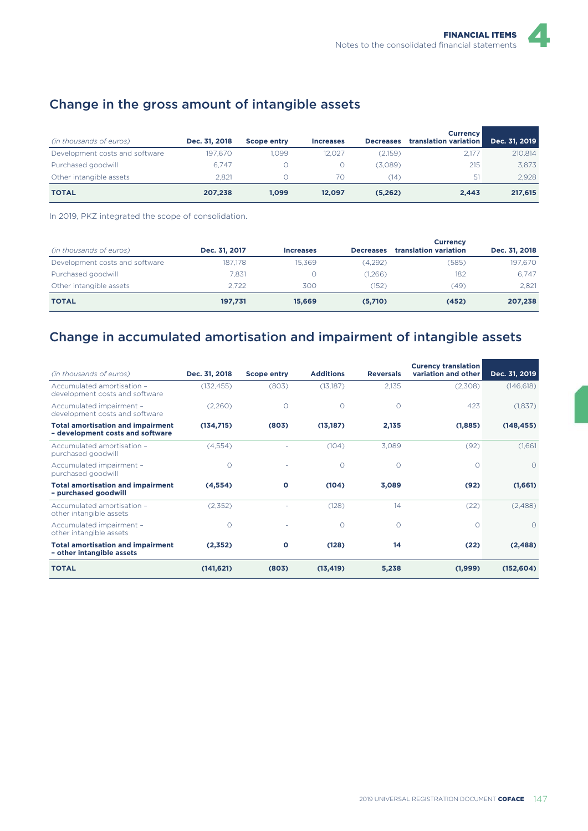## Change in the gross amount of intangible assets

| (in thousands of euros)        | Dec. 31, 2018 | <b>Scope entry</b> | <b>Increases</b> | <b>Decreases</b> | <b>Currency</b><br>translation variation | Dec. 31, 2019 |
|--------------------------------|---------------|--------------------|------------------|------------------|------------------------------------------|---------------|
| Development costs and software | 197.670       | 1.099              | 12.027           | (2.159)          | 2.177                                    | 210.814       |
| Purchased goodwill             | 6.747         |                    |                  | (3.089)          | 215                                      | 3.873         |
| Other intangible assets        | 2.821         |                    | 70               | 14)              | 51                                       | 2.928         |
| <b>TOTAL</b>                   | 207.238       | 1.099              | 12.097           | (5.262)          | 2.443                                    | 217,615       |

In 2019, PKZ integrated the scope of consolidation.

| (in thousands of euros)        | Dec. 31, 2017 | <b>Increases</b> | <b>Decreases</b> | <b>Currency</b><br>translation variation | Dec. 31, 2018 |
|--------------------------------|---------------|------------------|------------------|------------------------------------------|---------------|
| Development costs and software | 187.178       | 15.369           | (4.292)          | (585)                                    | 197.670       |
| Purchased goodwill             | 7.831         |                  | 1,266            | 182                                      | 6.747         |
| Other intangible assets        | 2.722         | 300              | (152)            | (49)                                     | 2.821         |
| <b>TOTAL</b>                   | 197,731       | 15.669           | (5,710)          | (452)                                    | 207,238       |

## Change in accumulated amortisation and impairment of intangible assets

| (in thousands of euros)                                                      | Dec. 31, 2018 | <b>Scope entry</b> | <b>Additions</b> | <b>Reversals</b> | <b>Curency translation</b><br>variation and other | Dec. 31, 2019 |
|------------------------------------------------------------------------------|---------------|--------------------|------------------|------------------|---------------------------------------------------|---------------|
| Accumulated amortisation -<br>development costs and software                 | (132, 455)    | (803)              | (13,187)         | 2,135            | (2,308)                                           | (146, 618)    |
| Accumulated impairment -<br>development costs and software                   | (2,260)       | 0                  | $\Omega$         | $\Omega$         | 423                                               | (1,837)       |
| <b>Total amortisation and impairment</b><br>- development costs and software | (134, 715)    | (803)              | (13, 187)        | 2,135            | (1,885)                                           | (148, 455)    |
| Accumulated amortisation -<br>purchased goodwill                             | (4,554)       |                    | (104)            | 3,089            | (92)                                              | (1,661)       |
| Accumulated impairment -<br>purchased goodwill                               | $\circ$       |                    | $\circ$          | $\circ$          | $\Omega$                                          | $\circ$       |
| <b>Total amortisation and impairment</b><br>- purchased goodwill             | (4, 554)      | O                  | (104)            | 3,089            | (92)                                              | (1,661)       |
| Accumulated amortisation -<br>other intangible assets                        | (2,352)       |                    | (128)            | 14               | (22)                                              | (2,488)       |
| Accumulated impairment -<br>other intangible assets                          | $\Omega$      |                    | $\Omega$         | $\Omega$         | $\bigcap$                                         | $\Omega$      |
| <b>Total amortisation and impairment</b><br>- other intangible assets        | (2,352)       | O                  | (128)            | 14               | (22)                                              | (2, 488)      |
| <b>TOTAL</b>                                                                 | (141, 621)    | (803)              | (13, 419)        | 5,238            | (1,999)                                           | (152, 604)    |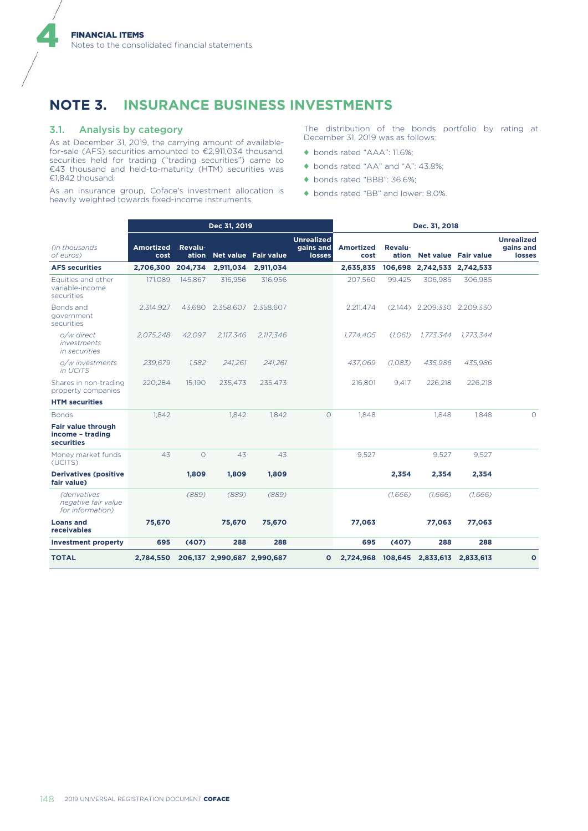## **NOTE 3. INSURANCE BUSINESS INVESTMENTS**

#### 3.1. Analysis by category

4

As at December 31, 2019, the carrying amount of availablefor-sale (AFS) securities amounted to €2,911,034 thousand, securities held for trading ("trading securities") came to €43 thousand and held-to-maturity (HTM) securities was €1,842 thousand.

As an insurance group, Coface's investment allocation is heavily weighted towards fixed-income instruments.

The distribution of the bonds portfolio by rating at December 31, 2019 was as follows:

- ♦ bonds rated "AAA": 11.6%;
- ♦ bonds rated "AA" and "A": 43.8%;
- ♦ bonds rated "BBB": 36.6%;
- ♦ bonds rated "BB" and lower: 8.0%.

|                                                                |                          |         | Dec 31, 2019                |           |                                                 | Dec. 31, 2018            |         |                            |                     |                                                 |
|----------------------------------------------------------------|--------------------------|---------|-----------------------------|-----------|-------------------------------------------------|--------------------------|---------|----------------------------|---------------------|-------------------------------------------------|
| (in thousands)<br>of euros)                                    | <b>Amortized</b><br>cost | Revalu- | ation Net value Fair value  |           | <b>Unrealized</b><br>gains and<br><b>losses</b> | <b>Amortized</b><br>cost | Revalu- | ation Net value Fair value |                     | <b>Unrealized</b><br>gains and<br><b>losses</b> |
| <b>AFS securities</b>                                          | 2,706,300                | 204,734 | 2,911,034                   | 2,911,034 |                                                 | 2,635,835                | 106,698 |                            | 2,742,533 2,742,533 |                                                 |
| Equities and other<br>variable-income<br>securities            | 171,089                  | 145,867 | 316,956                     | 316,956   |                                                 | 207,560                  | 99,425  | 306,985                    | 306,985             |                                                 |
| Bonds and<br>government<br>securities                          | 2,314,927                | 43,680  | 2,358,607                   | 2,358,607 |                                                 | 2,211,474                | (2,144) |                            | 2,209,330 2,209,330 |                                                 |
| o/w direct<br>investments<br>in securities                     | 2,075,248                | 42,097  | 2,117,346                   | 2,117,346 |                                                 | 1,774,405                | (1,061) | 1,773,344                  | 1.773.344           |                                                 |
| o/w investments<br>in UCITS                                    | 239.679                  | 1.582   | 241,261                     | 241.261   |                                                 | 437.069                  | (1,083) | 435.986                    | 435.986             |                                                 |
| Shares in non-trading<br>property companies                    | 220,284                  | 15,190  | 235.473                     | 235,473   |                                                 | 216,801                  | 9,417   | 226,218                    | 226,218             |                                                 |
| <b>HTM</b> securities                                          |                          |         |                             |           |                                                 |                          |         |                            |                     |                                                 |
| <b>Bonds</b>                                                   | 1.842                    |         | 1,842                       | 1,842     | $\circ$                                         | 1,848                    |         | 1.848                      | 1.848               | $\Omega$                                        |
| <b>Fair value through</b><br>income - trading<br>securities    |                          |         |                             |           |                                                 |                          |         |                            |                     |                                                 |
| Money market funds<br>(UCITS)                                  | 43                       | $\circ$ | 43                          | 43        |                                                 | 9,527                    |         | 9,527                      | 9,527               |                                                 |
| <b>Derivatives (positive</b><br>fair value)                    |                          | 1,809   | 1,809                       | 1,809     |                                                 |                          | 2,354   | 2,354                      | 2,354               |                                                 |
| <i>(derivatives</i><br>negative fair value<br>for information) |                          | (889)   | (889)                       | (889)     |                                                 |                          | (1,666) | (1,666)                    | (1,666)             |                                                 |
| <b>Loans and</b><br>receivables                                | 75,670                   |         | 75,670                      | 75,670    |                                                 | 77,063                   |         | 77,063                     | 77,063              |                                                 |
| <b>Investment property</b>                                     | 695                      | (407)   | 288                         | 288       |                                                 | 695                      | (407)   | 288                        | 288                 |                                                 |
| <b>TOTAL</b>                                                   | 2,784,550                |         | 206,137 2,990,687 2,990,687 |           | $\mathbf{o}$                                    | 2,724,968                | 108,645 | 2,833,613                  | 2,833,613           | $\mathbf{o}$                                    |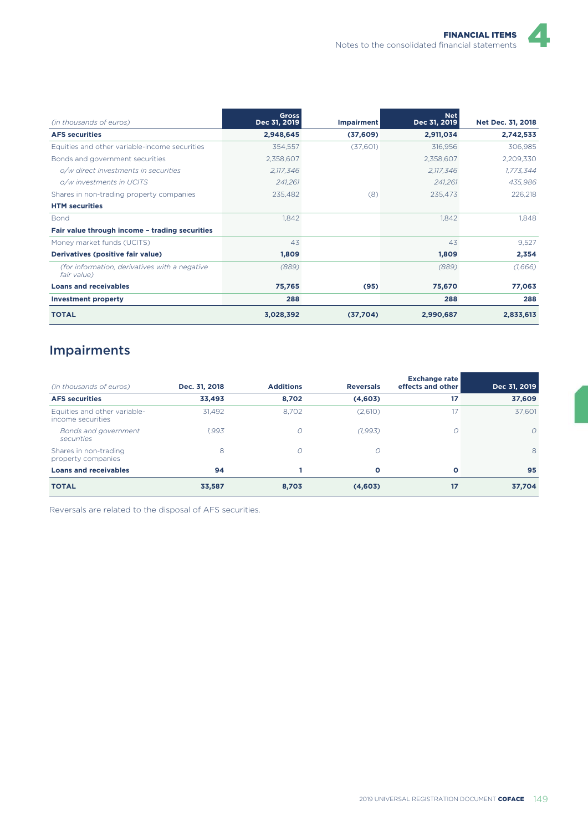| (in thousands of euros)                                      | <b>Gross</b><br>Dec 31, 2019 | <b>Impairment</b> | <b>Net</b><br>Dec 31, 2019 | Net Dec. 31, 2018 |
|--------------------------------------------------------------|------------------------------|-------------------|----------------------------|-------------------|
| <b>AFS securities</b>                                        | 2,948,645                    | (37,609)          | 2,911,034                  | 2,742,533         |
| Equities and other variable-income securities                | 354,557                      | (37,601)          | 316,956                    | 306,985           |
| Bonds and government securities                              | 2,358,607                    |                   | 2,358,607                  | 2,209,330         |
| o/w direct investments in securities                         | 2,117,346                    |                   | 2,117,346                  | 1,773,344         |
| o/w investments in UCITS                                     | 241,261                      |                   | 241,261                    | 435,986           |
| Shares in non-trading property companies                     | 235,482                      | (8)               | 235,473                    | 226,218           |
| <b>HTM</b> securities                                        |                              |                   |                            |                   |
| <b>Bond</b>                                                  | 1,842                        |                   | 1,842                      | 1,848             |
| Fair value through income - trading securities               |                              |                   |                            |                   |
| Money market funds (UCITS)                                   | 43                           |                   | 43                         | 9,527             |
| Derivatives (positive fair value)                            | 1,809                        |                   | 1,809                      | 2,354             |
| (for information, derivatives with a negative<br>fair value) | (889)                        |                   | (889)                      | (1,666)           |
| <b>Loans and receivables</b>                                 | 75,765                       | (95)              | 75,670                     | 77,063            |
| <b>Investment property</b>                                   | 288                          |                   | 288                        | 288               |
| <b>TOTAL</b>                                                 | 3,028,392                    | (37,704)          | 2,990,687                  | 2,833,613         |

# Impairments

| (in thousands of euros)                           | Dec. 31, 2018 | <b>Additions</b> | <b>Reversals</b> | <b>Exchange rate</b><br>effects and other | Dec 31, 2019 |
|---------------------------------------------------|---------------|------------------|------------------|-------------------------------------------|--------------|
| <b>AFS</b> securities                             | 33,493        | 8,702            | (4,603)          | 17                                        | 37,609       |
| Equities and other variable-<br>income securities | 31,492        | 8.702            | (2,610)          | 17                                        | 37.601       |
| Bonds and government<br>securities                | 1.993         | $\circ$          | (1, 993)         | 0                                         | $\Omega$     |
| Shares in non-trading<br>property companies       | 8             | $\circ$          | 0                |                                           | 8            |
| <b>Loans and receivables</b>                      | 94            |                  | О                | $\mathbf{o}$                              | 95           |
| <b>TOTAL</b>                                      | 33,587        | 8,703            | (4,603)          | 17                                        | 37,704       |

Reversals are related to the disposal of AFS securities.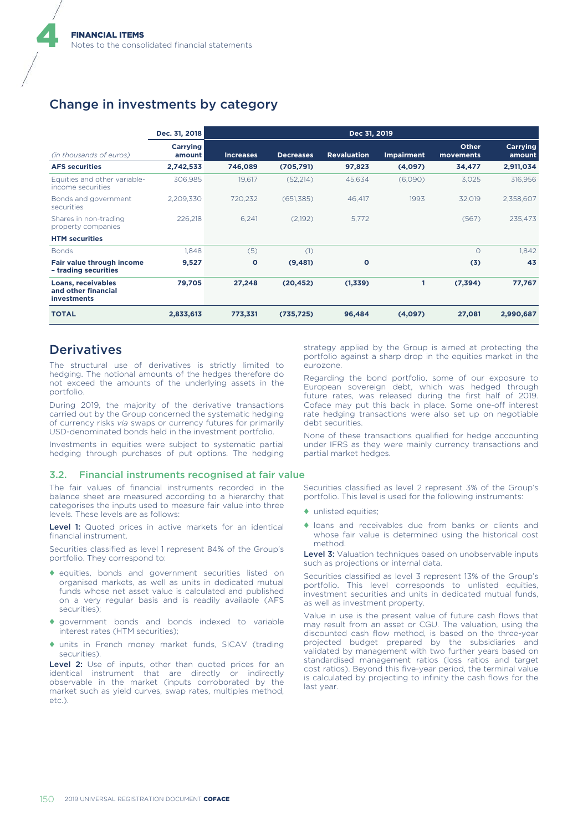### Change in investments by category

|                                                                 | Dec. 31, 2018             |                  |                  | Dec 31, 2019       |                   |                           |                    |
|-----------------------------------------------------------------|---------------------------|------------------|------------------|--------------------|-------------------|---------------------------|--------------------|
| (in thousands of euros)                                         | <b>Carrying</b><br>amount | <b>Increases</b> | <b>Decreases</b> | <b>Revaluation</b> | <b>Impairment</b> | <b>Other</b><br>movements | Carrying<br>amount |
| <b>AFS</b> securities                                           | 2,742,533                 | 746,089          | (705, 791)       | 97,823             | (4,097)           | 34,477                    | 2,911,034          |
| Equities and other variable-<br>income securities               | 306.985                   | 19.617           | (52,214)         | 45.634             | (6,090)           | 3.025                     | 316,956            |
| Bonds and government<br>securities                              | 2.209.330                 | 720,232          | (651, 385)       | 46,417             | 1993              | 32,019                    | 2,358,607          |
| Shares in non-trading<br>property companies                     | 226.218                   | 6,241            | (2,192)          | 5.772              |                   | (567)                     | 235,473            |
| <b>HTM</b> securities                                           |                           |                  |                  |                    |                   |                           |                    |
| <b>Bonds</b>                                                    | 1.848                     | (5)              | (1)              |                    |                   | $\Omega$                  | 1.842              |
| Fair value through income<br>- trading securities               | 9,527                     | $\circ$          | (9, 481)         | $\circ$            |                   | (3)                       | 43                 |
| Loans, receivables<br>and other financial<br><b>investments</b> | 79,705                    | 27,248           | (20, 452)        | (1,339)            |                   | (7, 394)                  | 77,767             |
| <b>TOTAL</b>                                                    | 2,833,613                 | 773,331          | (735, 725)       | 96,484             | (4,097)           | 27,081                    | 2,990,687          |

### **Derivatives**

4

The structural use of derivatives is strictly limited to hedging. The notional amounts of the hedges therefore do not exceed the amounts of the underlying assets in the portfolio.

During 2019, the majority of the derivative transactions carried out by the Group concerned the systematic hedging of currency risks *via* swaps or currency futures for primarily USD-denominated bonds held in the investment portfolio.

Investments in equities were subject to systematic partial hedging through purchases of put options. The hedging

#### 3.2. Financial instruments recognised at fair value

The fair values of financial instruments recorded in the balance sheet are measured according to a hierarchy that categorises the inputs used to measure fair value into three levels. These levels are as follows:

Level 1: Quoted prices in active markets for an identical financial instrument.

Securities classified as level 1 represent 84% of the Group's portfolio. They correspond to:

- ♦ equities, bonds and government securities listed on organised markets, as well as units in dedicated mutual funds whose net asset value is calculated and published on a very regular basis and is readily available (AFS securities);
- ♦ government bonds and bonds indexed to variable interest rates (HTM securities);
- ♦ units in French money market funds, SICAV (trading securities).

Level 2: Use of inputs, other than quoted prices for an identical instrument that are directly or indirectly observable in the market (inputs corroborated by the market such as yield curves, swap rates, multiples method, etc.).

strategy applied by the Group is aimed at protecting the portfolio against a sharp drop in the equities market in the eurozone.

Regarding the bond portfolio, some of our exposure to European sovereign debt, which was hedged through future rates, was released during the first half of 2019. Coface may put this back in place. Some one-off interest rate hedging transactions were also set up on negotiable debt securities.

None of these transactions qualified for hedge accounting under IFRS as they were mainly currency transactions and partial market hedges.

Securities classified as level 2 represent 3% of the Group's portfolio. This level is used for the following instruments:

- ♦ unlisted equities;
- ♦ loans and receivables due from banks or clients and whose fair value is determined using the historical cost method.

Level 3: Valuation techniques based on unobservable inputs such as projections or internal data.

Securities classified as level 3 represent 13% of the Group's portfolio. This level corresponds to unlisted equities, investment securities and units in dedicated mutual funds, as well as investment property.

Value in use is the present value of future cash flows that may result from an asset or CGU. The valuation, using the discounted cash flow method, is based on the three-year projected budget prepared by the subsidiaries and validated by management with two further years based on standardised management ratios (loss ratios and target cost ratios). Beyond this five-year period, the terminal value is calculated by projecting to infinity the cash flows for the last year.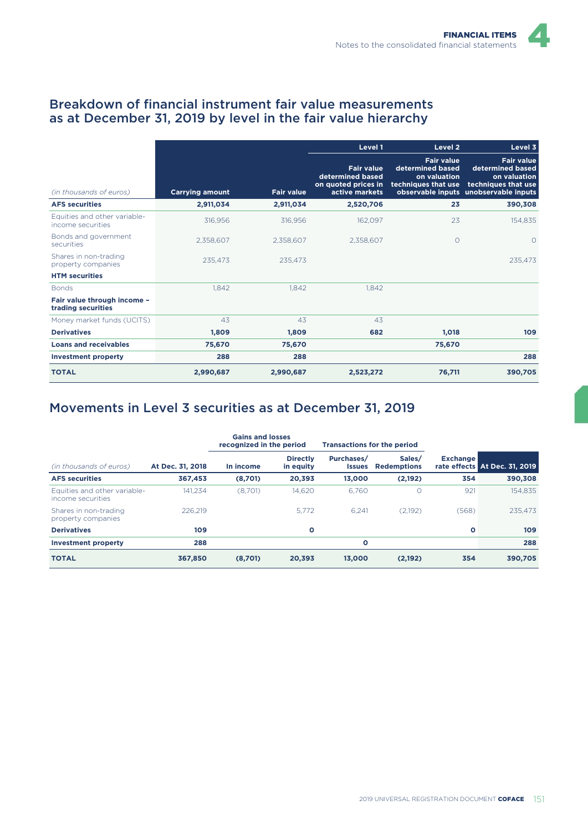### Breakdown of financial instrument fair value measurements as at December 31, 2019 by level in the fair value hierarchy

|                                                   |                        |                   | Level 1<br>Level 2                                                             |                                                                              | Level 3                                                                                                               |
|---------------------------------------------------|------------------------|-------------------|--------------------------------------------------------------------------------|------------------------------------------------------------------------------|-----------------------------------------------------------------------------------------------------------------------|
| (in thousands of euros)                           | <b>Carrying amount</b> | <b>Fair value</b> | <b>Fair value</b><br>determined based<br>on quoted prices in<br>active markets | <b>Fair value</b><br>determined based<br>on valuation<br>techniques that use | <b>Fair value</b><br>determined based<br>on valuation<br>techniques that use<br>observable inputs unobservable inputs |
| <b>AFS</b> securities                             | 2,911,034              | 2,911,034         | 2,520,706                                                                      | 23                                                                           | 390,308                                                                                                               |
| Equities and other variable-<br>income securities | 316,956                | 316,956           | 162,097                                                                        | 23                                                                           | 154,835                                                                                                               |
| Bonds and government<br>securities                | 2.358.607              | 2,358,607         | 2,358,607                                                                      | $\circ$                                                                      | $\circ$                                                                                                               |
| Shares in non-trading<br>property companies       | 235,473                | 235,473           |                                                                                |                                                                              | 235,473                                                                                                               |
| <b>HTM</b> securities                             |                        |                   |                                                                                |                                                                              |                                                                                                                       |
| <b>Bonds</b>                                      | 1,842                  | 1.842             | 1.842                                                                          |                                                                              |                                                                                                                       |
| Fair value through income -<br>trading securities |                        |                   |                                                                                |                                                                              |                                                                                                                       |
| Money market funds (UCITS)                        | 43                     | 43                | 43                                                                             |                                                                              |                                                                                                                       |
| <b>Derivatives</b>                                | 1,809                  | 1,809             | 682                                                                            | 1,018                                                                        | 109                                                                                                                   |
| <b>Loans and receivables</b>                      | 75,670                 | 75,670            |                                                                                | 75,670                                                                       |                                                                                                                       |
| <b>Investment property</b>                        | 288                    | 288               |                                                                                |                                                                              | 288                                                                                                                   |
| <b>TOTAL</b>                                      | 2,990,687              | 2,990,687         | 2,523,272                                                                      | 76,711                                                                       | 390,705                                                                                                               |

# Movements in Level 3 securities as at December 31, 2019

|                                                   |                  | <b>Gains and losses</b><br>recognized in the period |                              |                             | <b>Transactions for the period</b> |                 |                               |
|---------------------------------------------------|------------------|-----------------------------------------------------|------------------------------|-----------------------------|------------------------------------|-----------------|-------------------------------|
| (in thousands of euros)                           | At Dec. 31, 2018 | In income                                           | <b>Directly</b><br>in equity | Purchases/<br><b>Issues</b> | Sales/<br><b>Redemptions</b>       | <b>Exchange</b> | rate effects At Dec. 31, 2019 |
| <b>AFS</b> securities                             | 367,453          | (8,701)                                             | 20,393                       | 13,000                      | (2,192)                            | 354             | 390,308                       |
| Equities and other variable-<br>income securities | 141.234          | (8.701)                                             | 14.620                       | 6.760                       | 0                                  | 921             | 154.835                       |
| Shares in non-trading<br>property companies       | 226.219          |                                                     | 5.772                        | 6.241                       | (2.192)                            | (568)           | 235.473                       |
| <b>Derivatives</b>                                | 109              |                                                     | $\circ$                      |                             |                                    | O               | 109                           |
| <b>Investment property</b>                        | 288              |                                                     |                              | $\circ$                     |                                    |                 | 288                           |
| <b>TOTAL</b>                                      | 367,850          | (8,701)                                             | 20,393                       | 13.000                      | (2, 192)                           | 354             | 390,705                       |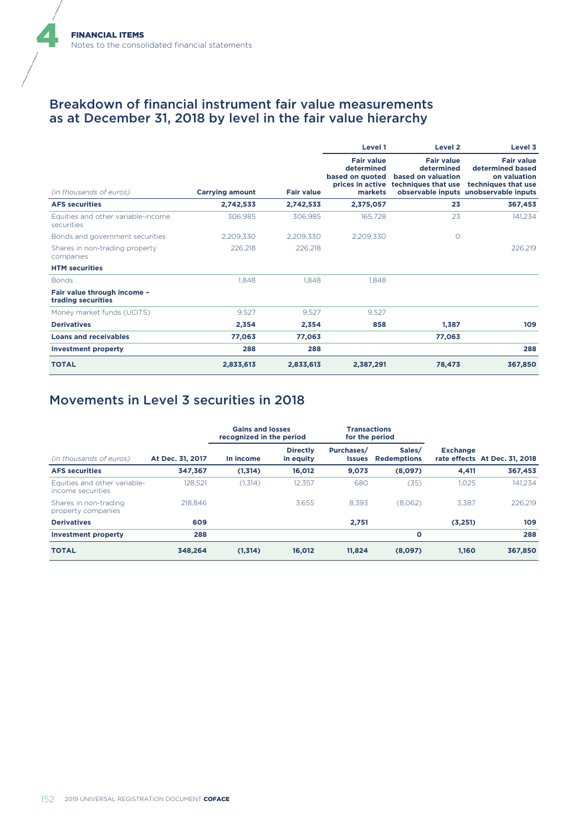### Breakdown of financial instrument fair value measurements as at December 31, 2018 by level in the fair value hierarchy

|                                                   |                        |                   | Level 1                                                       | Level 2                                                                                       | Level 3                                                                                                               |
|---------------------------------------------------|------------------------|-------------------|---------------------------------------------------------------|-----------------------------------------------------------------------------------------------|-----------------------------------------------------------------------------------------------------------------------|
| (in thousands of euros)                           | <b>Carrying amount</b> | <b>Fair value</b> | <b>Fair value</b><br>determined<br>based on quoted<br>markets | <b>Fair value</b><br>determined<br>based on valuation<br>prices in active techniques that use | <b>Fair value</b><br>determined based<br>on valuation<br>techniques that use<br>observable inputs unobservable inputs |
| <b>AFS securities</b>                             | 2,742,533              | 2,742,533         | 2,375,057                                                     | 23                                                                                            | 367,453                                                                                                               |
| Equities and other variable-income<br>securities  | 306,985                | 306,985           | 165,728                                                       | 23                                                                                            | 141,234                                                                                                               |
| Bonds and government securities                   | 2,209,330              | 2,209,330         | 2,209,330                                                     | $\circ$                                                                                       |                                                                                                                       |
| Shares in non-trading property<br>companies       | 226.218                | 226,218           |                                                               |                                                                                               | 226,219                                                                                                               |
| <b>HTM</b> securities                             |                        |                   |                                                               |                                                                                               |                                                                                                                       |
| <b>Bonds</b>                                      | 1,848                  | 1.848             | 1.848                                                         |                                                                                               |                                                                                                                       |
| Fair value through income -<br>trading securities |                        |                   |                                                               |                                                                                               |                                                                                                                       |
| Money market funds (UCITS)                        | 9,527                  | 9,527             | 9,527                                                         |                                                                                               |                                                                                                                       |
| <b>Derivatives</b>                                | 2,354                  | 2.354             | 858                                                           | 1,387                                                                                         | 109                                                                                                                   |
| <b>Loans and receivables</b>                      | 77,063                 | 77.063            |                                                               | 77,063                                                                                        |                                                                                                                       |
| <b>Investment property</b>                        | 288                    | 288               |                                                               |                                                                                               | 288                                                                                                                   |
| <b>TOTAL</b>                                      | 2,833,613              | 2,833,613         | 2,387,291                                                     | 78,473                                                                                        | 367,850                                                                                                               |

### Movements in Level 3 securities in 2018

|                                                   |                  | <b>Gains and losses</b><br>recognized in the period |                              | <b>Transactions</b><br>for the period |                              |                 |                               |
|---------------------------------------------------|------------------|-----------------------------------------------------|------------------------------|---------------------------------------|------------------------------|-----------------|-------------------------------|
| (in thousands of euros)                           | At Dec. 31, 2017 | In income                                           | <b>Directly</b><br>in equity | Purchases/<br><b>Issues</b>           | Sales/<br><b>Redemptions</b> | <b>Exchange</b> | rate effects At Dec. 31, 2018 |
| <b>AFS</b> securities                             | 347,367          | (1,314)                                             | 16,012                       | 9,073                                 | (8,097)                      | 4,411           | 367,453                       |
| Equities and other variable-<br>income securities | 128.521          | (1.314)                                             | 12.357                       | 680                                   | (35)                         | 1.025           | 141.234                       |
| Shares in non-trading<br>property companies       | 218,846          |                                                     | 3.655                        | 8.393                                 | (8.062)                      | 3.387           | 226.219                       |
| <b>Derivatives</b>                                | 609              |                                                     |                              | 2,751                                 |                              | (3,251)         | 109                           |
| <b>Investment property</b>                        | 288              |                                                     |                              |                                       | $\circ$                      |                 | 288                           |
| <b>TOTAL</b>                                      | 348,264          | (1,314)                                             | 16,012                       | 11.824                                | (8,097)                      | 1.160           | 367,850                       |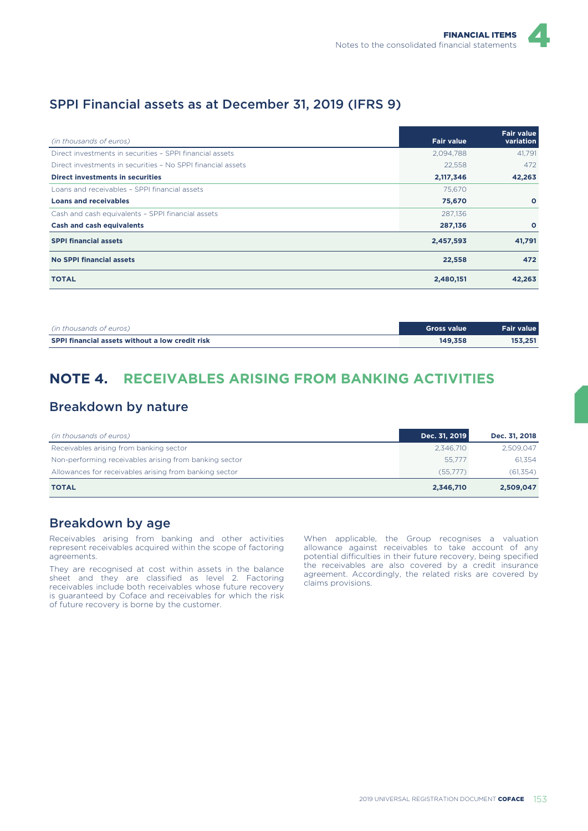### SPPI Financial assets as at December 31, 2019 (IFRS 9)

| (in thousands of euros)                                     | <b>Fair value</b> | <b>Fair value</b><br>variation |
|-------------------------------------------------------------|-------------------|--------------------------------|
| Direct investments in securities - SPPI financial assets    | 2,094,788         | 41.791                         |
| Direct investments in securities - No SPPI financial assets | 22,558            | 472                            |
| Direct investments in securities                            | 2,117,346         | 42,263                         |
| Loans and receivables - SPPI financial assets               | 75,670            |                                |
| <b>Loans and receivables</b>                                | 75,670            | $\circ$                        |
| Cash and cash equivalents - SPPI financial assets           | 287,136           |                                |
| <b>Cash and cash equivalents</b>                            | 287,136           | $\circ$                        |
| <b>SPPI financial assets</b>                                | 2,457,593         | 41,791                         |
| No SPPI financial assets                                    | 22,558            | 472                            |
| <b>TOTAL</b>                                                | 2,480,151         | 42,263                         |

| (in thousands of euros)                                | Gross value | Fair value |
|--------------------------------------------------------|-------------|------------|
| <b>SPPI financial assets without a low credit risk</b> | 149.358     | 153.251    |

## **NOTE 4. RECEIVABLES ARISING FROM BANKING ACTIVITIES**

### Breakdown by nature

| (in thousands of euros)                                | Dec. 31, 2019 | Dec. 31, 2018 |
|--------------------------------------------------------|---------------|---------------|
| Receivables arising from banking sector                | 2.346.710     | 2.509.047     |
| Non-performing receivables arising from banking sector | 55.777        | 61.354        |
| Allowances for receivables arising from banking sector | (55,777)      | (61, 354)     |
| <b>TOTAL</b>                                           | 2,346,710     | 2,509,047     |

### Breakdown by age

Receivables arising from banking and other activities represent receivables acquired within the scope of factoring agreements.

They are recognised at cost within assets in the balance sheet and they are classified as level 2. Factoring receivables include both receivables whose future recovery is guaranteed by Coface and receivables for which the risk of future recovery is borne by the customer.

When applicable, the Group recognises a valuation allowance against receivables to take account of any potential difficulties in their future recovery, being specified the receivables are also covered by a credit insurance agreement. Accordingly, the related risks are covered by claims provisions.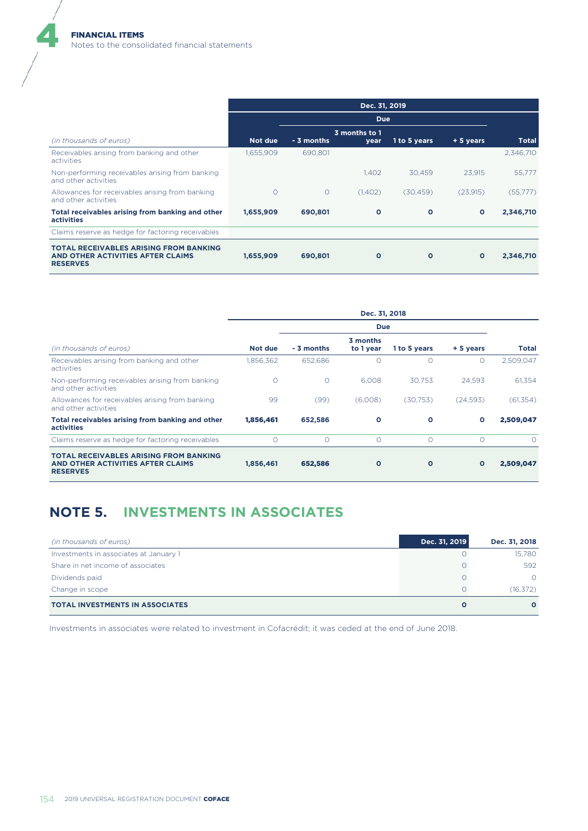|                                                                                                       | Dec. 31, 2019 |            |                       |              |              |           |
|-------------------------------------------------------------------------------------------------------|---------------|------------|-----------------------|--------------|--------------|-----------|
|                                                                                                       |               |            | <b>Due</b>            |              |              |           |
| (in thousands of euros)                                                                               | Not due       | - 3 months | 3 months to 1<br>year | 1 to 5 years | + 5 years    | Total     |
| Receivables arising from banking and other<br>activities                                              | 1,655,909     | 690.801    |                       |              |              | 2,346,710 |
| Non-performing receivables arising from banking<br>and other activities                               |               |            | 1.402                 | 30.459       | 23.915       | 55,777    |
| Allowances for receivables arising from banking<br>and other activities                               | $\circ$       | $\circ$    | (1,402)               | (30, 459)    | (23,915)     | (55,777)  |
| Total receivables arising from banking and other<br><b>activities</b>                                 | 1,655,909     | 690,801    | $\mathbf{o}$          | $\mathbf{o}$ | $\circ$      | 2,346,710 |
| Claims reserve as hedge for factoring receivables                                                     |               |            |                       |              |              |           |
| <b>TOTAL RECEIVABLES ARISING FROM BANKING</b><br>AND OTHER ACTIVITIES AFTER CLAIMS<br><b>RESERVES</b> | 1,655,909     | 690,801    | $\mathbf{o}$          | $\mathbf{o}$ | $\mathbf{o}$ | 2,346,710 |

|                                                                                                       | Dec. 31, 2018 |            |                       |              |              |            |
|-------------------------------------------------------------------------------------------------------|---------------|------------|-----------------------|--------------|--------------|------------|
|                                                                                                       | <b>Due</b>    |            |                       |              |              |            |
| (in thousands of euros)                                                                               | Not due       | - 3 months | 3 months<br>to 1 year | 1 to 5 years | + 5 years    | Total      |
| Receivables arising from banking and other<br>activities                                              | 1,856,362     | 652,686    | Ω                     | $\Omega$     | O            | 2,509,047  |
| Non-performing receivables arising from banking<br>and other activities                               | $\circ$       | $\circ$    | 6.008                 | 30.753       | 24.593       | 61,354     |
| Allowances for receivables arising from banking<br>and other activities                               | 99            | (99)       | (6,008)               | (30,753)     | (24, 593)    | (61, 354)  |
| Total receivables arising from banking and other<br>activities                                        | 1,856,461     | 652,586    | $\mathbf{o}$          | $\mathbf{o}$ | $\mathbf{o}$ | 2,509,047  |
| Claims reserve as hedge for factoring receivables                                                     | $\circ$       | $\circ$    | $\circ$               | $\circ$      | O            | $\bigcirc$ |
| <b>TOTAL RECEIVABLES ARISING FROM BANKING</b><br>AND OTHER ACTIVITIES AFTER CLAIMS<br><b>RESERVES</b> | 1,856,461     | 652,586    | $\mathbf{o}$          | $\mathbf{o}$ | $\mathbf{o}$ | 2,509,047  |

# **NOTE 5. INVESTMENTS IN ASSOCIATES**

| (in thousands of euros)                | Dec. 31, 2019 | Dec. 31, 2018 |
|----------------------------------------|---------------|---------------|
| Investments in associates at January 1 |               | 15.780        |
| Share in net income of associates      |               | 592           |
| Dividends paid                         |               | $\Omega$      |
| Change in scope                        |               | (16, 372)     |
| <b>TOTAL INVESTMENTS IN ASSOCIATES</b> |               | $\Omega$      |

Investments in associates were related to investment in Cofacrédit; it was ceded at the end of June 2018.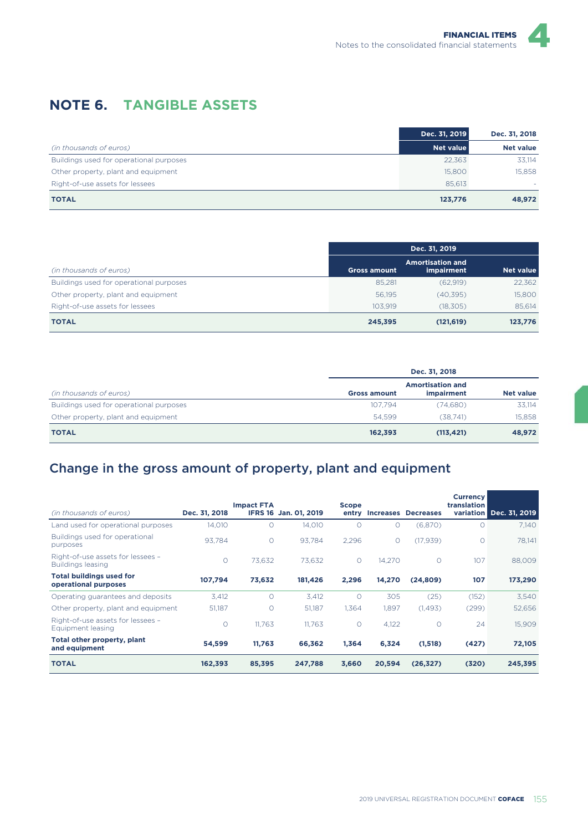## **NOTE 6. TANGIBLE ASSETS**

|                                         | Dec. 31, 2019    | Dec. 31, 2018    |
|-----------------------------------------|------------------|------------------|
| (in thousands of euros)                 | <b>Net value</b> | <b>Net value</b> |
| Buildings used for operational purposes | 22,363           | 33,114           |
| Other property, plant and equipment     | 15,800           | 15,858           |
| Right-of-use assets for lessees         | 85.613           |                  |
| <b>TOTAL</b>                            | 123,776          | 48,972           |

|                                         | Dec. 31, 2019       |                                       |                  |  |
|-----------------------------------------|---------------------|---------------------------------------|------------------|--|
| (in thousands of euros)                 | <b>Gross amount</b> | <b>Amortisation and</b><br>impairment | <b>Net value</b> |  |
| Buildings used for operational purposes | 85,281              | (62,919)                              | 22,362           |  |
| Other property, plant and equipment     | 56.195              | (40,395)                              | 15,800           |  |
| Right-of-use assets for lessees         | 103.919             | (18,305)                              | 85.614           |  |
| <b>TOTAL</b>                            | 245,395             | (121, 619)                            | 123,776          |  |

|                                         | Dec. 31, 2018       |                                              |                  |  |  |  |
|-----------------------------------------|---------------------|----------------------------------------------|------------------|--|--|--|
| (in thousands of euros)                 | <b>Gross amount</b> | <b>Amortisation and</b><br><i>impairment</i> | <b>Net value</b> |  |  |  |
| Buildings used for operational purposes | 107.794             | (74.680)                                     | 33,114           |  |  |  |
| Other property, plant and equipment     | 54.599              | (38.741)                                     | 15,858           |  |  |  |
| <b>TOTAL</b>                            | 162,393             | (113, 421)                                   | 48,972           |  |  |  |

# Change in the gross amount of property, plant and equipment

| (in thousands of euros)                                 | Dec. 31, 2018 | <b>Impact FTA</b> | IFRS 16 Jan. 01, 2019 | <b>Scope</b><br>entry |          | <b>Increases Decreases</b> | <b>Currency</b><br>translation | variation Dec. 31, 2019 |
|---------------------------------------------------------|---------------|-------------------|-----------------------|-----------------------|----------|----------------------------|--------------------------------|-------------------------|
| Land used for operational purposes                      | 14.010        | $\Omega$          | 14,010                | $\circ$               | $\Omega$ | (6,870)                    | O                              | 7,140                   |
| Buildings used for operational<br>purposes              | 93.784        | $\Omega$          | 93.784                | 2.296                 | $\circ$  | (17, 939)                  | O                              | 78,141                  |
| Right-of-use assets for lessees -<br>Buildings leasing  | $\circ$       | 73,632            | 73,632                | $\circ$               | 14,270   | $\circ$                    | 107                            | 88,009                  |
| <b>Total buildings used for</b><br>operational purposes | 107,794       | 73,632            | 181,426               | 2,296                 | 14,270   | (24, 809)                  | 107                            | 173,290                 |
| Operating guarantees and deposits                       | 3.412         | $\circ$           | 3,412                 | $\circ$               | 305      | (25)                       | (152)                          | 3,540                   |
| Other property, plant and equipment                     | 51,187        | $\Omega$          | 51,187                | 1,364                 | 1,897    | (1,493)                    | (299)                          | 52,656                  |
| Right-of-use assets for lessees -<br>Equipment leasing  | $\circ$       | 11.763            | 11.763                | $\circ$               | 4,122    | $\circ$                    | 24                             | 15,909                  |
| Total other property, plant<br>and equipment            | 54,599        | 11,763            | 66,362                | 1,364                 | 6,324    | (1,518)                    | (427)                          | 72,105                  |
| <b>TOTAL</b>                                            | 162,393       | 85,395            | 247,788               | 3,660                 | 20,594   | (26, 327)                  | (320)                          | 245,395                 |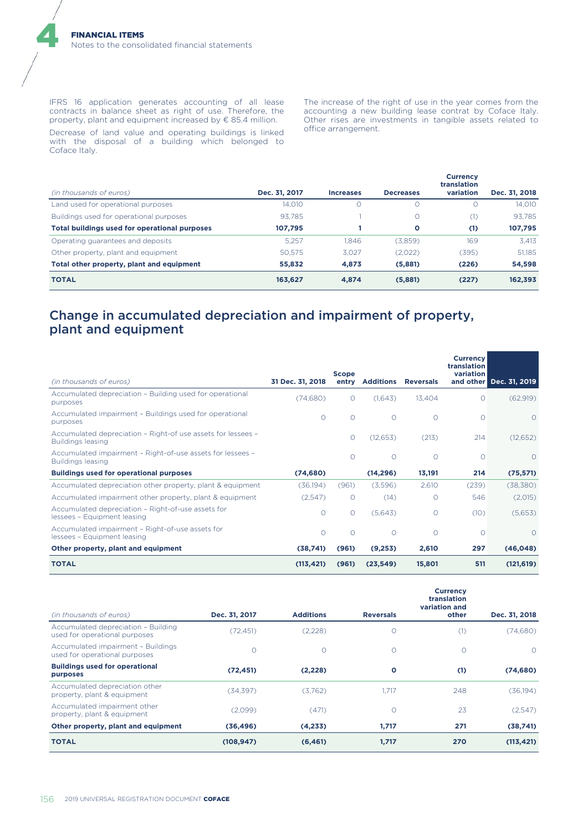IFRS 16 application generates accounting of all lease contracts in balance sheet as right of use. Therefore, the property, plant and equipment increased by € 85.4 million.

Decrease of land value and operating buildings is linked with the disposal of a building which belonged to Coface Italy.

The increase of the right of use in the year comes from the accounting a new building lease contrat by Coface Italy. Other rises are investments in tangible assets related to office arrangement.

| (in thousands of euros)                       | Dec. 31, 2017 | <b>Increases</b> | <b>Decreases</b> | <b>Currency</b><br>translation<br>variation | Dec. 31, 2018 |
|-----------------------------------------------|---------------|------------------|------------------|---------------------------------------------|---------------|
| Land used for operational purposes            | 14,010        |                  | U.               |                                             | 14.010        |
| Buildings used for operational purposes       | 93.785        |                  | 0                | (1)                                         | 93.785        |
| Total buildings used for operational purposes | 107,795       |                  | O                | (1)                                         | 107,795       |
| Operating guarantees and deposits             | 5.257         | 1.846            | (3,859)          | 169                                         | 3.413         |
| Other property, plant and equipment           | 50.575        | 3.027            | (2,022)          | (395)                                       | 51,185        |
| Total other property, plant and equipment     | 55,832        | 4,873            | (5,881)          | (226)                                       | 54,598        |
| <b>TOTAL</b>                                  | 163,627       | 4.874            | (5,881)          | (227)                                       | 162,393       |

### Change in accumulated depreciation and impairment of property, plant and equipment

| (in thousands of euros)                                                                  | 31 Dec. 31, 2018 | <b>Scope</b><br>entry | <b>Additions</b> | <b>Reversals</b> | <b>Currency</b><br>translation<br>variation<br>and other | Dec. 31, 2019 |
|------------------------------------------------------------------------------------------|------------------|-----------------------|------------------|------------------|----------------------------------------------------------|---------------|
|                                                                                          |                  |                       |                  |                  |                                                          |               |
| Accumulated depreciation - Building used for operational<br>purposes                     | (74,680)         | $\circ$               | (1,643)          | 13,404           | $\circ$                                                  | (62,919)      |
| Accumulated impairment - Buildings used for operational<br>purposes                      | $\Omega$         | $\circ$               | $\circ$          | $\Omega$         | $\circ$                                                  | $\Omega$      |
| Accumulated depreciation - Right-of use assets for lessees -<br><b>Buildings leasing</b> |                  | $\circ$               | (12, 653)        | (213)            | 214                                                      | (12, 652)     |
| Accumulated impairment - Right-of-use assets for lessees -<br><b>Buildings leasing</b>   |                  | $\circ$               | $\circ$          | $\Omega$         | $\circ$                                                  | $\Omega$      |
| <b>Buildings used for operational purposes</b>                                           | (74, 680)        |                       | (14, 296)        | 13,191           | 214                                                      | (75, 571)     |
| Accumulated depreciation other property, plant & equipment                               | (36,194)         | (961)                 | (3,596)          | 2,610            | (239)                                                    | (38, 380)     |
| Accumulated impairment other property, plant & equipment                                 | (2,547)          | $\circ$               | (14)             | $\Omega$         | 546                                                      | (2,015)       |
| Accumulated depreciation - Right-of-use assets for<br>lessees - Equipment leasing        | $\circ$          | $\circ$               | (5,643)          | $\Omega$         | (10)                                                     | (5,653)       |
| Accumulated impairment - Right-of-use assets for<br>lessees - Equipment leasing          | $\circ$          | $\circ$               | $\circ$          | $\circ$          | $\circ$                                                  | $\Omega$      |
| Other property, plant and equipment                                                      | (38,741)         | (961)                 | (9,253)          | 2,610            | 297                                                      | (46, 048)     |
| <b>TOTAL</b>                                                                             | (113, 421)       | (961)                 | (23,549)         | 15,801           | 511                                                      | (121, 619)    |

| (in thousands of euros)                                              | Dec. 31, 2017 | <b>Additions</b> | <b>Reversals</b> | <b>Currency</b><br>translation<br>variation and<br>other | Dec. 31, 2018 |
|----------------------------------------------------------------------|---------------|------------------|------------------|----------------------------------------------------------|---------------|
| Accumulated depreciation - Building<br>used for operational purposes | (72, 451)     | (2,228)          | 0                | (1)                                                      | (74,680)      |
| Accumulated impairment - Buildings<br>used for operational purposes  | $\circ$       | $\Omega$         | $\circ$          | O                                                        | $\Omega$      |
| <b>Buildings used for operational</b><br>purposes                    | (72, 451)     | (2,228)          | O                | (1)                                                      | (74, 680)     |
| Accumulated depreciation other<br>property, plant & equipment        | (34,397)      | (3.762)          | 1.717            | 248                                                      | (36, 194)     |
| Accumulated impairment other<br>property, plant & equipment          | (2,099)       | (471)            | $\circ$          | 23                                                       | (2,547)       |
| Other property, plant and equipment                                  | (36, 496)     | (4,233)          | 1,717            | 271                                                      | (38,741)      |
| <b>TOTAL</b>                                                         | (108, 947)    | (6, 461)         | 1,717            | 270                                                      | (113, 421)    |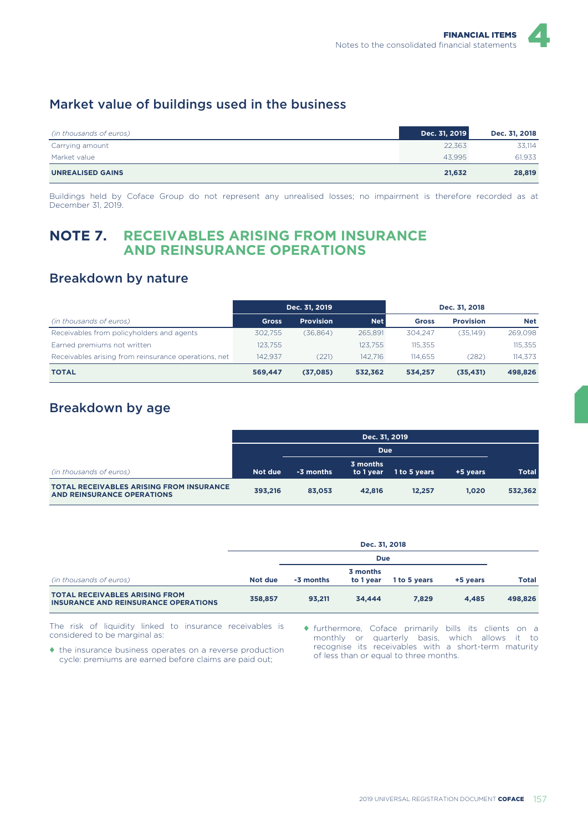### Market value of buildings used in the business

| (in thousands of euros) | Dec. 31, 2019 | Dec. 31, 2018 |
|-------------------------|---------------|---------------|
| Carrying amount         | 22.363        | 33.114        |
| Market value            | 43.995        | 61.933        |
| <b>UNREALISED GAINS</b> | 21,632        | 28,819        |

Buildings held by Coface Group do not represent any unrealised losses; no impairment is therefore recorded as at December 31, 2019.

### **NOTE 7. RECEIVABLES ARISING FROM INSURANCE AND REINSURANCE OPERATIONS**

### Breakdown by nature

|                                                      | Dec. 31, 2019 |                  |            |              | Dec. 31, 2018    |            |
|------------------------------------------------------|---------------|------------------|------------|--------------|------------------|------------|
| (in thousands of euros)                              | <b>Gross</b>  | <b>Provision</b> | <b>Net</b> | <b>Gross</b> | <b>Provision</b> | <b>Net</b> |
| Receivables from policyholders and agents            | 302.755       | (36.864)         | 265.891    | 304.247      | (35.149)         | 269,098    |
| Earned premiums not written                          | 123.755       |                  | 123.755    | 115.355      |                  | 115,355    |
| Receivables arising from reinsurance operations, net | 142.937       | (221)            | 142.716    | 114.655      | (282)            | 114.373    |
| <b>TOTAL</b>                                         | 569.447       | (37,085)         | 532.362    | 534.257      | (35, 431)        | 498,826    |

### Breakdown by age

|                                                                                      | Dec. 31, 2019 |           |                       |              |          |              |  |
|--------------------------------------------------------------------------------------|---------------|-----------|-----------------------|--------------|----------|--------------|--|
|                                                                                      |               |           |                       |              |          |              |  |
| (in thousands of euros)                                                              | Not due       | -3 months | 3 months<br>to 1 year | 1 to 5 years | +5 years | <b>Total</b> |  |
| <b>TOTAL RECEIVABLES ARISING FROM INSURANCE</b><br><b>AND REINSURANCE OPERATIONS</b> | 393.216       | 83.053    | 42.816                | 12.257       | 1.020    | 532,362      |  |

|                                                                                      | Dec. 31, 2018 |            |                       |              |          |              |
|--------------------------------------------------------------------------------------|---------------|------------|-----------------------|--------------|----------|--------------|
|                                                                                      |               | <b>Due</b> |                       |              |          |              |
| (in thousands of euros)                                                              | Not due       | -3 months  | 3 months<br>to 1 year | 1 to 5 years | +5 years | <b>Total</b> |
| <b>TOTAL RECEIVABLES ARISING FROM</b><br><b>INSURANCE AND REINSURANCE OPERATIONS</b> | 358.857       | 93,211     | 34.444                | 7.829        | 4.485    | 498,826      |

The risk of liquidity linked to insurance receivables is considered to be marginal as:

♦ the insurance business operates on a reverse production cycle: premiums are earned before claims are paid out;

♦ furthermore, Coface primarily bills its clients on a monthly or quarterly basis, which allows it to recognise its receivables with a short-term maturity of less than or equal to three months.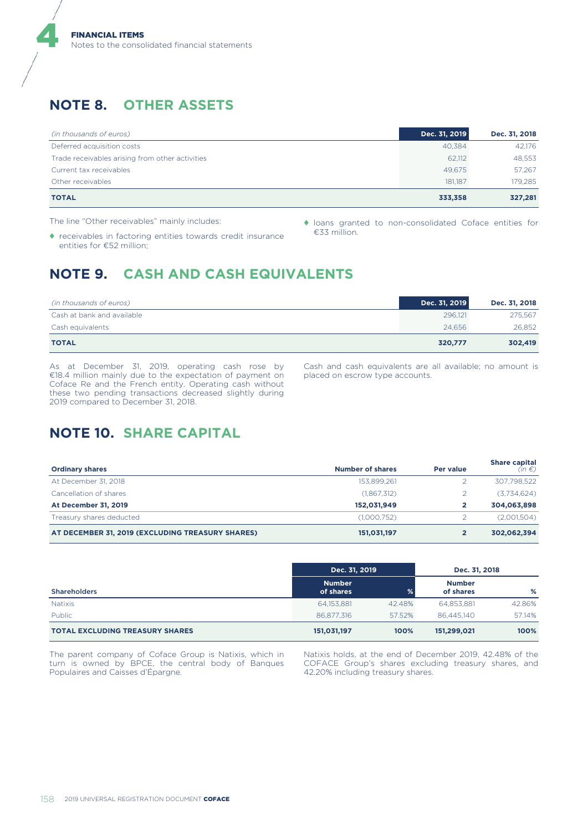# **NOTE 8. OTHER ASSETS**

4

| (in thousands of euros)                         | Dec. 31, 2019 | Dec. 31, 2018 |
|-------------------------------------------------|---------------|---------------|
| Deferred acquisition costs                      | 40.384        | 42.176        |
| Trade receivables arising from other activities | 62.112        | 48,553        |
| Current tax receivables                         | 49.675        | 57.267        |
| Other receivables                               | 181.187       | 179.285       |
| <b>TOTAL</b>                                    | 333,358       | 327,281       |

The line "Other receivables" mainly includes:

- ♦ receivables in factoring entities towards credit insurance entities for €52 million;
- ♦ loans granted to non-consolidated Coface entities for €33 million.

# **NOTE 9. CASH AND CASH EQUIVALENTS**

| (in thousands of euros)    | Dec. 31, 2019 | Dec. 31, 2018 |
|----------------------------|---------------|---------------|
| Cash at bank and available | 296.121       | 275,567       |
| Cash equivalents           | 24,656        | 26,852        |
| <b>TOTAL</b>               | 320.777       | 302,419       |

As at December 31, 2019, operating cash rose by €18.4 million mainly due to the expectation of payment on Coface Re and the French entity. Operating cash without these two pending transactions decreased slightly during 2019 compared to December 31, 2018.

Cash and cash equivalents are all available; no amount is placed on escrow type accounts.

## **NOTE 10. SHARE CAPITAL**

| <b>Ordinary shares</b>                           | Number of shares | Per value | <b>Share capital</b><br>$(in \in)$ |
|--------------------------------------------------|------------------|-----------|------------------------------------|
| At December 31, 2018                             | 153.899.261      |           | 307,798,522                        |
| Cancellation of shares                           | (1,867,312)      |           | (3,734,624)                        |
| <b>At December 31, 2019</b>                      | 152.031.949      |           | 304,063,898                        |
| Treasury shares deducted                         | (1,000,752)      |           | (2,001,504)                        |
| AT DECEMBER 31, 2019 (EXCLUDING TREASURY SHARES) | 151,031,197      |           | 302,062,394                        |

|                                        | Dec. 31, 2019              |        | Dec. 31, 2018              |        |
|----------------------------------------|----------------------------|--------|----------------------------|--------|
| <b>Shareholders</b>                    | <b>Number</b><br>of shares | ℅      | <b>Number</b><br>of shares | %      |
| <b>Natixis</b>                         | 64,153,881                 | 42.48% | 64.853.881                 | 42.86% |
| Public                                 | 86.877.316                 | 57.52% | 86,445,140                 | 57.14% |
| <b>TOTAL EXCLUDING TREASURY SHARES</b> | 151,031,197                | 100%   | 151,299,021                | 100%   |

The parent company of Coface Group is Natixis, which in turn is owned by BPCE, the central body of Banques Populaires and Caisses d'Épargne.

Natixis holds, at the end of December 2019, 42.48% of the COFACE Group's shares excluding treasury shares, and 42.20% including treasury shares.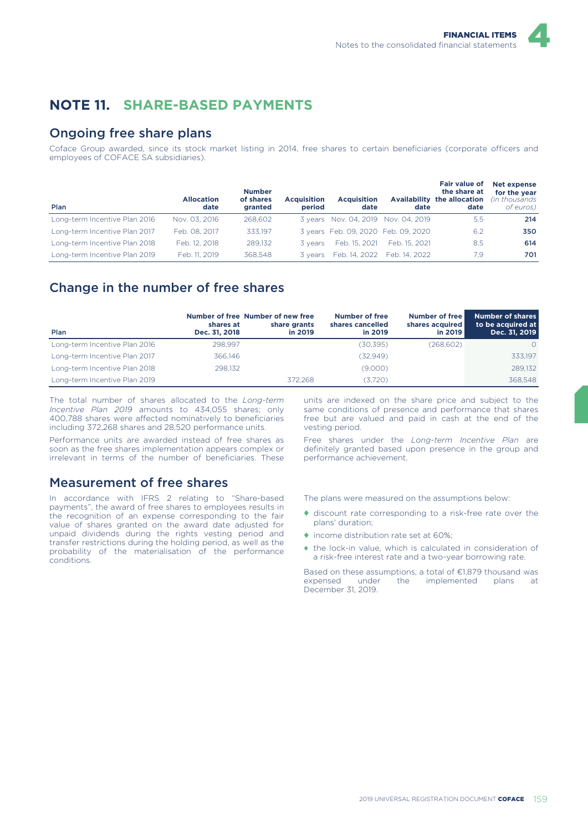

## **NOTE 11. SHARE-BASED PAYMENTS**

### Ongoing free share plans

Coface Group awarded, since its stock market listing in 2014, free shares to certain beneficiaries (corporate officers and employees of COFACE SA subsidiaries).

| Plan                          | <b>Allocation</b><br>date | <b>Number</b><br>of shares<br>granted | <b>Acquisition</b><br>period | <b>Acquisition</b><br>date          | date          | <b>Fair value of</b><br>the share at<br>Availability the allocation<br>date | Net expense<br>for the year<br>(in thousands)<br>of euros) |
|-------------------------------|---------------------------|---------------------------------------|------------------------------|-------------------------------------|---------------|-----------------------------------------------------------------------------|------------------------------------------------------------|
| Long-term Incentive Plan 2016 | Nov. 03, 2016             | 268,602                               |                              | 3 years Nov. 04, 2019 Nov. 04, 2019 |               | 5.5                                                                         | 214                                                        |
| Long-term Incentive Plan 2017 | Feb. 08, 2017             | 333.197                               |                              | 3 years Feb. 09, 2020 Feb. 09, 2020 |               | 6.2                                                                         | 350                                                        |
| Long-term Incentive Plan 2018 | Feb. 12, 2018             | 289.132                               | 3 vears                      | Feb. 15, 2021                       | Feb. 15, 2021 | 8.5                                                                         | 614                                                        |
| Long-term Incentive Plan 2019 | Feb. 11, 2019             | 368.548                               | 3 years                      | Feb. 14. 2022                       | Feb. 14, 2022 | 7.9                                                                         | 701                                                        |

### Change in the number of free shares

| Plan                          | shares at<br>Dec. 31, 2018 | Number of free Number of new free<br>share grants<br>in 2019 | Number of free<br>shares cancelled<br>in 2019 | Number of free<br>shares acquired<br>in 2019 | <b>Number of shares</b><br>to be acquired at<br>Dec. 31, 2019 |
|-------------------------------|----------------------------|--------------------------------------------------------------|-----------------------------------------------|----------------------------------------------|---------------------------------------------------------------|
| Long-term Incentive Plan 2016 | 298.997                    |                                                              | (30, 395)                                     | (268, 602)                                   | $\Omega$                                                      |
| Long-term Incentive Plan 2017 | 366,146                    |                                                              | (32.949)                                      |                                              | 333.197                                                       |
| Long-term Incentive Plan 2018 | 298.132                    |                                                              | (9,000)                                       |                                              | 289.132                                                       |
| Long-term Incentive Plan 2019 |                            | 372.268                                                      | (3.720)                                       |                                              | 368.548                                                       |

The total number of shares allocated to the *Long-term Incentive Plan 2019* amounts to 434,055 shares; only 400,788 shares were affected nominatively to beneficiaries including 372,268 shares and 28,520 performance units.

Performance units are awarded instead of free shares as soon as the free shares implementation appears complex or irrelevant in terms of the number of beneficiaries. These

### Measurement of free shares

In accordance with IFRS 2 relating to "Share-based payments", the award of free shares to employees results in the recognition of an expense corresponding to the fair value of shares granted on the award date adjusted for unpaid dividends during the rights vesting period and transfer restrictions during the holding period, as well as the probability of the materialisation of the performance conditions.

units are indexed on the share price and subject to the same conditions of presence and performance that shares free but are valued and paid in cash at the end of the vesting period.

Free shares under the *Long-term Incentive Plan* are definitely granted based upon presence in the group and performance achievement.

The plans were measured on the assumptions below:

- ♦ discount rate corresponding to a risk-free rate over the plans' duration;
- ♦ income distribution rate set at 60%;
- ♦ the lock-in value, which is calculated in consideration of a risk-free interest rate and a two-year borrowing rate.

Based on these assumptions, a total of €1,879 thousand was expensed under the implemented plans at implemented plans at December 31, 2019.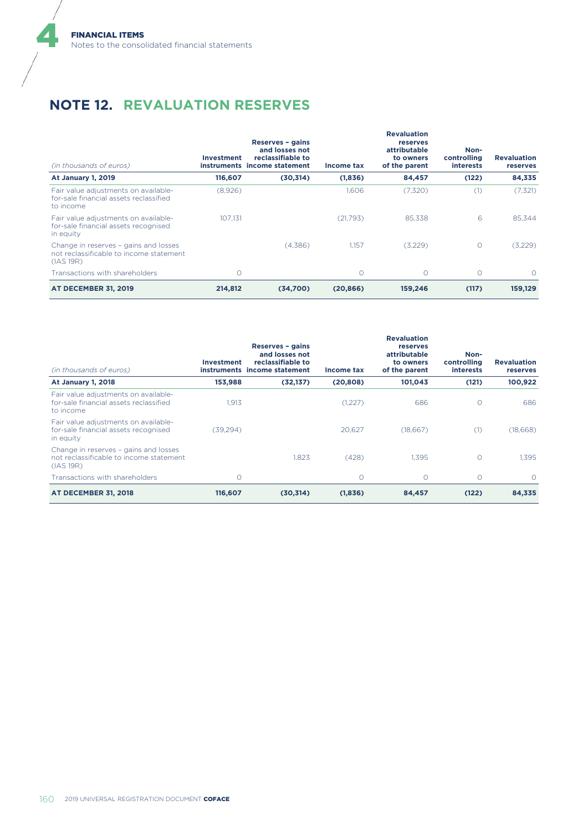# **NOTE 12. REVALUATION RESERVES**

| (in thousands of euros)                                                                       | <b>Investment</b> | Reserves - gains<br>and losses not<br>reclassifiable to<br>instruments income statement | Income tax | <b>Revaluation</b><br>reserves<br>attributable<br>to owners<br>of the parent | Non-<br>controlling<br><b>interests</b> | <b>Revaluation</b><br>reserves |
|-----------------------------------------------------------------------------------------------|-------------------|-----------------------------------------------------------------------------------------|------------|------------------------------------------------------------------------------|-----------------------------------------|--------------------------------|
| <b>At January 1, 2019</b>                                                                     | 116,607           | (30,314)                                                                                | (1,836)    | 84,457                                                                       | (122)                                   | 84,335                         |
| Fair value adjustments on available-<br>for-sale financial assets reclassified<br>to income   | (8,926)           |                                                                                         | 1.606      | (7,320)                                                                      | (1)                                     | (7,321)                        |
| Fair value adjustments on available-<br>for-sale financial assets recognised<br>in equity     | 107.131           |                                                                                         | (21,793)   | 85.338                                                                       | 6                                       | 85.344                         |
| Change in reserves - gains and losses<br>not reclassificable to income statement<br>(IAS 19R) |                   | (4,386)                                                                                 | 1.157      | (3,229)                                                                      | $\circ$                                 | (3,229)                        |
| Transactions with shareholders                                                                | Ω                 |                                                                                         | $\bigcirc$ | $\Omega$                                                                     | $\circ$                                 | $\Omega$                       |
| <b>AT DECEMBER 31, 2019</b>                                                                   | 214,812           | (34,700)                                                                                | (20, 866)  | 159,246                                                                      | (117)                                   | 159,129                        |

| (in thousands of euros)                                                                       | Investment | Reserves - gains<br>and losses not<br>reclassifiable to<br>instruments income statement | Income tax | <b>Revaluation</b><br>reserves<br>attributable<br>to owners<br>of the parent | Non-<br>controlling<br><b>interests</b> | <b>Revaluation</b><br><b>reserves</b> |
|-----------------------------------------------------------------------------------------------|------------|-----------------------------------------------------------------------------------------|------------|------------------------------------------------------------------------------|-----------------------------------------|---------------------------------------|
| <b>At January 1, 2018</b>                                                                     | 153,988    | (32, 137)                                                                               | (20, 808)  | 101,043                                                                      | (121)                                   | 100,922                               |
| Fair value adjustments on available-<br>for-sale financial assets reclassified<br>to income   | 1.913      |                                                                                         | (1,227)    | 686                                                                          | $\circ$                                 | 686                                   |
| Fair value adjustments on available-<br>for-sale financial assets recognised<br>in equity     | (39, 294)  |                                                                                         | 20.627     | (18,667)                                                                     | (1)                                     | (18,668)                              |
| Change in reserves - gains and losses<br>not reclassificable to income statement<br>(IAS 19R) |            | 1.823                                                                                   | (428)      | 1.395                                                                        | $\circ$                                 | 1.395                                 |
| Transactions with shareholders                                                                | $\Omega$   |                                                                                         | $\circ$    | $\circ$                                                                      | $\circ$                                 | $\Omega$                              |
| <b>AT DECEMBER 31, 2018</b>                                                                   | 116,607    | (30, 314)                                                                               | (1,836)    | 84,457                                                                       | (122)                                   | 84,335                                |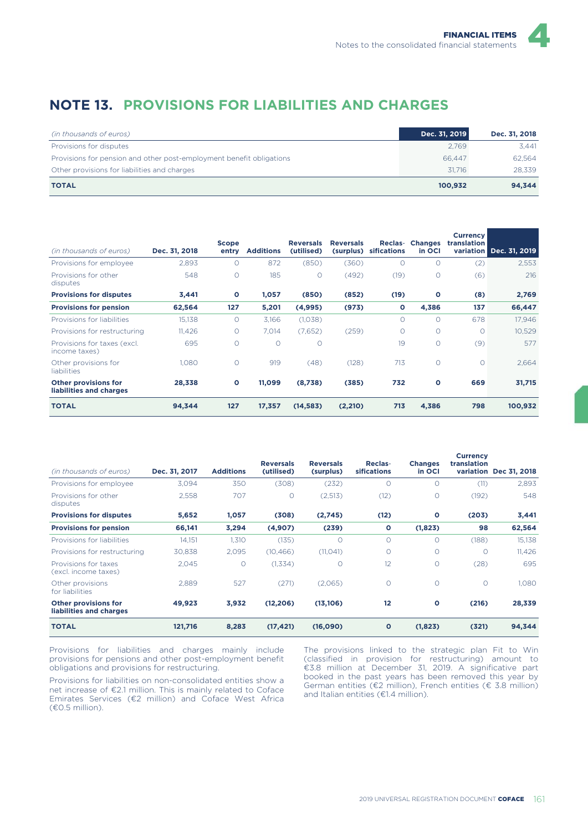## **NOTE 13. PROVISIONS FOR LIABILITIES AND CHARGES**

| (in thousands of euros)                                              | Dec. 31, 2019 | Dec. 31, 2018 |
|----------------------------------------------------------------------|---------------|---------------|
| Provisions for disputes                                              | 2.769         | 3.441         |
| Provisions for pension and other post-employment benefit obligations | 66.447        | 62.564        |
| Other provisions for liabilities and charges                         | 31.716        | 28.339        |
| <b>TOTAL</b>                                                         | 100.932       | 94.344        |

| (in thousands of euros)                                | Dec. 31, 2018 | <b>Scope</b><br>entry | <b>Additions</b> | <b>Reversals</b><br>(utilised) | <b>Reversals</b><br>(surplus) | Reclas-<br>sifications | <b>Changes</b><br>in OCI | <b>Currency</b><br>translation | variation Dec. 31, 2019 |
|--------------------------------------------------------|---------------|-----------------------|------------------|--------------------------------|-------------------------------|------------------------|--------------------------|--------------------------------|-------------------------|
| Provisions for employee                                | 2,893         | $\circ$               | 872              | (850)                          | (360)                         | O                      | $\circ$                  | (2)                            | 2,553                   |
| Provisions for other<br>disputes                       | 548           | $\circ$               | 185              | $\circ$                        | (492)                         | (19)                   | $\circ$                  | (6)                            | 216                     |
| <b>Provisions for disputes</b>                         | 3,441         | $\circ$               | 1,057            | (850)                          | (852)                         | (19)                   | $\mathbf{o}$             | (8)                            | 2,769                   |
| <b>Provisions for pension</b>                          | 62,564        | 127                   | 5,201            | (4,995)                        | (973)                         | O                      | 4,386                    | 137                            | 66,447                  |
| Provisions for liabilities                             | 15,138        | $\circ$               | 3,166            | (1,038)                        |                               | $\circ$                | $\Omega$                 | 678                            | 17,946                  |
| Provisions for restructuring                           | 11,426        | $\circ$               | 7.014            | (7,652)                        | (259)                         | O                      | $\Omega$                 | $\circ$                        | 10,529                  |
| Provisions for taxes (excl.<br>income taxes)           | 695           | $\circ$               | $\Omega$         | $\circ$                        |                               | 19                     | $\circ$                  | (9)                            | 577                     |
| Other provisions for<br><b>liabilities</b>             | 1.080         | $\circ$               | 919              | (48)                           | (128)                         | 713                    | $\circ$                  | $\circ$                        | 2.664                   |
| <b>Other provisions for</b><br>liabilities and charges | 28,338        | $\circ$               | 11,099           | (8,738)                        | (385)                         | 732                    | $\circ$                  | 669                            | 31,715                  |
| <b>TOTAL</b>                                           | 94,344        | 127                   | 17,357           | (14, 583)                      | (2, 210)                      | 713                    | 4,386                    | 798                            | 100,932                 |

| (in thousands of euros)                                | Dec. 31, 2017 | <b>Additions</b> | <b>Reversals</b><br>(utilised) | <b>Reversals</b><br>(surplus) | Reclas-<br><b>sifications</b> | <b>Changes</b><br>in OCI | <b>Currency</b><br>translation | variation Dec 31, 2018 |
|--------------------------------------------------------|---------------|------------------|--------------------------------|-------------------------------|-------------------------------|--------------------------|--------------------------------|------------------------|
| Provisions for employee                                | 3.094         | 350              | (308)                          | (232)                         | $\Omega$                      | Ω                        | (11)                           | 2,893                  |
| Provisions for other<br>disputes                       | 2,558         | 707              | $\Omega$                       | (2,513)                       | (12)                          | 0                        | (192)                          | 548                    |
| <b>Provisions for disputes</b>                         | 5,652         | 1,057            | (308)                          | (2,745)                       | (12)                          | O                        | (203)                          | 3,441                  |
| <b>Provisions for pension</b>                          | 66,141        | 3,294            | (4,907)                        | (239)                         | O                             | (1,823)                  | 98                             | 62,564                 |
| Provisions for liabilities                             | 14.151        | 1,310            | (135)                          | $\circ$                       | $\Omega$                      | Ω                        | (188)                          | 15,138                 |
| Provisions for restructuring                           | 30,838        | 2,095            | (10, 466)                      | (11, 041)                     | $\circ$                       | 0                        | $\circ$                        | 11,426                 |
| Provisions for taxes<br>(excl. income taxes)           | 2,045         | $\circ$          | (1,334)                        | $\circ$                       | 12                            | 0                        | (28)                           | 695                    |
| Other provisions<br>for liabilities                    | 2,889         | 527              | (271)                          | (2,065)                       | $\circ$                       | $\circ$                  | $\circ$                        | 1,080                  |
| <b>Other provisions for</b><br>liabilities and charges | 49,923        | 3,932            | (12, 206)                      | (13, 106)                     | 12                            | O                        | (216)                          | 28,339                 |
| <b>TOTAL</b>                                           | 121,716       | 8,283            | (17, 421)                      | (16,090)                      | $\mathbf{o}$                  | (1,823)                  | (321)                          | 94,344                 |

Provisions for liabilities and charges mainly include provisions for pensions and other post-employment benefit obligations and provisions for restructuring.

Provisions for liabilities on non-consolidated entities show a net increase of €2.1 million. This is mainly related to Coface Emirates Services (€2 million) and Coface West Africa (€0.5 million).

The provisions linked to the strategic plan Fit to Win (classified in provision for restructuring) amount to €3.8 million at December 31, 2019. A significative part booked in the past years has been removed this year by German entities (€2 million), French entities (€ 3.8 million) and Italian entities (€1.4 million).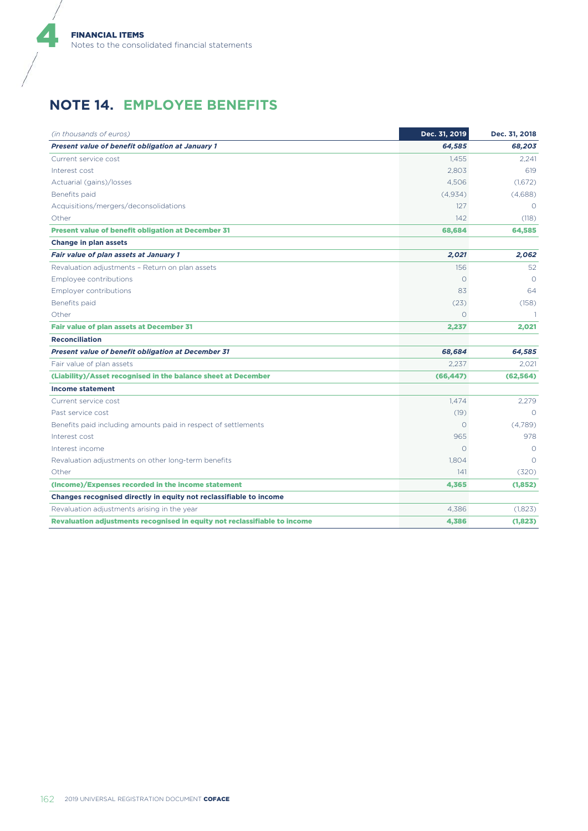$\boldsymbol{d}$ 

## **NOTE 14. EMPLOYEE BENEFITS**

| (in thousands of euros)                                                   | Dec. 31, 2019 | Dec. 31, 2018 |
|---------------------------------------------------------------------------|---------------|---------------|
| Present value of benefit obligation at January 1                          | 64,585        | 68,203        |
| Current service cost                                                      | 1.455         | 2,241         |
| Interest cost                                                             | 2.803         | 619           |
| Actuarial (gains)/losses                                                  | 4,506         | (1,672)       |
| Benefits paid                                                             | (4,934)       | (4,688)       |
| Acquisitions/mergers/deconsolidations                                     | 127           | $\Omega$      |
| Other                                                                     | 142           | (118)         |
| Present value of benefit obligation at December 31                        | 68,684        | 64,585        |
| Change in plan assets                                                     |               |               |
| Fair value of plan assets at January 1                                    | 2,021         | 2,062         |
| Revaluation adjustments - Return on plan assets                           | 156           | 52            |
| Employee contributions                                                    | $\Omega$      | $\Omega$      |
| <b>Employer contributions</b>                                             | 83            | 64            |
| Benefits paid                                                             | (23)          | (158)         |
| Other                                                                     | $\Omega$      |               |
| Fair value of plan assets at December 31                                  | 2,237         | 2,021         |
| <b>Reconciliation</b>                                                     |               |               |
| <b>Present value of benefit obligation at December 31</b>                 | 68,684        | 64,585        |
| Fair value of plan assets                                                 | 2,237         | 2,021         |
| (Liability)/Asset recognised in the balance sheet at December             | (66, 447)     | (62, 564)     |
| <b>Income statement</b>                                                   |               |               |
| Current service cost                                                      | 1,474         | 2,279         |
| Past service cost                                                         | (19)          | $\Omega$      |
| Benefits paid including amounts paid in respect of settlements            | $\circ$       | (4,789)       |
| Interest cost                                                             | 965           | 978           |
| Interest income                                                           | $\bigcap$     | $\bigcirc$    |
| Revaluation adjustments on other long-term benefits                       | 1,804         | $\bigcirc$    |
| Other                                                                     | 141           | (320)         |
| (Income)/Expenses recorded in the income statement                        | 4,365         | (1, 852)      |
| Changes recognised directly in equity not reclassifiable to income        |               |               |
| Revaluation adjustments arising in the year                               | 4.386         | (1,823)       |
| Revaluation adjustments recognised in equity not reclassifiable to income | 4,386         | (1,823)       |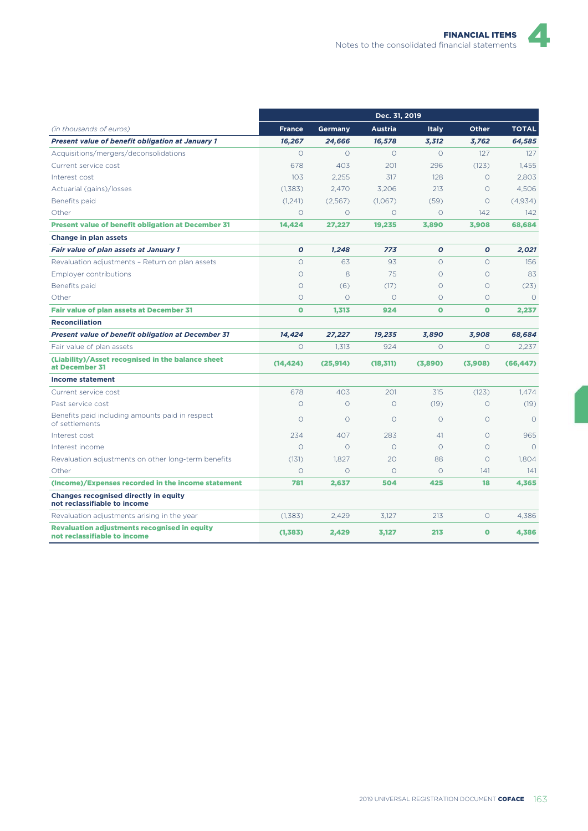|                                                                                     | Dec. 31, 2019 |                |                |              |              |              |  |  |
|-------------------------------------------------------------------------------------|---------------|----------------|----------------|--------------|--------------|--------------|--|--|
| (in thousands of euros)                                                             | <b>France</b> | <b>Germany</b> | <b>Austria</b> | <b>Italy</b> | <b>Other</b> | <b>TOTAL</b> |  |  |
| Present value of benefit obligation at January 1                                    | 16,267        | 24,666         | 16,578         | 3,312        | 3,762        | 64,585       |  |  |
| Acquisitions/mergers/deconsolidations                                               | $\Omega$      | $\Omega$       | $\circ$        | $\Omega$     | 127          | 127          |  |  |
| Current service cost                                                                | 678           | 403            | 201            | 296          | (123)        | 1.455        |  |  |
| Interest cost                                                                       | 103           | 2,255          | 317            | 128          | $\Omega$     | 2.803        |  |  |
| Actuarial (gains)/losses                                                            | (1,383)       | 2.470          | 3.206          | 213          | $\Omega$     | 4.506        |  |  |
| Benefits paid                                                                       | (1,241)       | (2,567)        | (1,067)        | (59)         | $\circ$      | (4,934)      |  |  |
| Other                                                                               | $\Omega$      | $\Omega$       | $\Omega$       | $\Omega$     | 142          | 142          |  |  |
| <b>Present value of benefit obligation at December 31</b>                           | 14,424        | 27,227         | 19,235         | 3,890        | 3,908        | 68,684       |  |  |
| Change in plan assets                                                               |               |                |                |              |              |              |  |  |
| Fair value of plan assets at January 1                                              | $\mathbf o$   | 1.248          | 773            | $\mathbf o$  | $\mathbf o$  | 2,021        |  |  |
| Revaluation adjustments - Return on plan assets                                     | $\circ$       | 63             | 93             | $\Omega$     | $\Omega$     | 156          |  |  |
| Employer contributions                                                              | $\circ$       | 8              | 75             | $\Omega$     | $\Omega$     | 83           |  |  |
| Benefits paid                                                                       | $\circ$       | (6)            | (17)           | $\circ$      | O            | (23)         |  |  |
| Other                                                                               | $\circ$       | $\Omega$       | $\Omega$       | $\Omega$     | $\Omega$     | $\Omega$     |  |  |
| <b>Fair value of plan assets at December 31</b>                                     | $\bullet$     | 1,313          | 924            | $\mathbf{o}$ | $\bullet$    | 2,237        |  |  |
| <b>Reconciliation</b>                                                               |               |                |                |              |              |              |  |  |
| <b>Present value of benefit obligation at December 31</b>                           | 14.424        | 27,227         | 19,235         | 3.890        | 3,908        | 68,684       |  |  |
| Fair value of plan assets                                                           | $\Omega$      | 1,313          | 924            | $\Omega$     | $\Omega$     | 2,237        |  |  |
| (Liability)/Asset recognised in the balance sheet<br>at December 31                 | (14, 424)     | (25, 914)      | (18, 311)      | (3,890)      | (3,908)      | (66, 447)    |  |  |
| <b>Income statement</b>                                                             |               |                |                |              |              |              |  |  |
| Current service cost                                                                | 678           | 403            | 201            | 315          | (123)        | 1.474        |  |  |
| Past service cost                                                                   | $\Omega$      | $\Omega$       | $\Omega$       | (19)         | $\Omega$     | (19)         |  |  |
| Benefits paid including amounts paid in respect<br>of settlements                   | $\Omega$      | $\Omega$       | $\Omega$       | $\Omega$     | $\Omega$     | $\Omega$     |  |  |
| Interest cost                                                                       | 234           | 407            | 283            | 41           | $\Omega$     | 965          |  |  |
| Interest income                                                                     | $\Omega$      | $\Omega$       | $\Omega$       | $\Omega$     | $\Omega$     | $\Omega$     |  |  |
| Revaluation adjustments on other long-term benefits                                 | (131)         | 1.827          | 20             | 88           | Ω            | 1.804        |  |  |
| Other                                                                               | $\circ$       | $\circ$        | $\circ$        | $\circ$      | 141          | 141          |  |  |
| (Income)/Expenses recorded in the income statement                                  | 781           | 2,637          | 504            | 425          | 18           | 4.365        |  |  |
| <b>Changes recognised directly in equity</b><br>not reclassifiable to income        |               |                |                |              |              |              |  |  |
| Revaluation adjustments arising in the year                                         | (1,383)       | 2,429          | 3,127          | 213          | $\circ$      | 4,386        |  |  |
| <b>Revaluation adjustments recognised in equity</b><br>not reclassifiable to income | (1, 383)      | 2,429          | 3,127          | 213          | $\mathbf{o}$ | 4,386        |  |  |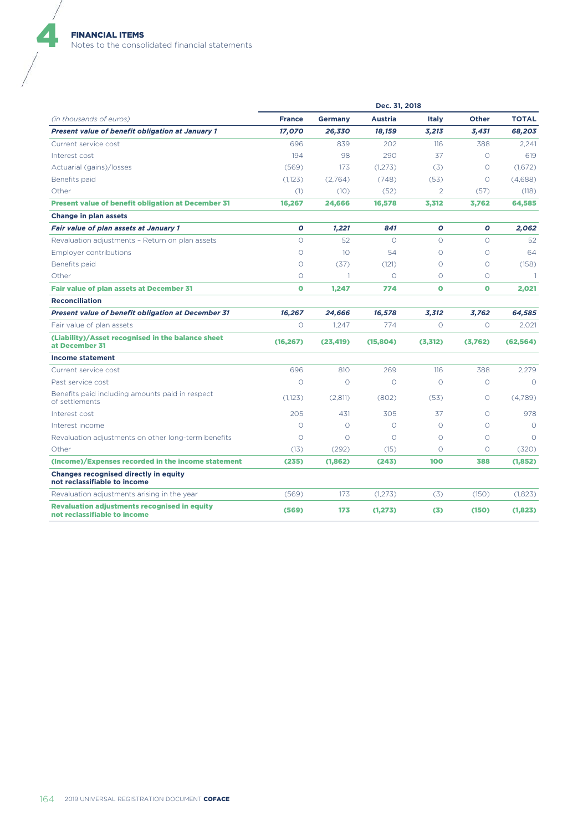|                                                                                     | Dec. 31, 2018 |                 |                |              |              |              |  |  |
|-------------------------------------------------------------------------------------|---------------|-----------------|----------------|--------------|--------------|--------------|--|--|
| (in thousands of euros)                                                             | <b>France</b> | <b>Germany</b>  | <b>Austria</b> | <b>Italy</b> | <b>Other</b> | <b>TOTAL</b> |  |  |
| Present value of benefit obligation at January 1                                    | 17,070        | 26,330          | 18,159         | 3,213        | 3,431        | 68,203       |  |  |
| Current service cost                                                                | 696           | 839             | 202            | 116          | 388          | 2.241        |  |  |
| Interest cost                                                                       | 194           | 98              | 290            | 37           | $\Omega$     | 619          |  |  |
| Actuarial (gains)/losses                                                            | (569)         | 173             | (1.273)        | (3)          | $\circ$      | (1.672)      |  |  |
| Benefits paid                                                                       | (1,123)       | (2,764)         | (748)          | (53)         | $\circ$      | (4,688)      |  |  |
| Other                                                                               | (1)           | (10)            | (52)           | 2            | (57)         | (118)        |  |  |
| <b>Present value of benefit obligation at December 31</b>                           | 16,267        | 24,666          | 16,578         | 3,312        | 3,762        | 64,585       |  |  |
| Change in plan assets                                                               |               |                 |                |              |              |              |  |  |
| Fair value of plan assets at January 1                                              | $\mathbf o$   | 1,221           | 841            | $\mathbf o$  | $\mathbf o$  | 2,062        |  |  |
| Revaluation adjustments - Return on plan assets                                     | $\circ$       | 52              | $\Omega$       | $\Omega$     | $\Omega$     | 52           |  |  |
| <b>Employer contributions</b>                                                       | $\circ$       | 10 <sup>°</sup> | 54             | $\Omega$     | $\Omega$     | 64           |  |  |
| Benefits paid                                                                       | $\circ$       | (37)            | (121)          | $\Omega$     | Ω            | (158)        |  |  |
| Other                                                                               | $\circ$       | 1               | $\circ$        | $\circ$      | $\circ$      | -1           |  |  |
| <b>Fair value of plan assets at December 31</b>                                     | $\bullet$     | 1,247           | 774            | $\bullet$    | $\bullet$    | 2,021        |  |  |
| <b>Reconciliation</b>                                                               |               |                 |                |              |              |              |  |  |
| <b>Present value of benefit obligation at December 31</b>                           | 16,267        | 24,666          | 16,578         | 3,312        | 3,762        | 64,585       |  |  |
| Fair value of plan assets                                                           | $\circ$       | 1.247           | 774            | $\circ$      | $\circ$      | 2,021        |  |  |
| (Liability)/Asset recognised in the balance sheet<br>at December 31                 | (16, 267)     | (23, 419)       | (15, 804)      | (3,312)      | (3,762)      | (62, 564)    |  |  |
| <b>Income statement</b>                                                             |               |                 |                |              |              |              |  |  |
| Current service cost                                                                | 696           | 810             | 269            | 116          | 388          | 2.279        |  |  |
| Past service cost                                                                   | $\circ$       | $\circ$         | $\circ$        | $\circ$      | $\circ$      | $\circ$      |  |  |
| Benefits paid including amounts paid in respect<br>of settlements                   | (1,123)       | (2,811)         | (802)          | (53)         | $\Omega$     | (4,789)      |  |  |
| Interest cost                                                                       | 205           | 431             | 305            | 37           | $\Omega$     | 978          |  |  |
| Interest income                                                                     | $\circ$       | $\circ$         | $\circ$        | $\circ$      | $\Omega$     | $\Omega$     |  |  |
| Revaluation adjustments on other long-term benefits                                 | $\circ$       | $\circ$         | $\circ$        | $\circ$      | $\circ$      | $\Omega$     |  |  |
| Other                                                                               | (13)          | (292)           | (15)           | $\circ$      | $\circ$      | (320)        |  |  |
| (Income)/Expenses recorded in the income statement                                  | (235)         | (1,862)         | (243)          | 100          | 388          | (1,852)      |  |  |
| <b>Changes recognised directly in equity</b><br>not reclassifiable to income        |               |                 |                |              |              |              |  |  |
| Revaluation adjustments arising in the year                                         | (569)         | 173             | (1.273)        | (3)          | (150)        | (1.823)      |  |  |
| <b>Revaluation adjustments recognised in equity</b><br>not reclassifiable to income | (569)         | 173             | (1, 273)       | (3)          | (150)        | (1,823)      |  |  |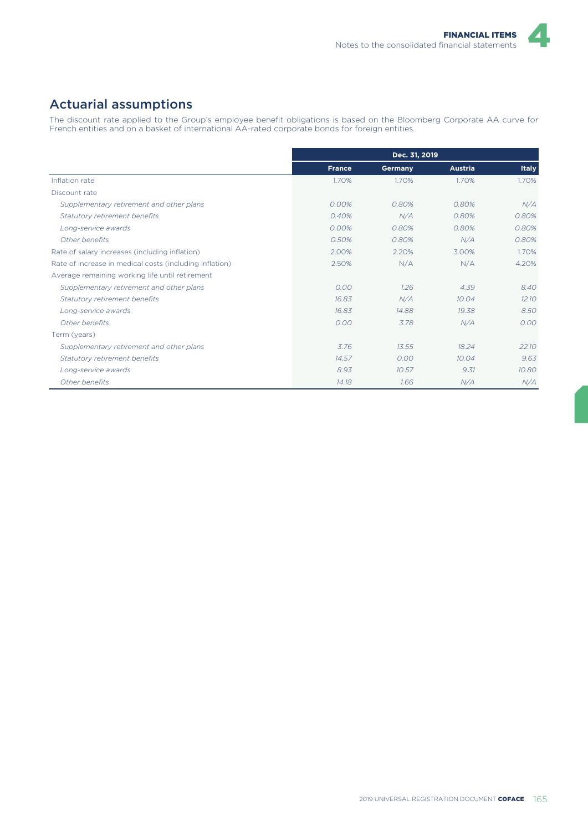## Actuarial assumptions

The discount rate applied to the Group's employee benefit obligations is based on the Bloomberg Corporate AA curve for French entities and on a basket of international AA-rated corporate bonds for foreign entities.

|                                                         |               | Dec. 31, 2019 |                |              |
|---------------------------------------------------------|---------------|---------------|----------------|--------------|
|                                                         | <b>France</b> | Germany       | <b>Austria</b> | <b>Italy</b> |
| Inflation rate                                          | 1.70%         | 1.70%         | 1.70%          | 1.70%        |
| Discount rate                                           |               |               |                |              |
| Supplementary retirement and other plans                | 0.00%         | 0.80%         | 0.80%          | N/A          |
| Statutory retirement benefits                           | 0.40%         | N/A           | 0.80%          | 0.80%        |
| Long-service awards                                     | 0.00%         | 0.80%         | 0.80%          | 0.80%        |
| Other benefits                                          | 0.50%         | 0.80%         | N/A            | 0.80%        |
| Rate of salary increases (including inflation)          | 2.00%         | 2.20%         | 3.00%          | 1.70%        |
| Rate of increase in medical costs (including inflation) | 2.50%         | N/A           | N/A            | 4.20%        |
| Average remaining working life until retirement         |               |               |                |              |
| Supplementary retirement and other plans                | 0.00          | 1.26          | 4.39           | 8.40         |
| Statutory retirement benefits                           | 16.83         | N/A           | 10.04          | 12.10        |
| Long-service awards                                     | 16.83         | 14.88         | 19.38          | 8.50         |
| Other benefits                                          | 0.00          | 3.78          | N/A            | 0.00         |
| Term (years)                                            |               |               |                |              |
| Supplementary retirement and other plans                | 3.76          | 13.55         | 18.24          | 22.10        |
| Statutory retirement benefits                           | 14.57         | 0.00          | 10.04          | 9.63         |
| Long-service awards                                     | 8.93          | 10.57         | 9.31           | 10.80        |
| Other benefits                                          | 14.18         | 1.66          | N/A            | N/A          |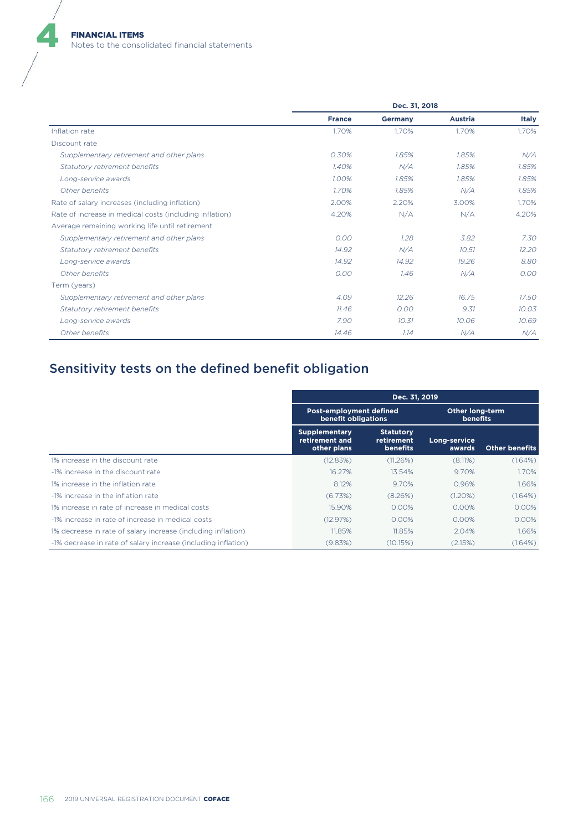|                                                         | Dec. 31, 2018 |                |                |              |  |  |
|---------------------------------------------------------|---------------|----------------|----------------|--------------|--|--|
|                                                         | <b>France</b> | <b>Germany</b> | <b>Austria</b> | <b>Italy</b> |  |  |
| Inflation rate                                          | 1.70%         | 1.70%          | 1.70%          | 1.70%        |  |  |
| Discount rate                                           |               |                |                |              |  |  |
| Supplementary retirement and other plans                | 0.30%         | 1.85%          | 1.85%          | N/A          |  |  |
| Statutory retirement benefits                           | 1.40%         | N/A            | 1.85%          | 1.85%        |  |  |
| Long-service awards                                     | 1.00%         | 1.85%          | 1.85%          | 1.85%        |  |  |
| Other benefits                                          | 1.70%         | 1.85%          | N/A            | 1.85%        |  |  |
| Rate of salary increases (including inflation)          | 2.00%         | 2.20%          | 3.00%          | 1.70%        |  |  |
| Rate of increase in medical costs (including inflation) | 4.20%         | N/A            | N/A            | 4.20%        |  |  |
| Average remaining working life until retirement         |               |                |                |              |  |  |
| Supplementary retirement and other plans                | 0.00          | 1.28           | 3.82           | 7.30         |  |  |
| Statutory retirement benefits                           | 14.92         | N/A            | 10.51          | 12.20        |  |  |
| Long-service awards                                     | 14.92         | 14.92          | 19.26          | 8.80         |  |  |
| Other benefits                                          | 0.00          | 1.46           | N/A            | 0.00         |  |  |
| Term (years)                                            |               |                |                |              |  |  |
| Supplementary retirement and other plans                | 4.09          | 12.26          | 16.75          | 17.50        |  |  |
| Statutory retirement benefits                           | 11.46         | 0.00           | 9.31           | 10.03        |  |  |
| Long-service awards                                     | 7.90          | 10.31          | 10.06          | 10.69        |  |  |
| Other benefits                                          | 14.46         | 1.14           | N/A            | N/A          |  |  |

# Sensitivity tests on the defined benefit obligation

|                                                               | Dec. 31, 2019                                         |                                                   |                                           |                       |  |  |
|---------------------------------------------------------------|-------------------------------------------------------|---------------------------------------------------|-------------------------------------------|-----------------------|--|--|
|                                                               | Post-employment defined<br>benefit obligations        |                                                   | <b>Other long-term</b><br><b>benefits</b> |                       |  |  |
|                                                               | <b>Supplementary</b><br>retirement and<br>other plans | <b>Statutory</b><br>retirement<br><b>benefits</b> | Long-service<br>awards                    | <b>Other benefits</b> |  |  |
| 1% increase in the discount rate                              | (12.83%)                                              | (11.26%)                                          | (8.11%)                                   | (1.64%)               |  |  |
| -1% increase in the discount rate                             | 16.27%                                                | 13.54%                                            | 9.70%                                     | 1.70%                 |  |  |
| 1% increase in the inflation rate                             | 8.12%                                                 | 9.70%                                             | 0.96%                                     | 1.66%                 |  |  |
| -1% increase in the inflation rate                            | (6.73%)                                               | (8.26%)                                           | (1.20%)                                   | (1.64%)               |  |  |
| 1% increase in rate of increase in medical costs              | 15.90%                                                | 0.00%                                             | 0.00%                                     | 0.00%                 |  |  |
| -1% increase in rate of increase in medical costs             | (12.97%)                                              | 0.00%                                             | 0.00%                                     | 0.00%                 |  |  |
| 1% decrease in rate of salary increase (including inflation)  | 11.85%                                                | 11.85%                                            | 2.04%                                     | 1.66%                 |  |  |
| -1% decrease in rate of salary increase (including inflation) | (9.83%)                                               | (10.15%)                                          | (2.15%)                                   | (1.64%)               |  |  |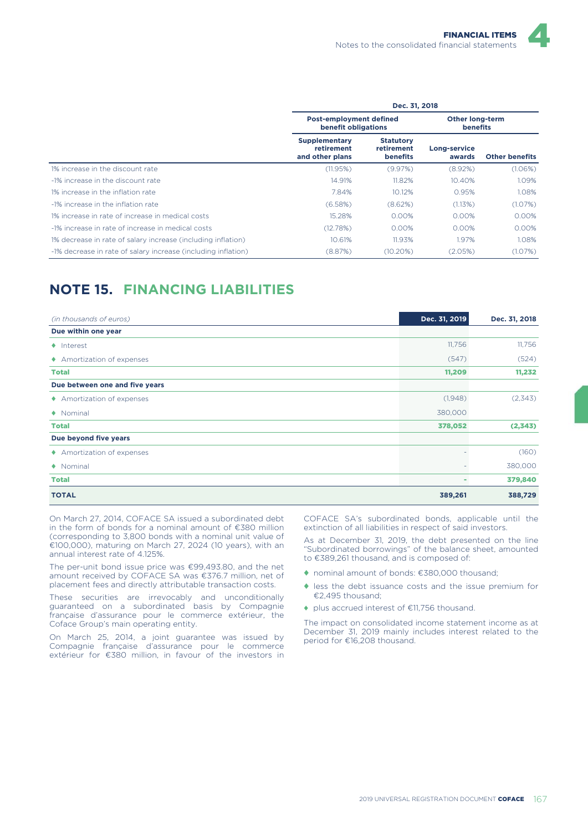|                                                               | Dec. 31, 2018                                         |                                                   |                                    |                       |  |  |  |
|---------------------------------------------------------------|-------------------------------------------------------|---------------------------------------------------|------------------------------------|-----------------------|--|--|--|
|                                                               | <b>Post-employment defined</b><br>benefit obligations |                                                   | Other long-term<br><b>benefits</b> |                       |  |  |  |
|                                                               | <b>Supplementary</b><br>retirement<br>and other plans | <b>Statutory</b><br>retirement<br><b>benefits</b> | Long-service<br>awards             | <b>Other benefits</b> |  |  |  |
| 1% increase in the discount rate                              | (11.95%)                                              | (9.97%)                                           | (8.92%)                            | (1.06%)               |  |  |  |
| -1% increase in the discount rate                             | 14.91%                                                | 11.82%                                            | 10.40%                             | 1.09%                 |  |  |  |
| 1% increase in the inflation rate                             | 7.84%                                                 | 10.12%                                            | 0.95%                              | 1.08%                 |  |  |  |
| -1% increase in the inflation rate                            | (6.58%)                                               | (8.62%)                                           | (1.13%)                            | (1.07%)               |  |  |  |
| 1% increase in rate of increase in medical costs              | 15.28%                                                | 0.00%                                             | 0.00%                              | 0.00%                 |  |  |  |
| -1% increase in rate of increase in medical costs             | (12.78%)                                              | 0.00%                                             | 0.00%                              | 0.00%                 |  |  |  |
| 1% decrease in rate of salary increase (including inflation)  | 10.61%                                                | 11.93%                                            | 1.97%                              | 1.08%                 |  |  |  |
| -1% decrease in rate of salary increase (including inflation) | (8.87%)                                               | $(10.20\%)$                                       | (2.05%)                            | (1.07%)               |  |  |  |

# **NOTE 15. FINANCING LIABILITIES**

| (in thousands of euros)        | Dec. 31, 2019 | Dec. 31, 2018 |
|--------------------------------|---------------|---------------|
| Due within one year            |               |               |
| $\bullet$ Interest             | 11,756        | 11,756        |
| ♦ Amortization of expenses     | (547)         | (524)         |
| <b>Total</b>                   | 11,209        | 11,232        |
| Due between one and five years |               |               |
| ♦ Amortization of expenses     | (1,948)       | (2,343)       |
| $\bullet$ Nominal              | 380,000       |               |
| <b>Total</b>                   | 378,052       | (2,343)       |
| Due beyond five years          |               |               |
| ◆ Amortization of expenses     |               | (160)         |
| $\bullet$ Nominal              |               | 380,000       |
| <b>Total</b>                   | ٠             | 379,840       |
| <b>TOTAL</b>                   | 389,261       | 388,729       |

On March 27, 2014, COFACE SA issued a subordinated debt in the form of bonds for a nominal amount of €380 million (corresponding to 3,800 bonds with a nominal unit value of €100,000), maturing on March 27, 2024 (10 years), with an annual interest rate of 4.125%.

The per-unit bond issue price was €99,493.80, and the net amount received by COFACE SA was €376.7 million, net of placement fees and directly attributable transaction costs.

These securities are irrevocably and unconditionally guaranteed on a subordinated basis by Compagnie française d'assurance pour le commerce extérieur, the Coface Group's main operating entity.

On March 25, 2014, a joint guarantee was issued by Compagnie française d'assurance pour le commerce extérieur for €380 million, in favour of the investors in COFACE SA's subordinated bonds, applicable until the extinction of all liabilities in respect of said investors.

As at December 31, 2019, the debt presented on the line "Subordinated borrowings" of the balance sheet, amounted to €389,261 thousand, and is composed of:

- ♦ nominal amount of bonds: €380,000 thousand;
- ♦ less the debt issuance costs and the issue premium for €2,495 thousand;
- ♦ plus accrued interest of €11,756 thousand.

The impact on consolidated income statement income as at December 31, 2019 mainly includes interest related to the period for €16,208 thousand.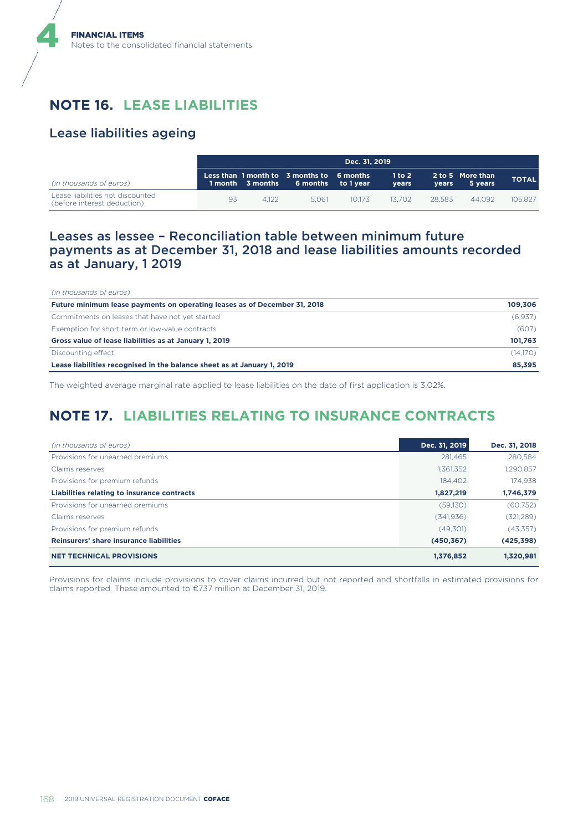# **NOTE 16. LEASE LIABILITIES**

### Lease liabilities ageing

4

|                                                                 |    | Dec. 31, 2019 |                                                                                  |        |                     |        |                             |              |  |
|-----------------------------------------------------------------|----|---------------|----------------------------------------------------------------------------------|--------|---------------------|--------|-----------------------------|--------------|--|
| (in thousands of euros)                                         |    |               | Less than 1 month to 3 months to 6 months<br>1 month 3 months 6 months to 1 year |        | $1$ to $2$<br>vears | vears  | 2 to 5 More than<br>5 years | <b>TOTAL</b> |  |
| Lease liabilities not discounted<br>(before interest deduction) | 93 | 4.122         | 5.061                                                                            | 10.173 | 13.702              | 28.583 | 44.092                      | 105.827      |  |

### Leases as lessee – Reconciliation table between minimum future payments as at December 31, 2018 and lease liabilities amounts recorded as at January, 1 2019

| (in thousands of euros)                                                   |          |
|---------------------------------------------------------------------------|----------|
| Future minimum lease payments on operating leases as of December 31, 2018 | 109.306  |
| Commitments on leases that have not yet started                           | (6.937)  |
| Exemption for short term or low-value contracts                           | (607)    |
| Gross value of lease liabilities as at January 1, 2019                    | 101.763  |
| Discounting effect                                                        | (14,170) |
| Lease liabilities recognised in the balance sheet as at January 1, 2019   | 85.395   |

The weighted average marginal rate applied to lease liabilities on the date of first application is 3.02%.

# **NOTE 17. LIABILITIES RELATING TO INSURANCE CONTRACTS**

| (in thousands of euros)                     | Dec. 31, 2019 | Dec. 31, 2018 |
|---------------------------------------------|---------------|---------------|
| Provisions for unearned premiums            | 281,465       | 280,584       |
| Claims reserves                             | 1,361,352     | 1,290,857     |
| Provisions for premium refunds              | 184.402       | 174.938       |
| Liabilities relating to insurance contracts | 1,827,219     | 1,746,379     |
| Provisions for unearned premiums            | (59,130)      | (60, 752)     |
| Claims reserves                             | (341, 936)    | (321, 289)    |
| Provisions for premium refunds              | (49.301)      | (43,357)      |
| Reinsurers' share insurance liabilities     | (450, 367)    | (425, 398)    |
| <b>NET TECHNICAL PROVISIONS</b>             | 1,376,852     | 1.320.981     |

Provisions for claims include provisions to cover claims incurred but not reported and shortfalls in estimated provisions for claims reported. These amounted to €737 million at December 31, 2019.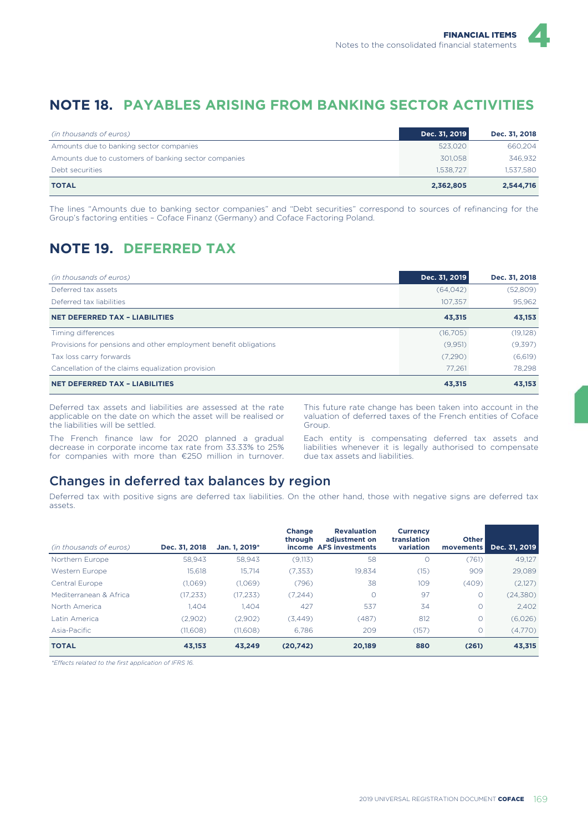## **NOTE 18. PAYABLES ARISING FROM BANKING SECTOR ACTIVITIES**

| (in thousands of euros)                              | Dec. 31, 2019 | Dec. 31, 2018 |
|------------------------------------------------------|---------------|---------------|
| Amounts due to banking sector companies              | 523.020       | 660,204       |
| Amounts due to customers of banking sector companies | 301.058       | 346.932       |
| Debt securities                                      | 1.538.727     | 1.537.580     |
| <b>TOTAL</b>                                         | 2,362,805     | 2,544,716     |

The lines "Amounts due to banking sector companies" and "Debt securities" correspond to sources of refinancing for the Group's factoring entities – Coface Finanz (Germany) and Coface Factoring Poland.

# **NOTE 19. DEFERRED TAX**

| (in thousands of euros)                                          | Dec. 31, 2019 | Dec. 31, 2018 |
|------------------------------------------------------------------|---------------|---------------|
| Deferred tax assets                                              | (64, 042)     | (52,809)      |
| Deferred tax liabilities                                         | 107.357       | 95,962        |
| <b>NET DEFERRED TAX - LIABILITIES</b>                            | 43,315        | 43,153        |
| Timing differences                                               | (16,705)      | (19, 128)     |
| Provisions for pensions and other employment benefit obligations | (9.951)       | (9,397)       |
| Tax loss carry forwards                                          | (7,290)       | (6,619)       |
| Cancellation of the claims equalization provision                | 77.261        | 78.298        |
| <b>NET DEFERRED TAX - LIABILITIES</b>                            | 43.315        | 43.153        |

Deferred tax assets and liabilities are assessed at the rate applicable on the date on which the asset will be realised or the liabilities will be settled.

The French finance law for 2020 planned a gradual decrease in corporate income tax rate from 33.33% to 25% for companies with more than €250 million in turnover.

This future rate change has been taken into account in the valuation of deferred taxes of the French entities of Coface Group.

Each entity is compensating deferred tax assets and liabilities whenever it is legally authorised to compensate due tax assets and liabilities.

### Changes in deferred tax balances by region

Deferred tax with positive signs are deferred tax liabilities. On the other hand, those with negative signs are deferred tax assets.

| (in thousands of euros) | Dec. 31, 2018 | Jan. 1. 2019* | <b>Change</b><br>through | <b>Revaluation</b><br>adjustment on<br>income AFS investments | <b>Currency</b><br>translation<br>variation | <b>Other</b><br>movements | Dec. 31, 2019 |
|-------------------------|---------------|---------------|--------------------------|---------------------------------------------------------------|---------------------------------------------|---------------------------|---------------|
| Northern Europe         | 58.943        | 58.943        | (9, 113)                 | 58                                                            | 0                                           | (761)                     | 49.127        |
| Western Europe          | 15.618        | 15.714        | (7, 353)                 | 19.834                                                        | (15)                                        | 909                       | 29.089        |
| Central Europe          | (1,069)       | (1.069)       | (796)                    | 38                                                            | 109                                         | (409)                     | (2,127)       |
| Mediterranean & Africa  | (17, 233)     | (17, 233)     | (7,244)                  |                                                               | 97                                          | $\circ$                   | (24, 380)     |
| North America           | 1.404         | 1.404         | 427                      | 537                                                           | 34                                          | $\circ$                   | 2.402         |
| Latin America           | (2,902)       | (2.902)       | (3.449)                  | (487)                                                         | 812                                         | $\circ$                   | (6,026)       |
| Asia-Pacific            | (11,608)      | (11,608)      | 6.786                    | 209                                                           | (157)                                       | $\circ$                   | (4,770)       |
| <b>TOTAL</b>            | 43,153        | 43,249        | (20, 742)                | 20.189                                                        | 880                                         | (261)                     | 43,315        |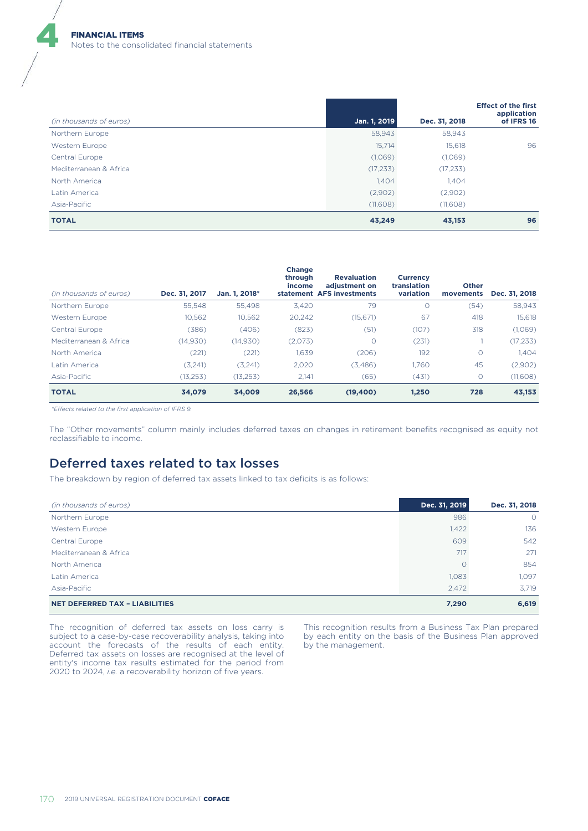| (in thousands of euros) | Jan. 1, 2019 | Dec. 31, 2018 | <b>Effect of the first</b><br>application<br>of IFRS 16 |
|-------------------------|--------------|---------------|---------------------------------------------------------|
| Northern Europe         | 58,943       | 58,943        |                                                         |
| Western Europe          | 15,714       | 15,618        | 96                                                      |
| Central Europe          | (1,069)      | (1,069)       |                                                         |
| Mediterranean & Africa  | (17, 233)    | (17, 233)     |                                                         |
| North America           | 1,404        | 1,404         |                                                         |
| Latin America           | (2,902)      | (2,902)       |                                                         |
| Asia-Pacific            | (11,608)     | (11,608)      |                                                         |
| <b>TOTAL</b>            | 43,249       | 43,153        | 96                                                      |

| (in thousands of euros) | Dec. 31, 2017 | Jan. 1. 2018* | <b>Change</b><br>through<br>income | <b>Revaluation</b><br>adiustment on<br>statement AFS investments | <b>Currency</b><br>translation<br>variation | <b>Other</b><br>movements | Dec. 31, 2018 |
|-------------------------|---------------|---------------|------------------------------------|------------------------------------------------------------------|---------------------------------------------|---------------------------|---------------|
| Northern Europe         | 55.548        | 55.498        | 3.420                              | 79                                                               | 0                                           | (54)                      | 58.943        |
| Western Europe          | 10.562        | 10.562        | 20.242                             | (15.671)                                                         | 67                                          | 418                       | 15.618        |
| Central Europe          | (386)         | (406)         | (823)                              | (51)                                                             | (107)                                       | 318                       | (1,069)       |
| Mediterranean & Africa  | (14, 930)     | (14, 930)     | (2,073)                            | O                                                                | (231)                                       |                           | (17, 233)     |
| North America           | (221)         | (221)         | 1,639                              | (206)                                                            | 192                                         | $\circ$                   | 1,404         |
| Latin America           | (3,241)       | (3.241)       | 2.020                              | (3,486)                                                          | 1.760                                       | 45                        | (2,902)       |
| Asia-Pacific            | (13, 253)     | (13, 253)     | 2.141                              | (65)                                                             | (431)                                       | $\circ$                   | (11,608)      |
| <b>TOTAL</b>            | 34.079        | 34.009        | 26.566                             | (19, 400)                                                        | 1.250                                       | 728                       | 43,153        |

*\*Effects related to the first application of IFRS 9.*

The "Other movements" column mainly includes deferred taxes on changes in retirement benefits recognised as equity not reclassifiable to income.

### Deferred taxes related to tax losses

The breakdown by region of deferred tax assets linked to tax deficits is as follows:

| (in thousands of euros)               | Dec. 31, 2019 | Dec. 31, 2018 |
|---------------------------------------|---------------|---------------|
| Northern Europe                       | 986           | $\circ$       |
| Western Europe                        | 1,422         | 136           |
| Central Europe                        | 609           | 542           |
| Mediterranean & Africa                | 717           | 271           |
| North America                         |               | 854           |
| Latin America                         | 1,083         | 1.097         |
| Asia-Pacific                          | 2,472         | 3.719         |
| <b>NET DEFERRED TAX - LIABILITIES</b> | 7,290         | 6,619         |

The recognition of deferred tax assets on loss carry is subject to a case-by-case recoverability analysis, taking into account the forecasts of the results of each entity. Deferred tax assets on losses are recognised at the level of entity's income tax results estimated for the period from 2020 to 2024, *i.e.* a recoverability horizon of five years.

This recognition results from a Business Tax Plan prepared by each entity on the basis of the Business Plan approved by the management.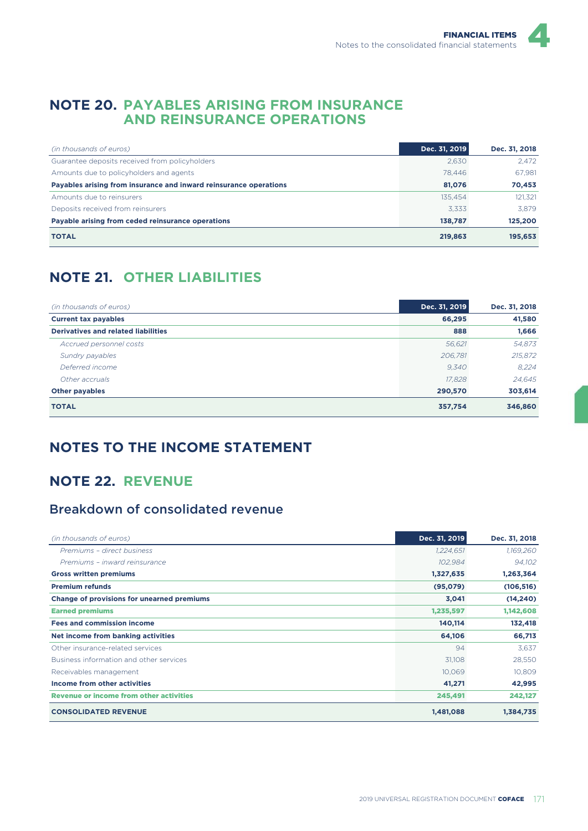### **NOTE 20. PAYABLES ARISING FROM INSURANCE AND REINSURANCE OPERATIONS**

| (in thousands of euros)                                           | Dec. 31, 2019 | Dec. 31, 2018 |
|-------------------------------------------------------------------|---------------|---------------|
| Guarantee deposits received from policyholders                    | 2.630         | 2.472         |
| Amounts due to policyholders and agents                           | 78.446        | 67.981        |
| Payables arising from insurance and inward reinsurance operations | 81,076        | 70,453        |
| Amounts due to reinsurers                                         | 135.454       | 121.321       |
| Deposits received from reinsurers                                 | 3.333         | 3.879         |
| Payable arising from ceded reinsurance operations                 | 138.787       | 125,200       |
| <b>TOTAL</b>                                                      | 219,863       | 195,653       |

# **NOTE 21. OTHER LIABILITIES**

| (in thousands of euros)                    | Dec. 31, 2019 | Dec. 31, 2018 |
|--------------------------------------------|---------------|---------------|
| <b>Current tax payables</b>                | 66,295        | 41,580        |
| <b>Derivatives and related liabilities</b> | 888           | 1,666         |
| Accrued personnel costs                    | 56,621        | 54,873        |
| Sundry payables                            | 206,781       | 215,872       |
| Deferred income                            | 9,340         | 8.224         |
| Other accruals                             | 17,828        | 24.645        |
| <b>Other payables</b>                      | 290,570       | 303,614       |
| <b>TOTAL</b>                               | 357,754       | 346,860       |

## **NOTES TO THE INCOME STATEMENT**

## **NOTE 22. REVENUE**

## Breakdown of consolidated revenue

| (in thousands of euros)                        | Dec. 31, 2019 | Dec. 31, 2018 |
|------------------------------------------------|---------------|---------------|
| Premiums - direct business                     | 1,224,651     | 1,169,260     |
| Premiums - inward reinsurance                  | 102,984       | 94,102        |
| <b>Gross written premiums</b>                  | 1,327,635     | 1,263,364     |
| <b>Premium refunds</b>                         | (95,079)      | (106, 516)    |
| Change of provisions for unearned premiums     | 3,041         | (14, 240)     |
| <b>Earned premiums</b>                         | 1,235,597     | 1,142,608     |
| <b>Fees and commission income</b>              | 140,114       | 132,418       |
| Net income from banking activities             | 64,106        | 66,713        |
| Other insurance-related services               | 94            | 3,637         |
| Business information and other services        | 31,108        | 28,550        |
| Receivables management                         | 10,069        | 10,809        |
| Income from other activities                   | 41,271        | 42,995        |
| <b>Revenue or income from other activities</b> | 245,491       | 242,127       |
| <b>CONSOLIDATED REVENUE</b>                    | 1,481,088     | 1,384,735     |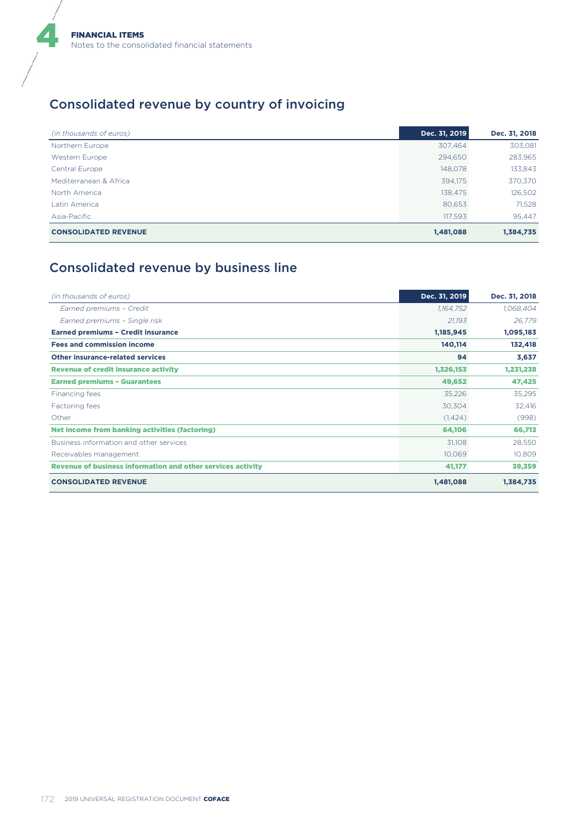# Consolidated revenue by country of invoicing

| (in thousands of euros)     | Dec. 31, 2019 | Dec. 31, 2018 |
|-----------------------------|---------------|---------------|
| Northern Europe             | 307,464       | 303,081       |
| Western Europe              | 294,650       | 283,965       |
| Central Europe              | 148,078       | 133,843       |
| Mediterranean & Africa      | 394.175       | 370,370       |
| North America               | 138,475       | 126,502       |
| Latin America               | 80,653        | 71,528        |
| Asia-Pacific                | 117,593       | 95,447        |
| <b>CONSOLIDATED REVENUE</b> | 1,481,088     | 1,384,735     |

# Consolidated revenue by business line

| (in thousands of euros)                                     | Dec. 31, 2019 | Dec. 31, 2018 |
|-------------------------------------------------------------|---------------|---------------|
| Earned premiums - Credit                                    | 1,164,752     | 1,068,404     |
| Earned premiums - Single risk                               | 21,193        | 26,779        |
| <b>Earned premiums - Credit insurance</b>                   | 1,185,945     | 1,095,183     |
| <b>Fees and commission income</b>                           | 140,114       | 132,418       |
| <b>Other insurance-related services</b>                     | 94            | 3,637         |
| <b>Revenue of credit insurance activity</b>                 | 1,326,153     | 1,231,238     |
| <b>Earned premiums - Guarantees</b>                         | 49,652        | 47,425        |
| Financing fees                                              | 35,226        | 35,295        |
| Factoring fees                                              | 30,304        | 32,416        |
| Other                                                       | (1,424)       | (998)         |
| Net income from banking activities (factoring)              | 64,106        | 66,713        |
| Business information and other services                     | 31,108        | 28,550        |
| Receivables management                                      | 10,069        | 10,809        |
| Revenue of business information and other services activity | 41,177        | 39,359        |
| <b>CONSOLIDATED REVENUE</b>                                 | 1,481,088     | 1,384,735     |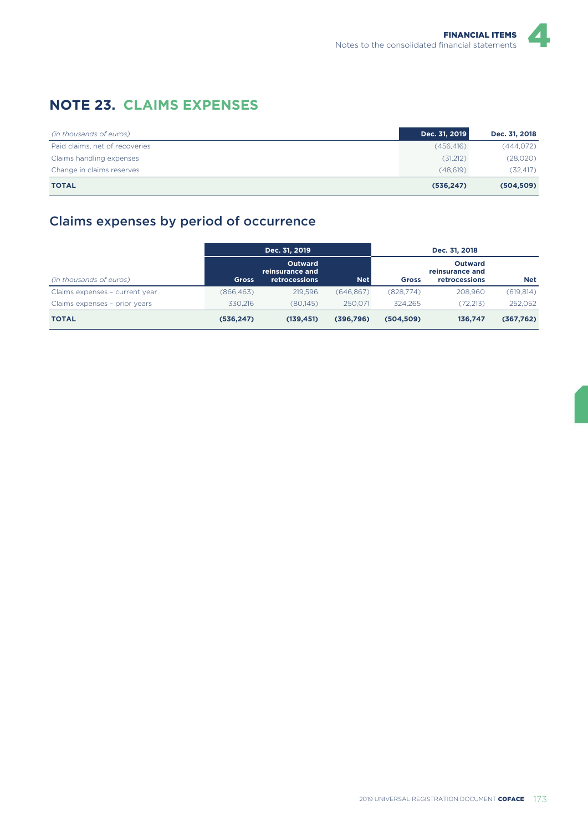## **NOTE 23. CLAIMS EXPENSES**

| (in thousands of euros)        | Dec. 31, 2019 | Dec. 31, 2018 |
|--------------------------------|---------------|---------------|
| Paid claims, net of recoveries | (456.416)     | (444, 072)    |
| Claims handling expenses       | (31,212)      | (28,020)      |
| Change in claims reserves      | (48.619)      | (32, 417)     |
| <b>TOTAL</b>                   | (536, 247)    | (504, 509)    |

## Claims expenses by period of occurrence

|                                |              | Dec. 31, 2019                                      |            |              | Dec. 31, 2018                                      |            |
|--------------------------------|--------------|----------------------------------------------------|------------|--------------|----------------------------------------------------|------------|
| (in thousands of euros)        | <b>Gross</b> | Outward<br>reinsurance and<br><b>retrocessions</b> | <b>Net</b> | <b>Gross</b> | Outward<br>reinsurance and<br><b>retrocessions</b> | Net        |
| Claims expenses - current year | (866, 463)   | 219.596                                            | (646, 867) | (828,774)    | 208.960                                            | (619, 814) |
| Claims expenses - prior years  | 330.216      | (80.145)                                           | 250.071    | 324.265      | (72.213)                                           | 252.052    |
| <b>TOTAL</b>                   | (536, 247)   | (139, 451)                                         | (396,796)  | (504, 509)   | 136,747                                            | (367,762)  |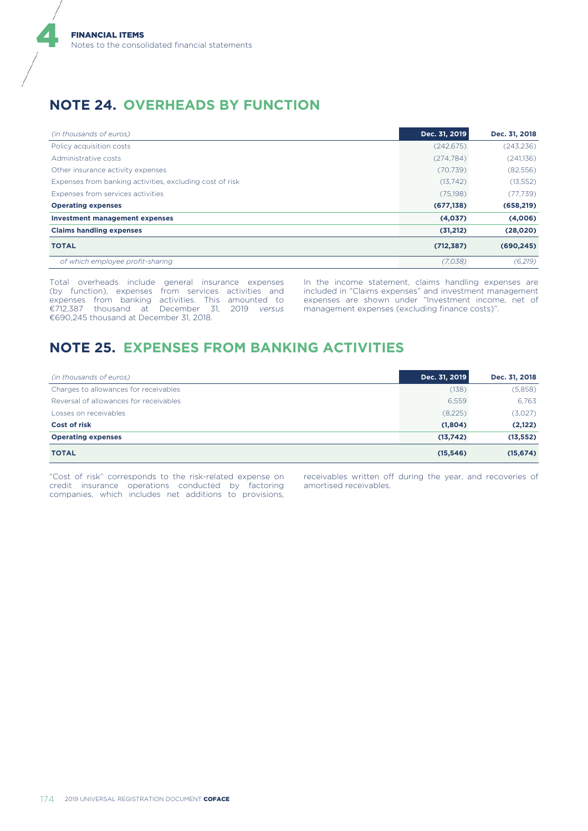## **NOTE 24. OVERHEADS BY FUNCTION**

| (in thousands of euros)                                  | Dec. 31, 2019 | Dec. 31, 2018 |
|----------------------------------------------------------|---------------|---------------|
| Policy acquisition costs                                 | (242, 675)    | (243, 236)    |
| Administrative costs                                     | (274, 784)    | (241,136)     |
| Other insurance activity expenses                        | (70, 739)     | (82,556)      |
| Expenses from banking activities, excluding cost of risk | (13,742)      | (13, 552)     |
| Expenses from services activities                        | (75, 198)     | (77, 739)     |
| <b>Operating expenses</b>                                | (677, 138)    | (658, 219)    |
| <b>Investment management expenses</b>                    | (4,037)       | (4,006)       |
| <b>Claims handling expenses</b>                          | (31,212)      | (28,020)      |
| <b>TOTAL</b>                                             | (712, 387)    | (690, 245)    |
| of which employee profit-sharing                         | (7.038)       | (6,219)       |

Total overheads include general insurance expenses (by function), expenses from services activities and expenses from banking activities. This amounted to €712,387 thousand at December 31, 2019 *versus* €690,245 thousand at December 31, 2018.

In the income statement, claims handling expenses are included in "Claims expenses" and investment management expenses are shown under "Investment income, net of management expenses (excluding finance costs)".

## **NOTE 25. EXPENSES FROM BANKING ACTIVITIES**

| (in thousands of euros)                | Dec. 31, 2019 | Dec. 31, 2018 |
|----------------------------------------|---------------|---------------|
| Charges to allowances for receivables  | (138)         | (5,858)       |
| Reversal of allowances for receivables | 6.559         | 6,763         |
| Losses on receivables                  | (8,225)       | (3,027)       |
| <b>Cost of risk</b>                    | (1,804)       | (2,122)       |
| <b>Operating expenses</b>              | (13,742)      | (13, 552)     |
| <b>TOTAL</b>                           | (15, 546)     | (15, 674)     |

"Cost of risk" corresponds to the risk-related expense on credit insurance operations conducted by factoring companies, which includes net additions to provisions,

receivables written off during the year, and recoveries of amortised receivables.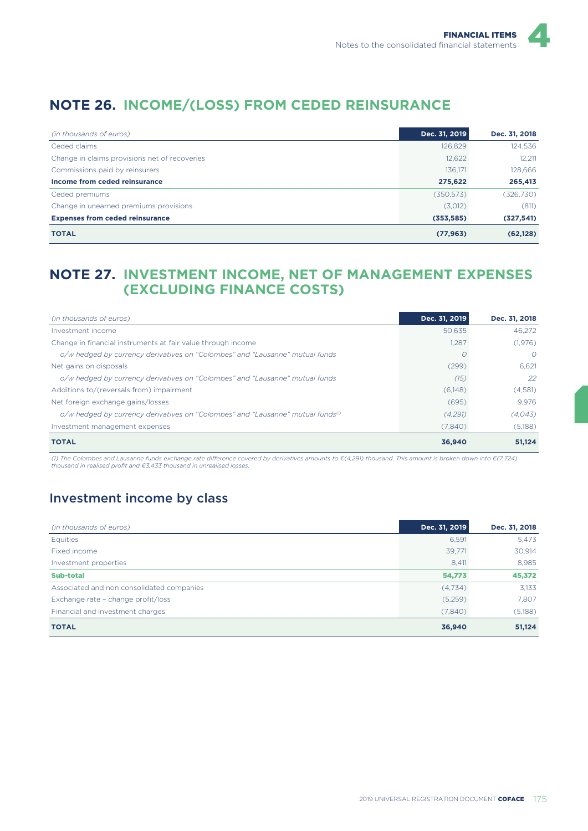# **NOTE 26. INCOME/(LOSS) FROM CEDED REINSURANCE**

| (in thousands of euros)                       | Dec. 31, 2019 | Dec. 31, 2018 |
|-----------------------------------------------|---------------|---------------|
| Ceded claims                                  | 126,829       | 124.536       |
| Change in claims provisions net of recoveries | 12,622        | 12,211        |
| Commissions paid by reinsurers                | 136.171       | 128.666       |
| Income from ceded reinsurance                 | 275,622       | 265,413       |
| Ceded premiums                                | (350.573)     | (326,730)     |
| Change in unearned premiums provisions        | (3,012)       | (811)         |
| <b>Expenses from ceded reinsurance</b>        | (353, 585)    | (327, 541)    |
| <b>TOTAL</b>                                  | (77, 963)     | (62, 128)     |

### **NOTE 27. INVESTMENT INCOME, NET OF MANAGEMENT EXPENSES (EXCLUDING FINANCE COSTS)**

| (in thousands of euros)                                                               | Dec. 31, 2019 | Dec. 31, 2018 |
|---------------------------------------------------------------------------------------|---------------|---------------|
| Investment income                                                                     | 50.635        | 46.272        |
| Change in financial instruments at fair value through income                          | 1,287         | (1,976)       |
| o/w hedged by currency derivatives on "Colombes" and "Lausanne" mutual funds          |               | $\Omega$      |
| Net gains on disposals                                                                | (299)         | 6.621         |
| o/w hedged by currency derivatives on "Colombes" and "Lausanne" mutual funds          | (15)          | 22            |
| Additions to/(reversals from) impairment                                              | (6,148)       | (4,581)       |
| Net foreign exchange gains/losses                                                     | (695)         | 9.976         |
| o/w hedged by currency derivatives on "Colombes" and "Lausanne" mutual funds $\sigma$ | (4,291)       | (4.043)       |
| Investment management expenses                                                        | (7,840)       | (5,188)       |
| <b>TOTAL</b>                                                                          | 36,940        | 51.124        |

(1) The Colombes and Lausanne funds exchange rate difference covered by derivatives amounts to €(4,291) thousand. This amount is broken down into €(7,724)<br>thousand in realised profit and €3,433 thousand in unrealised loss

## Investment income by class

| (in thousands of euros)                   | Dec. 31, 2019 | Dec. 31, 2018 |
|-------------------------------------------|---------------|---------------|
| Equities                                  | 6,591         | 5,473         |
| Fixed income                              | 39,771        | 30,914        |
| Investment properties                     | 8,411         | 8,985         |
| <b>Sub-total</b>                          | 54,773        | 45,372        |
| Associated and non consolidated companies | (4,734)       | 3.133         |
| Exchange rate - change profit/loss        | (5,259)       | 7.807         |
| Financial and investment charges          | (7,840)       | (5,188)       |
| <b>TOTAL</b>                              | 36,940        | 51,124        |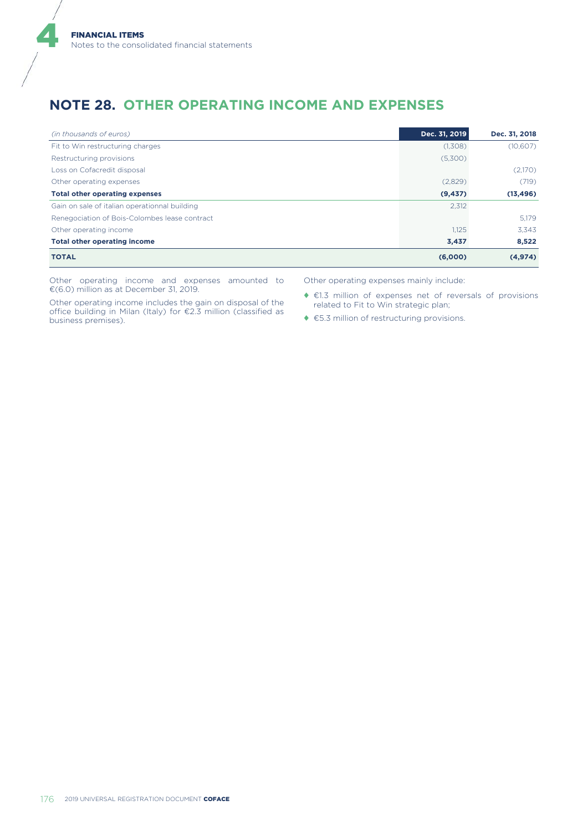## **NOTE 28. OTHER OPERATING INCOME AND EXPENSES**

| (in thousands of euros)                       | Dec. 31, 2019 | Dec. 31, 2018 |
|-----------------------------------------------|---------------|---------------|
| Fit to Win restructuring charges              | (1,308)       | (10,607)      |
| Restructuring provisions                      | (5,300)       |               |
| Loss on Cofacredit disposal                   |               | (2,170)       |
| Other operating expenses                      | (2,829)       | (719)         |
| <b>Total other operating expenses</b>         | (9, 437)      | (13, 496)     |
| Gain on sale of italian operationnal building | 2,312         |               |
| Renegociation of Bois-Colombes lease contract |               | 5.179         |
| Other operating income                        | 1.125         | 3.343         |
| <b>Total other operating income</b>           | 3,437         | 8,522         |
| <b>TOTAL</b>                                  | (6,000)       | (4, 974)      |

Other operating income and expenses amounted to €(6.0) million as at December 31, 2019.

Other operating income includes the gain on disposal of the office building in Milan (Italy) for €2.3 million (classified as business premises).

Other operating expenses mainly include:

- ♦ €1.3 million of expenses net of reversals of provisions related to Fit to Win strategic plan;
- ◆ €5.3 million of restructuring provisions.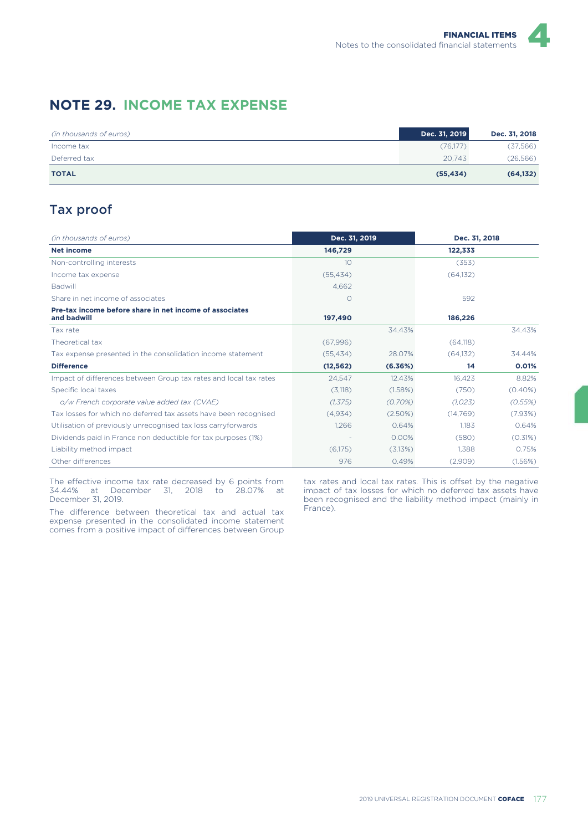## **NOTE 29. INCOME TAX EXPENSE**

| (in thousands of euros) | Dec. 31, 2019 | Dec. 31, 2018 |
|-------------------------|---------------|---------------|
| Income tax              | (76,177)      | (37, 566)     |
| Deferred tax            | 20.743        | (26, 566)     |
| <b>TOTAL</b>            | (55, 434)     | (64, 132)     |

## Tax proof

| (in thousands of euros)                                                | Dec. 31, 2019 |          | Dec. 31, 2018 |            |
|------------------------------------------------------------------------|---------------|----------|---------------|------------|
| Net income                                                             | 146,729       |          | 122,333       |            |
| Non-controlling interests                                              | 10            |          | (353)         |            |
| Income tax expense                                                     | (55, 434)     |          | (64, 132)     |            |
| <b>Badwill</b>                                                         | 4.662         |          |               |            |
| Share in net income of associates                                      | $\Omega$      |          | 592           |            |
| Pre-tax income before share in net income of associates<br>and badwill | 197,490       |          | 186,226       |            |
| Tax rate                                                               |               | 34.43%   |               | 34.43%     |
| Theoretical tax                                                        | (67,996)      |          | (64, 118)     |            |
| Tax expense presented in the consolidation income statement            | (55.434)      | 28.07%   | (64.132)      | 34.44%     |
| <b>Difference</b>                                                      | (12, 562)     | (6.36%)  | 14            | 0.01%      |
| Impact of differences between Group tax rates and local tax rates      | 24.547        | 12.43%   | 16.423        | 8.82%      |
| Specific local taxes                                                   | (3,118)       | (1.58%)  | (750)         | $(0.40\%)$ |
| o/w French corporate value added tax (CVAE)                            | (1, 375)      | (0.70%)  | (1.023)       | (0.55%)    |
| Tax losses for which no deferred tax assets have been recognised       | (4,934)       | (2.50%)  | (14, 769)     | (7.93%)    |
| Utilisation of previously unrecognised tax loss carryforwards          | 1.266         | 0.64%    | 1.183         | 0.64%      |
| Dividends paid in France non deductible for tax purposes (1%)          |               | $0.00\%$ | (580)         | (0.31%)    |
| Liability method impact                                                | (6.175)       | (3.13%)  | 1.388         | 0.75%      |
| Other differences                                                      | 976           | 0.49%    | (2,909)       | (1.56%)    |

The effective income tax rate decreased by 6 points from 34.44% at December 31, 2018 to 28.07% at December 31, 2019.

The difference between theoretical tax and actual tax expense presented in the consolidated income statement comes from a positive impact of differences between Group

tax rates and local tax rates. This is offset by the negative impact of tax losses for which no deferred tax assets have been recognised and the liability method impact (mainly in France).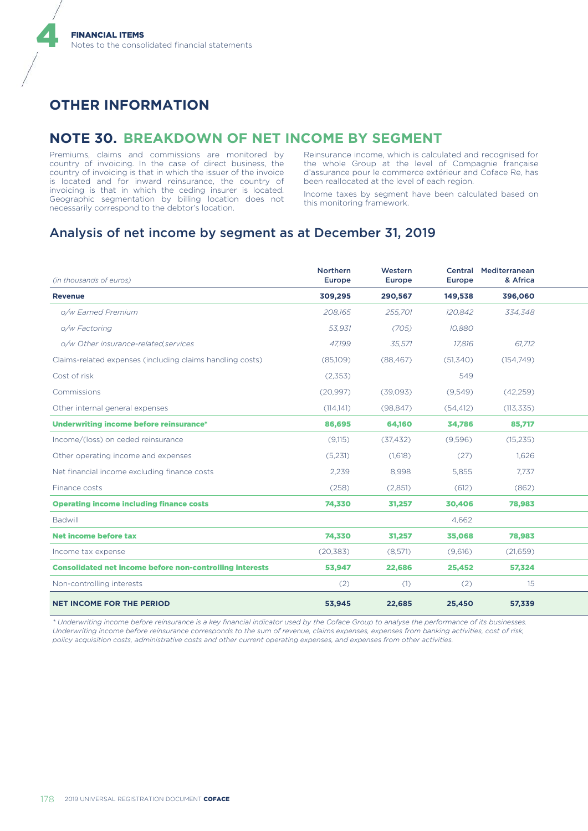# **OTHER INFORMATION**

4

### **NOTE 30. BREAKDOWN OF NET INCOME BY SEGMENT**

Premiums, claims and commissions are monitored by country of invoicing. In the case of direct business, the country of invoicing is that in which the issuer of the invoice is located and for inward reinsurance, the country of invoicing is that in which the ceding insurer is located. Geographic segmentation by billing location does not necessarily correspond to the debtor's location.

Reinsurance income, which is calculated and recognised for the whole Group at the level of Compagnie française d'assurance pour le commerce extérieur and Coface Re, has been reallocated at the level of each region.

Income taxes by segment have been calculated based on this monitoring framework.

### Analysis of net income by segment as at December 31, 2019

| (in thousands of euros)                                         | Northern<br>Europe | Western<br>Europe | Europe    | Central Mediterranean<br>& Africa |  |
|-----------------------------------------------------------------|--------------------|-------------------|-----------|-----------------------------------|--|
| <b>Revenue</b>                                                  | 309,295            | 290,567           | 149,538   | 396,060                           |  |
| o/w Earned Premium                                              | 208,165            | 255,701           | 120,842   | 334,348                           |  |
| o/w Factoring                                                   | 53,931             | (705)             | 10,880    |                                   |  |
| o/w Other insurance-related, services                           | 47,199             | 35,571            | 17,816    | 61,712                            |  |
| Claims-related expenses (including claims handling costs)       | (85,109)           | (88, 467)         | (51, 340) | (154, 749)                        |  |
| Cost of risk                                                    | (2,353)            |                   | 549       |                                   |  |
| Commissions                                                     | (20, 997)          | (39,093)          | (9,549)   | (42, 259)                         |  |
| Other internal general expenses                                 | (114,141)          | (98, 847)         | (54, 412) | (113, 335)                        |  |
| Underwriting income before reinsurance*                         | 86,695             | 64,160            | 34,786    | 85,717                            |  |
| Income/(loss) on ceded reinsurance                              | (9,115)            | (37, 432)         | (9,596)   | (15, 235)                         |  |
| Other operating income and expenses                             | (5,231)            | (1,618)           | (27)      | 1,626                             |  |
| Net financial income excluding finance costs                    | 2,239              | 8,998             | 5,855     | 7,737                             |  |
| Finance costs                                                   | (258)              | (2,851)           | (612)     | (862)                             |  |
| <b>Operating income including finance costs</b>                 | 74,330             | 31,257            | 30,406    | 78,983                            |  |
| Badwill                                                         |                    |                   | 4,662     |                                   |  |
| <b>Net income before tax</b>                                    | 74,330             | 31,257            | 35,068    | 78,983                            |  |
| Income tax expense                                              | (20, 383)          | (8,571)           | (9,616)   | (21,659)                          |  |
| <b>Consolidated net income before non-controlling interests</b> | 53,947             | 22,686            | 25,452    | 57,324                            |  |
| Non-controlling interests                                       | (2)                | (1)               | (2)       | 15                                |  |
| <b>NET INCOME FOR THE PERIOD</b>                                | 53,945             | 22,685            | 25,450    | 57,339                            |  |

*\* Underwriting income before reinsurance is a key financial indicator used by the Coface Group to analyse the performance of its businesses. Underwriting income before reinsurance corresponds to the sum of revenue, claims expenses, expenses from banking activities, cost of risk, policy acquisition costs, administrative costs and other current operating expenses, and expenses from other activities.*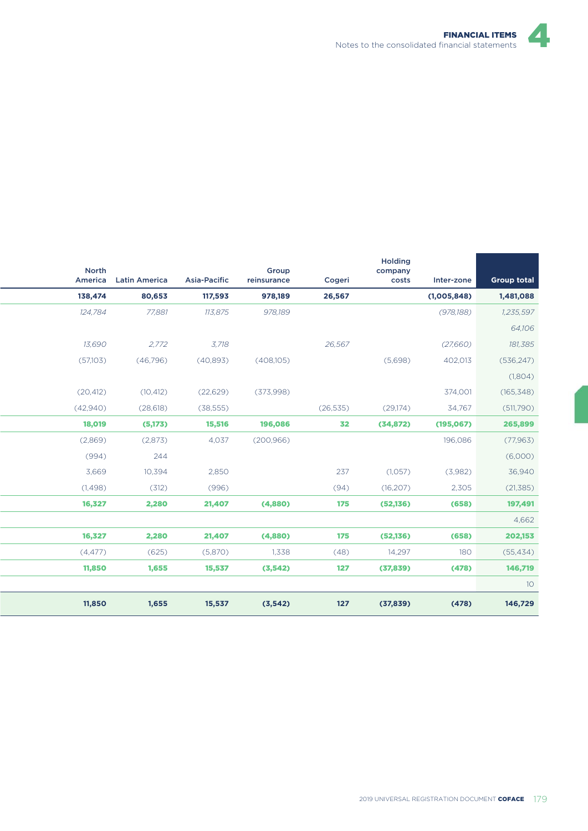| <b>Group total</b> | Inter-zone  | <b>Holding</b><br>company<br>costs | Cogeri    | Group<br>reinsurance | Asia-Pacific | America Latin America | North     |
|--------------------|-------------|------------------------------------|-----------|----------------------|--------------|-----------------------|-----------|
| 1,481,088          | (1,005,848) |                                    | 26,567    | 978,189              | 117,593      | 80,653                | 138,474   |
| 1,235,597          | (978, 188)  |                                    |           | 978,189              | 113,875      | 77,881                | 124,784   |
| 64,106             |             |                                    |           |                      |              |                       |           |
| 181,385            | (27,660)    |                                    | 26,567    |                      | 3,718        | 2,772                 | 13,690    |
| (536, 247)         | 402,013     | (5,698)                            |           | (408,105)            | (40,893)     | (46,796)              | (57,103)  |
| (1,804)            |             |                                    |           |                      |              |                       |           |
| (165, 348)         | 374,001     |                                    |           | (373,998)            | (22, 629)    | (10, 412)             | (20, 412) |
| (511,790)          | 34,767      | (29,174)                           | (26, 535) |                      | (38, 555)    | (28, 618)             | (42,940)  |
| 265,899            | (195,067)   | (34, 872)                          | 32        | 196,086              | 15,516       | (5,173)               | 18,019    |
| (77,963)           | 196,086     |                                    |           | (200, 966)           | 4,037        | (2,873)               | (2,869)   |
| (6,000)            |             |                                    |           |                      |              | 244                   | (994)     |
| 36,940             | (3,982)     | (1,057)                            | 237       |                      | 2,850        | 10,394                | 3,669     |
| (21, 385)          | 2,305       | (16, 207)                          | (94)      |                      | (996)        | (312)                 | (1, 498)  |
| 197,491            | (658)       | (52, 136)                          | 175       | (4,880)              | 21,407       | 2,280                 | 16,327    |
| 4,662              |             |                                    |           |                      |              |                       |           |
| 202,153            | (658)       | (52, 136)                          | 175       | (4,880)              | 21,407       | 2,280                 | 16,327    |
| (55, 434)<br>180   |             | 14,297                             | (48)      | 1,338                | (5,870)      | (625)                 | (4, 477)  |
| 146,719            | (478)       | (37, 839)                          | 127       | (3, 542)             | 15,537       | 1,655                 | 11,850    |
| 10 <sup>°</sup>    |             |                                    |           |                      |              |                       |           |
| 146,729            | (478)       | (37, 839)                          | $127$     | (3, 542)             | 15,537       | 1,655                 | 11,850    |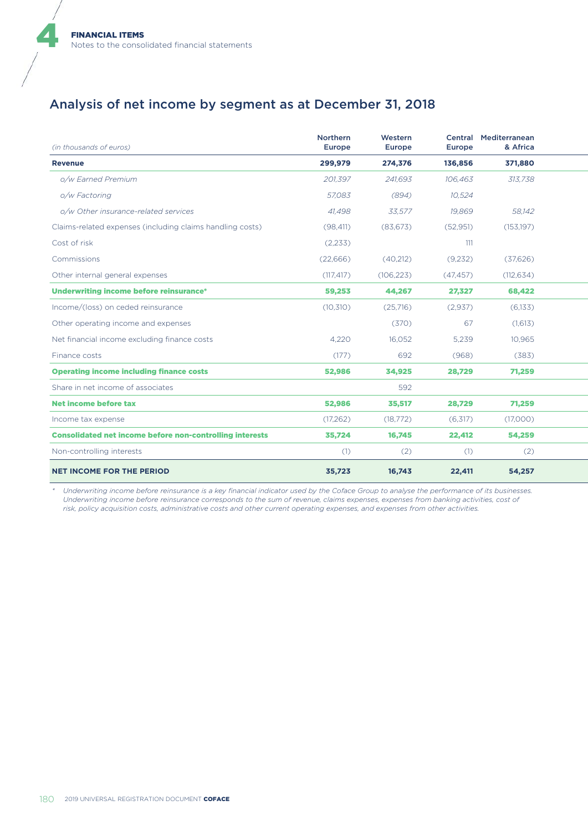## Analysis of net income by segment as at December 31, 2018

| (in thousands of euros)                                         | Northern<br>Europe | Western<br>Europe | Europe    | Central Mediterranean<br>& Africa |  |
|-----------------------------------------------------------------|--------------------|-------------------|-----------|-----------------------------------|--|
| <b>Revenue</b>                                                  | 299,979            | 274,376           | 136,856   | 371,880                           |  |
| o/w Earned Premium                                              | 201,397            | 241,693           | 106,463   | 313,738                           |  |
| o/w Factoring                                                   | 57,083             | (894)             | 10,524    |                                   |  |
| o/w Other insurance-related services                            | 41,498             | 33,577            | 19,869    | 58,142                            |  |
| Claims-related expenses (including claims handling costs)       | (98, 411)          | (83, 673)         | (52, 951) | (153, 197)                        |  |
| Cost of risk                                                    | (2,233)            |                   | 111       |                                   |  |
| Commissions                                                     | (22, 666)          | (40,212)          | (9,232)   | (37,626)                          |  |
| Other internal general expenses                                 | (117, 417)         | (106, 223)        | (47, 457) | (112, 634)                        |  |
| Underwriting income before reinsurance*                         | 59,253             | 44,267            | 27,327    | 68,422                            |  |
| Income/(loss) on ceded reinsurance                              | (10, 310)          | (25,716)          | (2,937)   | (6,133)                           |  |
| Other operating income and expenses                             |                    | (370)             | 67        | (1,613)                           |  |
| Net financial income excluding finance costs                    | 4,220              | 16,052            | 5,239     | 10,965                            |  |
| Finance costs                                                   | (177)              | 692               | (968)     | (383)                             |  |
| <b>Operating income including finance costs</b>                 | 52,986             | 34,925            | 28,729    | 71,259                            |  |
| Share in net income of associates                               |                    | 592               |           |                                   |  |
| <b>Net income before tax</b>                                    | 52,986             | 35,517            | 28,729    | 71,259                            |  |
| Income tax expense                                              | (17, 262)          | (18, 772)         | (6,317)   | (17,000)                          |  |
| <b>Consolidated net income before non-controlling interests</b> | 35,724             | 16,745            | 22,412    | 54,259                            |  |
| Non-controlling interests                                       | (1)                | (2)               | (1)       | (2)                               |  |
| <b>NET INCOME FOR THE PERIOD</b>                                | 35,723             | 16,743            | 22,411    | 54,257                            |  |

*\* Underwriting income before reinsurance is a key financial indicator used by the Coface Group to analyse the performance of its businesses. Underwriting income before reinsurance corresponds to the sum of revenue, claims expenses, expenses from banking activities, cost of risk, policy acquisition costs, administrative costs and other current operating expenses, and expenses from other activities.*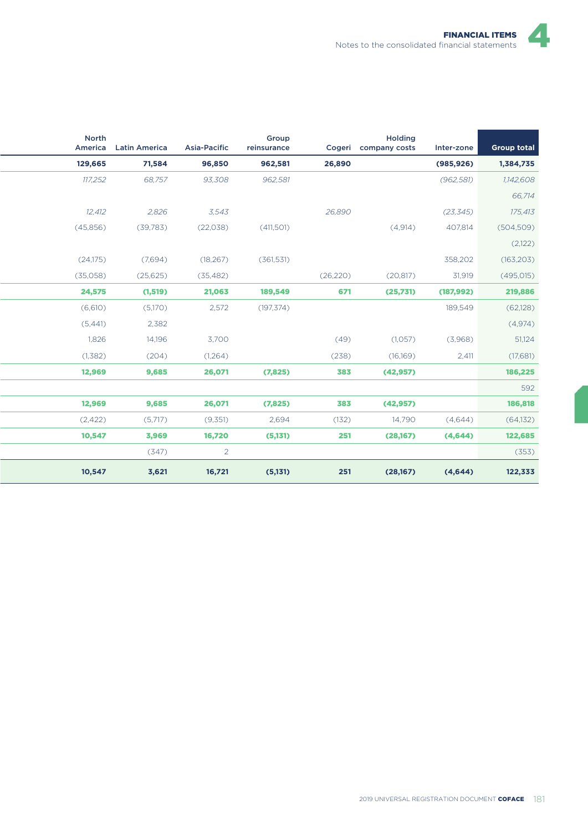| <b>Group total</b> | Inter-zone | <b>Holding</b><br>Cogeri company costs |           | Group<br>reinsurance | Asia-Pacific   | America Latin America | <b>North</b> |
|--------------------|------------|----------------------------------------|-----------|----------------------|----------------|-----------------------|--------------|
| 1,384,735          | (985, 926) |                                        | 26,890    | 962,581              | 96,850         | 71,584                | 129,665      |
| 1,142,608          | (962, 581) |                                        |           | 962,581              | 93,308         | 68,757                | 117,252      |
| 66,714             |            |                                        |           |                      |                |                       |              |
| 175,413            | (23, 345)  |                                        | 26,890    |                      | 3,543          | 2,826                 | 12,412       |
| (504, 509)         | 407,814    | (4,914)                                |           | (411,501)            | (22,038)       | (39, 783)             | (45,856)     |
| (2,122)            |            |                                        |           |                      |                |                       |              |
| (163, 203)         | 358,202    |                                        |           | (361, 531)           | (18, 267)      | (7,694)               | (24,175)     |
| (495, 015)         | 31,919     | (20, 817)                              | (26, 220) |                      | (35, 482)      | (25, 625)             | (35,058)     |
| 219,886            | (187, 992) | (25,731)                               | 671       | 189,549              | 21,063         | (1, 519)              | 24,575       |
| (62, 128)          | 189,549    |                                        |           | (197, 374)           | 2,572          | (5,170)               | (6,610)      |
| (4,974)            |            |                                        |           |                      |                | 2,382                 | (5,441)      |
| 51,124             | (3,968)    | (1,057)                                | (49)      |                      | 3,700          | 14,196                | 1,826        |
| (17,681)<br>2,411  |            | (16,169)                               | (238)     |                      | (1,264)        | (204)                 | (1,382)      |
| 186,225            |            | (42, 957)                              | 383       | (7,825)              | 26,071         | 9,685                 | 12,969       |
|                    |            |                                        |           |                      |                |                       |              |
| 186,818            |            | (42, 957)                              | 383       | (7,825)              | 26,071         | 9,685                 | 12,969       |
| (64, 132)          | (4,644)    | 14,790                                 | (132)     | 2,694                | (9,351)        | (5,717)               | (2,422)      |
| 122,685            | (4,644)    | (28,167)                               | 251       | (5,131)              | 16,720         | 3,969                 | 10,547       |
| (353)              |            |                                        |           |                      | $\overline{2}$ | (347)                 |              |
| 122,333            | (4,644)    | (28,167)                               | 251       | (5,131)              | 16,721         | 3,621                 | 10,547       |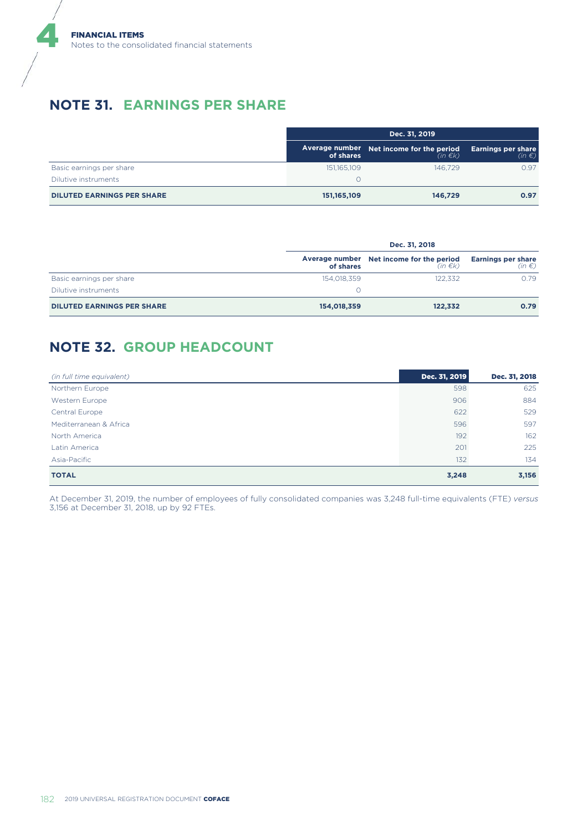## **NOTE 31. EARNINGS PER SHARE**

|                                   | Dec. 31, 2019 |                                                          |                                         |  |
|-----------------------------------|---------------|----------------------------------------------------------|-----------------------------------------|--|
|                                   | of shares     | Average number Net income for the period<br>$(in \in k)$ | <b>Earnings per share</b><br>$(in \in)$ |  |
| Basic earnings per share          | 151,165,109   | 146.729                                                  | 0.97                                    |  |
| Dilutive instruments              |               |                                                          |                                         |  |
| <b>DILUTED EARNINGS PER SHARE</b> | 151, 165, 109 | 146.729                                                  | 0.97                                    |  |

|                                   | Dec. 31, 2018 |                                                               |                                               |  |
|-----------------------------------|---------------|---------------------------------------------------------------|-----------------------------------------------|--|
|                                   | of shares     | Average number Net income for the period<br>(in $\epsilon$ k) | <b>Earnings per share</b><br>(in $\epsilon$ ) |  |
| Basic earnings per share          | 154,018,359   | 122.332                                                       | 0.79                                          |  |
| Dilutive instruments              |               |                                                               |                                               |  |
| <b>DILUTED EARNINGS PER SHARE</b> | 154,018,359   | 122,332                                                       | 0.79                                          |  |

# **NOTE 32. GROUP HEADCOUNT**

| (in full time equivalent) | Dec. 31, 2019 | Dec. 31, 2018 |
|---------------------------|---------------|---------------|
| Northern Europe           | 598           | 625           |
| Western Europe            | 906           | 884           |
| Central Europe            | 622           | 529           |
| Mediterranean & Africa    | 596           | 597           |
| North America             | 192           | 162           |
| Latin America             | 201           | 225           |
| Asia-Pacific              | 132           | 134           |
| <b>TOTAL</b>              | 3,248         | 3,156         |

At December 31, 2019, the number of employees of fully consolidated companies was 3,248 full-time equivalents (FTE) *versus* 3,156 at December 31, 2018, up by 92 FTEs.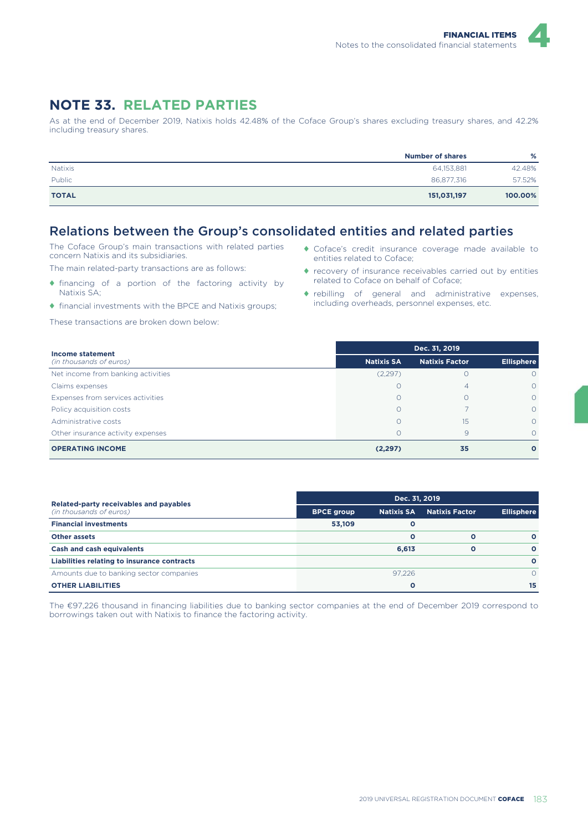### **NOTE 33. RELATED PARTIES**

As at the end of December 2019, Natixis holds 42.48% of the Coface Group's shares excluding treasury shares, and 42.2% including treasury shares.

|                | <b>Number of shares</b> | %       |
|----------------|-------------------------|---------|
| <b>Natixis</b> | 64,153,881              | 42.48%  |
| Public         | 86,877,316              | 57.52%  |
| <b>TOTAL</b>   | 151,031,197             | 100.00% |

## Relations between the Group's consolidated entities and related parties

The Coface Group's main transactions with related parties concern Natixis and its subsidiaries.

The main related-party transactions are as follows:

- ♦ financing of a portion of the factoring activity by Natixis SA;
- ♦ financial investments with the BPCE and Natixis groups;

These transactions are broken down below:

- ♦ Coface's credit insurance coverage made available to entities related to Coface;
- ♦ recovery of insurance receivables carried out by entities related to Coface on behalf of Coface;
- ♦ rebilling of general and administrative expenses, including overheads, personnel expenses, etc.

| Income statement                   |                   | Dec. 31, 2019         |                   |
|------------------------------------|-------------------|-----------------------|-------------------|
| (in thousands of euros)            | <b>Natixis SA</b> | <b>Natixis Factor</b> | <b>Ellisphere</b> |
| Net income from banking activities | (2,297)           | Ω                     |                   |
| Claims expenses                    | Ω                 | 4                     | $\Omega$          |
| Expenses from services activities  | $\Omega$          | Ω                     | $\Omega$          |
| Policy acquisition costs           | $\Omega$          |                       | $\Omega$          |
| Administrative costs               |                   | 15                    | $\Omega$          |
| Other insurance activity expenses  |                   | 9                     | $\Omega$          |
| <b>OPERATING INCOME</b>            | (2, 297)          | 35                    | $\mathbf{o}$      |

| Related-party receivables and payables      |                   | Dec. 31, 2019     |                       |                   |  |  |
|---------------------------------------------|-------------------|-------------------|-----------------------|-------------------|--|--|
| (in thousands of euros)                     | <b>BPCE group</b> | <b>Natixis SA</b> | <b>Natixis Factor</b> | <b>Ellisphere</b> |  |  |
| <b>Financial investments</b>                | 53,109            | Ο                 |                       |                   |  |  |
| <b>Other assets</b>                         |                   | Ο                 | O                     | $\Omega$          |  |  |
| <b>Cash and cash equivalents</b>            |                   | 6.613             | O                     | $\Omega$          |  |  |
| Liabilities relating to insurance contracts |                   |                   |                       | $\Omega$          |  |  |
| Amounts due to banking sector companies     |                   | 97.226            |                       |                   |  |  |
| <b>OTHER LIABILITIES</b>                    |                   | Ο                 |                       | 15                |  |  |

The €97,226 thousand in financing liabilities due to banking sector companies at the end of December 2019 correspond to borrowings taken out with Natixis to finance the factoring activity.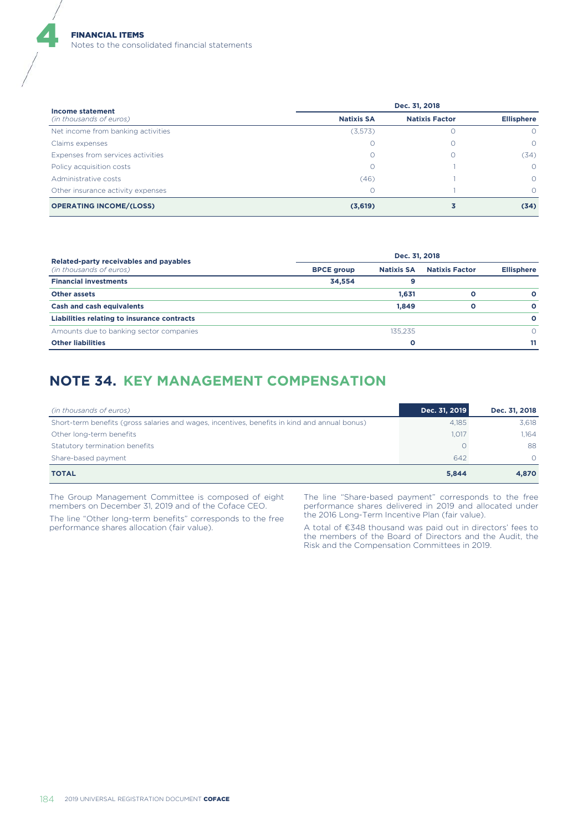| Income statement                   |                   | Dec. 31, 2018         |                   |
|------------------------------------|-------------------|-----------------------|-------------------|
| (in thousands of euros)            | <b>Natixis SA</b> | <b>Natixis Factor</b> | <b>Ellisphere</b> |
| Net income from banking activities | (3,573)           |                       | $\circ$           |
| Claims expenses                    |                   |                       | $\Omega$          |
| Expenses from services activities  |                   |                       | (34)              |
| Policy acquisition costs           |                   |                       | $\Omega$          |
| Administrative costs               | (46)              |                       | $\Omega$          |
| Other insurance activity expenses  |                   |                       | $\Omega$          |
| <b>OPERATING INCOME/(LOSS)</b>     | (3,619)           |                       | (34)              |

| Related-party receivables and payables      | Dec. 31, 2018     |                   |                       |                   |  |  |
|---------------------------------------------|-------------------|-------------------|-----------------------|-------------------|--|--|
| (in thousands of euros)                     | <b>BPCE group</b> | <b>Natixis SA</b> | <b>Natixis Factor</b> | <b>Ellisphere</b> |  |  |
| <b>Financial investments</b>                | 34.554            |                   |                       |                   |  |  |
| <b>Other assets</b>                         |                   | 1,631             | O                     | $\circ$           |  |  |
| <b>Cash and cash equivalents</b>            |                   | 1.849             | O                     | $\Omega$          |  |  |
| Liabilities relating to insurance contracts |                   |                   |                       | $\circ$           |  |  |
| Amounts due to banking sector companies     |                   | 135.235           |                       |                   |  |  |
| <b>Other liabilities</b>                    |                   | O                 |                       | 11                |  |  |

# **NOTE 34. KEY MANAGEMENT COMPENSATION**

| (in thousands of euros)                                                                       | Dec. 31, 2019 | Dec. 31, 2018 |
|-----------------------------------------------------------------------------------------------|---------------|---------------|
| Short-term benefits (gross salaries and wages, incentives, benefits in kind and annual bonus) | 4.185         | 3.618         |
| Other long-term benefits                                                                      | 1,017         | 1.164         |
| Statutory termination benefits                                                                |               | 88            |
| Share-based payment                                                                           | 642           | $\Omega$      |
| <b>TOTAL</b>                                                                                  | 5,844         | 4,870         |

The Group Management Committee is composed of eight members on December 31, 2019 and of the Coface CEO.

The line "Other long-term benefits" corresponds to the free performance shares allocation (fair value).

The line "Share-based payment" corresponds to the free performance shares delivered in 2019 and allocated under the 2016 Long-Term Incentive Plan (fair value).

A total of €348 thousand was paid out in directors' fees to the members of the Board of Directors and the Audit, the Risk and the Compensation Committees in 2019.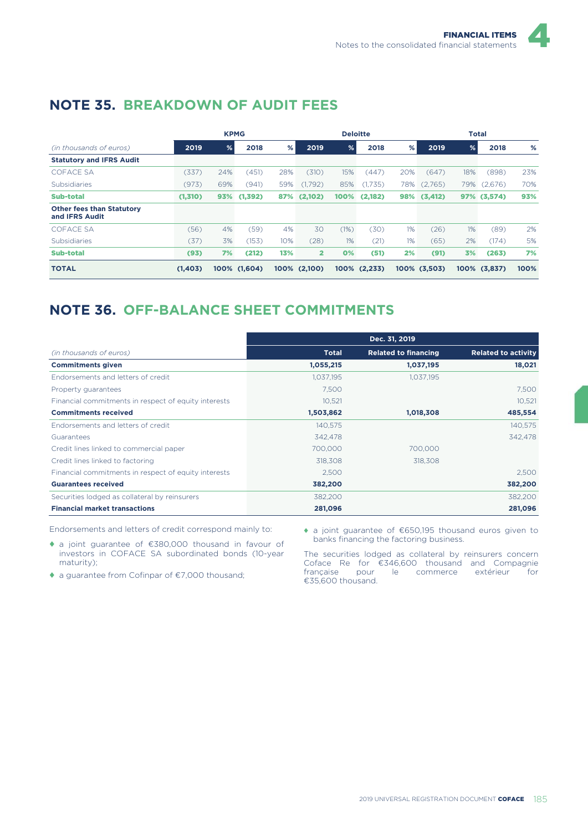|                                                           |         |     | <b>KPMG</b>  |     |                         | <b>Deloitte</b> |              |     |              |               | <b>Total</b> |      |
|-----------------------------------------------------------|---------|-----|--------------|-----|-------------------------|-----------------|--------------|-----|--------------|---------------|--------------|------|
| (in thousands of euros)                                   | 2019    | %   | 2018         | %   | 2019                    | %               | 2018         | %   | 2019         | $\frac{9}{6}$ | 2018         | %    |
| <b>Statutory and IFRS Audit</b>                           |         |     |              |     |                         |                 |              |     |              |               |              |      |
| <b>COFACE SA</b>                                          | (337)   | 24% | (451)        | 28% | (310)                   | 15%             | (447)        | 20% | (647)        | 18%           | (898)        | 23%  |
| Subsidiaries                                              | (973)   | 69% | (941)        | 59% | (1,792)                 | 85%             | (1,735)      | 78% | (2,765)      | 79%           | (2,676)      | 70%  |
| <b>Sub-total</b>                                          | (1,310) |     | 93% (1,392)  | 87% | (2,102)                 | 100%            | (2,182)      | 98% | (3, 412)     |               | 97% (3,574)  | 93%  |
| <b>Other fees than Statutory</b><br>and <b>IFRS</b> Audit |         |     |              |     |                         |                 |              |     |              |               |              |      |
| <b>COFACE SA</b>                                          | (56)    | 4%  | (59)         | 4%  | 30                      | (1%)            | (30)         | 1%  | (26)         | 1%            | (89)         | 2%   |
| Subsidiaries                                              | (37)    | 3%  | (153)        | 10% | (28)                    | 1%              | (21)         | 1%  | (65)         | 2%            | (174)        | 5%   |
| <b>Sub-total</b>                                          | (93)    | 7%  | (212)        | 13% | $\overline{\mathbf{2}}$ | 0%              | (51)         | 2%  | (91)         | 3%            | (263)        | 7%   |
| <b>TOTAL</b>                                              | (1,403) |     | 100% (1.604) |     | 100% (2,100)            |                 | 100% (2,233) |     | 100% (3.503) |               | 100% (3.837) | 100% |

# **NOTE 35. BREAKDOWN OF AUDIT FEES**

# **NOTE 36. OFF-BALANCE SHEET COMMITMENTS**

|                                                      | Dec. 31, 2019 |                             |                            |
|------------------------------------------------------|---------------|-----------------------------|----------------------------|
| (in thousands of euros)                              | <b>Total</b>  | <b>Related to financing</b> | <b>Related to activity</b> |
| <b>Commitments given</b>                             | 1,055,215     | 1,037,195                   | 18,021                     |
| Endorsements and letters of credit                   | 1,037,195     | 1.037.195                   |                            |
| Property guarantees                                  | 7.500         |                             | 7.500                      |
| Financial commitments in respect of equity interests | 10,521        |                             | 10.521                     |
| <b>Commitments received</b>                          | 1,503,862     | 1,018,308                   | 485,554                    |
| Endorsements and letters of credit                   | 140,575       |                             | 140,575                    |
| Guarantees                                           | 342,478       |                             | 342.478                    |
| Credit lines linked to commercial paper              | 700,000       | 700,000                     |                            |
| Credit lines linked to factoring                     | 318,308       | 318,308                     |                            |
| Financial commitments in respect of equity interests | 2,500         |                             | 2,500                      |
| <b>Guarantees received</b>                           | 382,200       |                             | 382,200                    |
| Securities lodged as collateral by reinsurers        | 382,200       |                             | 382,200                    |
| <b>Financial market transactions</b>                 | 281,096       |                             | 281,096                    |

Endorsements and letters of credit correspond mainly to:

♦ a joint guarantee of €380,000 thousand in favour of investors in COFACE SA subordinated bonds (10-year maturity);

♦ a guarantee from Cofinpar of €7,000 thousand;

♦ a joint guarantee of €650,195 thousand euros given to banks financing the factoring business.

The securities lodged as collateral by reinsurers concern Coface Re for €346,600 thousand and Compagnie française pour le commerce extérieur for €35,600 thousand.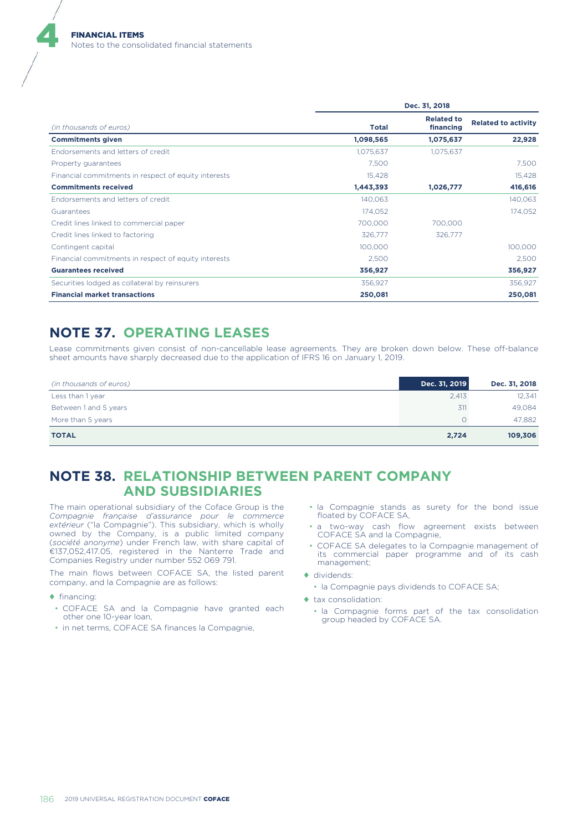|                                                      | Dec. 31, 2018 |                                |                            |  |  |  |
|------------------------------------------------------|---------------|--------------------------------|----------------------------|--|--|--|
| (in thousands of euros)                              | <b>Total</b>  | <b>Related to</b><br>financing | <b>Related to activity</b> |  |  |  |
| <b>Commitments given</b>                             | 1,098,565     | 1,075,637                      | 22,928                     |  |  |  |
| Endorsements and letters of credit                   | 1,075,637     | 1,075,637                      |                            |  |  |  |
| Property guarantees                                  | 7.500         |                                | 7,500                      |  |  |  |
| Financial commitments in respect of equity interests | 15,428        |                                | 15,428                     |  |  |  |
| <b>Commitments received</b>                          | 1,443,393     | 1,026,777                      | 416,616                    |  |  |  |
| Endorsements and letters of credit                   | 140,063       |                                | 140,063                    |  |  |  |
| Guarantees                                           | 174,052       |                                | 174,052                    |  |  |  |
| Credit lines linked to commercial paper              | 700,000       | 700,000                        |                            |  |  |  |
| Credit lines linked to factoring                     | 326,777       | 326,777                        |                            |  |  |  |
| Contingent capital                                   | 100,000       |                                | 100,000                    |  |  |  |
| Financial commitments in respect of equity interests | 2,500         |                                | 2,500                      |  |  |  |
| <b>Guarantees received</b>                           | 356,927       |                                | 356,927                    |  |  |  |
| Securities lodged as collateral by reinsurers        | 356,927       |                                | 356,927                    |  |  |  |
| <b>Financial market transactions</b>                 | 250,081       |                                | 250,081                    |  |  |  |

### **NOTE 37. OPERATING LEASES**

Lease commitments given consist of non-cancellable lease agreements. They are broken down below. These off-balance sheet amounts have sharply decreased due to the application of IFRS 16 on January 1, 2019.

| (in thousands of euros) | Dec. 31, 2019 | Dec. 31, 2018 |
|-------------------------|---------------|---------------|
| Less than 1 year        | 2,413         | 12,341        |
| Between 1 and 5 years   | 311           | 49.084        |
| More than 5 years       |               | 47.882        |
| <b>TOTAL</b>            | 2,724         | 109,306       |

### **NOTE 38. RELATIONSHIP BETWEEN PARENT COMPANY AND SUBSIDIARIES**

The main operational subsidiary of the Coface Group is the *Compagnie française d'assurance pour le commerce extérieur* ("la Compagnie"). This subsidiary, which is wholly owned by the Company, is a public limited company (*société anonyme*) under French law, with share capital of €137,052,417.05, registered in the Nanterre Trade and Companies Registry under number 552 069 791.

The main flows between COFACE SA, the listed parent company, and la Compagnie are as follows:

- ♦ financing:
- COFACE SA and la Compagnie have granted each other one 10-year loan,
- in net terms, COFACE SA finances la Compagnie,
- la Compagnie stands as surety for the bond issue floated by COFACE SA,
- a two-way cash flow agreement exists between COFACE SA and la Compagnie,
- COFACE SA delegates to la Compagnie management of its commercial paper programme and of its cash management;
- ♦ dividends:
	- la Compagnie pays dividends to COFACE SA;
- ♦ tax consolidation:
	- la Compagnie forms part of the tax consolidation group headed by COFACE SA.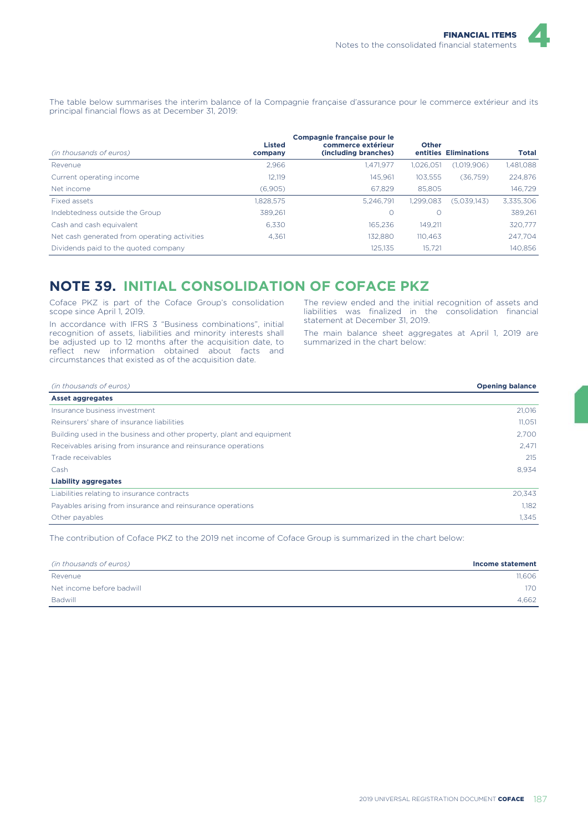The table below summarises the interim balance of la Compagnie française d'assurance pour le commerce extérieur and its principal financial flows as at December 31, 2019:

| (in thousands of euros)<br>company           | Compagnie française pour le<br><b>Listed</b><br>commerce extérieur<br>(including branches) | <b>Other</b> | entities Eliminations | <b>Total</b> |
|----------------------------------------------|--------------------------------------------------------------------------------------------|--------------|-----------------------|--------------|
| Revenue                                      | 2.966<br>1,471,977                                                                         | 1,026,051    | (1,019,906)           | 1,481,088    |
| Current operating income                     | 12.119<br>145.961                                                                          | 103,555      | (36,759)              | 224,876      |
| Net income                                   | 67.829<br>(6,905)                                                                          | 85,805       |                       | 146.729      |
| Fixed assets                                 | 1.828.575<br>5.246.791                                                                     | 1.299.083    | (5.039.143)           | 3,335,306    |
| Indebtedness outside the Group               | O<br>389.261                                                                               |              |                       | 389.261      |
| Cash and cash equivalent                     | 6.330<br>165.236                                                                           | 149.211      |                       | 320,777      |
| Net cash generated from operating activities | 132.880<br>4.361                                                                           | 110.463      |                       | 247.704      |
| Dividends paid to the quoted company         | 125,135                                                                                    | 15.721       |                       | 140,856      |

### **NOTE 39. INITIAL CONSOLIDATION OF COFACE PKZ**

Coface PKZ is part of the Coface Group's consolidation scope since April 1, 2019.

In accordance with IFRS 3 "Business combinations", initial recognition of assets, liabilities and minority interests shall be adjusted up to 12 months after the acquisition date, to reflect new information obtained about facts and circumstances that existed as of the acquisition date.

The review ended and the initial recognition of assets and liabilities was finalized in the consolidation financial statement at December 31, 2019.

The main balance sheet aggregates at April 1, 2019 are summarized in the chart below:

| (in thousands of euros)                                               | <b>Opening balance</b> |
|-----------------------------------------------------------------------|------------------------|
| Asset aggregates                                                      |                        |
| Insurance business investment                                         | 21,016                 |
| Reinsurers' share of insurance liabilities                            | 11,051                 |
| Building used in the business and other property, plant and equipment | 2.700                  |
| Receivables arising from insurance and reinsurance operations         | 2.471                  |
| Trade receivables                                                     | 215                    |
| Cash                                                                  | 8,934                  |
| <b>Liability aggregates</b>                                           |                        |
| Liabilities relating to insurance contracts                           | 20,343                 |
| Payables arising from insurance and reinsurance operations            | 1.182                  |
| Other payables                                                        | 1,345                  |

The contribution of Coface PKZ to the 2019 net income of Coface Group is summarized in the chart below:

| (in thousands of euros)   | Income statement |
|---------------------------|------------------|
| Revenue                   | 11.606           |
| Net income before badwill | 170              |
| Badwill                   | 4.662            |